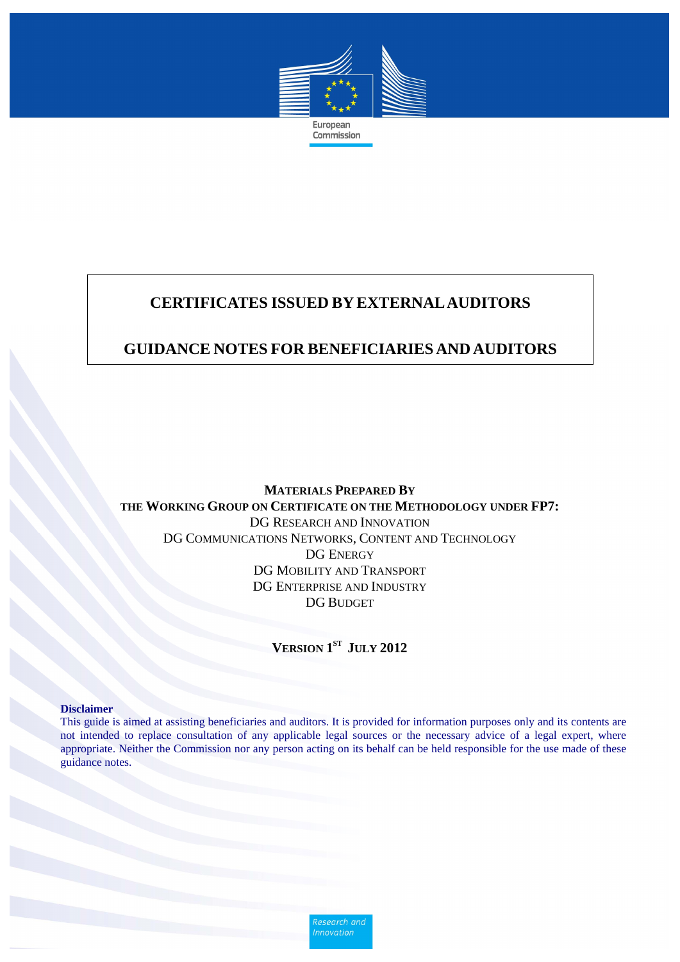

# **CERTIFICATES ISSUED BY EXTERNALAUDITORS**

### **GUIDANCE NOTES FOR BENEFICIARIES AND AUDITORS**

**MATERIALS PREPARED BY THE WORKING GROUP ON CERTIFICATE ON THE METHODOLOGY UNDER FP7:**  DG RESEARCH AND INNOVATION DG COMMUNICATIONS NETWORKS, CONTENT AND TECHNOLOGY DG ENERGY DG MOBILITY AND TRANSPORT DG ENTERPRISE AND INDUSTRY DG BUDGET

**VERSION 1ST JULY 2012** 

#### **Disclaimer**

This guide is aimed at assisting beneficiaries and auditors. It is provided for information purposes only and its contents are not intended to replace consultation of any applicable legal sources or the necessary advice of a legal expert, where appropriate. Neither the Commission nor any person acting on its behalf can be held responsible for the use made of these guidance notes.

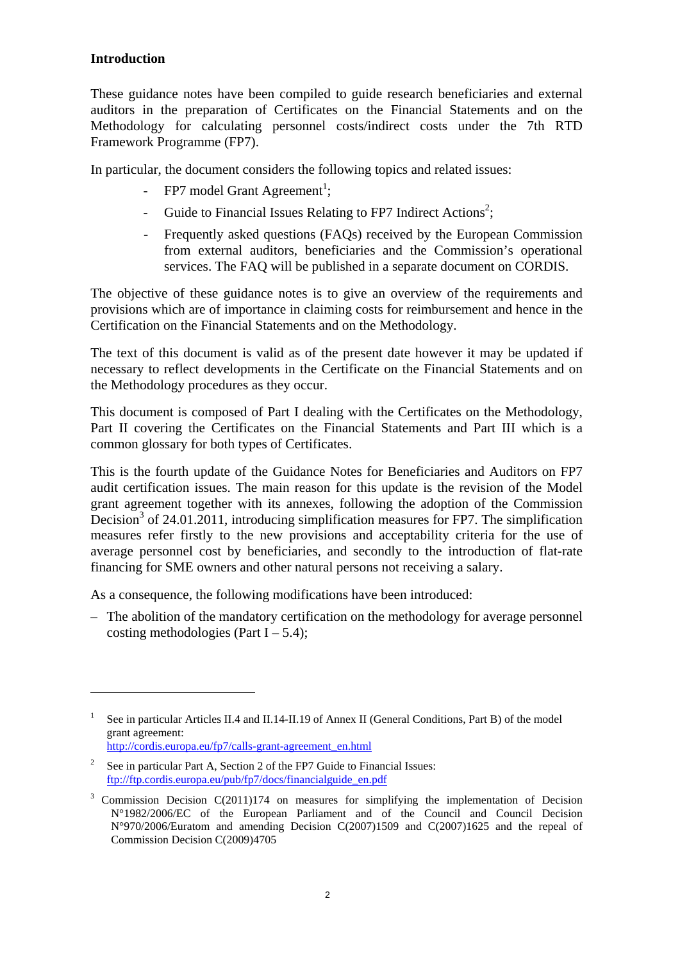#### **Introduction**

 $\overline{a}$ 

These guidance notes have been compiled to guide research beneficiaries and external auditors in the preparation of Certificates on the Financial Statements and on the Methodology for calculating personnel costs/indirect costs under the 7th RTD Framework Programme (FP7).

In particular, the document considers the following topics and related issues:

- FP7 model Grant Agreement<sup>1</sup>;
- Guide to Financial Issues Relating to FP7 Indirect Actions<sup>2</sup>;
- Frequently asked questions (FAQs) received by the European Commission from external auditors, beneficiaries and the Commission's operational services. The FAQ will be published in a separate document on CORDIS.

The objective of these guidance notes is to give an overview of the requirements and provisions which are of importance in claiming costs for reimbursement and hence in the Certification on the Financial Statements and on the Methodology.

The text of this document is valid as of the present date however it may be updated if necessary to reflect developments in the Certificate on the Financial Statements and on the Methodology procedures as they occur.

This document is composed of Part I dealing with the Certificates on the Methodology, Part II covering the Certificates on the Financial Statements and Part III which is a common glossary for both types of Certificates.

This is the fourth update of the Guidance Notes for Beneficiaries and Auditors on FP7 audit certification issues. The main reason for this update is the revision of the Model grant agreement together with its annexes, following the adoption of the Commission Decision<sup>3</sup> of 24.01.2011, introducing simplification measures for FP7. The simplification measures refer firstly to the new provisions and acceptability criteria for the use of average personnel cost by beneficiaries, and secondly to the introduction of flat-rate financing for SME owners and other natural persons not receiving a salary.

As a consequence, the following modifications have been introduced:

– The abolition of the mandatory certification on the methodology for average personnel costing methodologies (Part  $I - 5.4$ );

<sup>1</sup> See in particular Articles II.4 and II.14-II.19 of Annex II (General Conditions, Part B) of the model grant agreement: [http://cordis.europa.eu/fp7/calls-grant-agreemen](http://cordis.europa.eu/fp7/calls-grant-agreement_en.html)t\_en.html

<sup>2</sup> See in particular Part A, Section 2 of the FP7 Guide to Financial Issues: [ftp://ftp.cordis.europa.eu/pub/fp7/docs/financialguide\\_en.pdf](ftp://ftp.cordis.europa.eu/pub/fp7/docs/financialguide_en.pdf)

 $3$  Commission Decision C(2011)174 on measures for simplifying the implementation of Decision N°1982/2006/EC of the European Parliament and of the Council and Council Decision N°970/2006/Euratom and amending Decision C(2007)1509 and C(2007)1625 and the repeal of Commission Decision C(2009)4705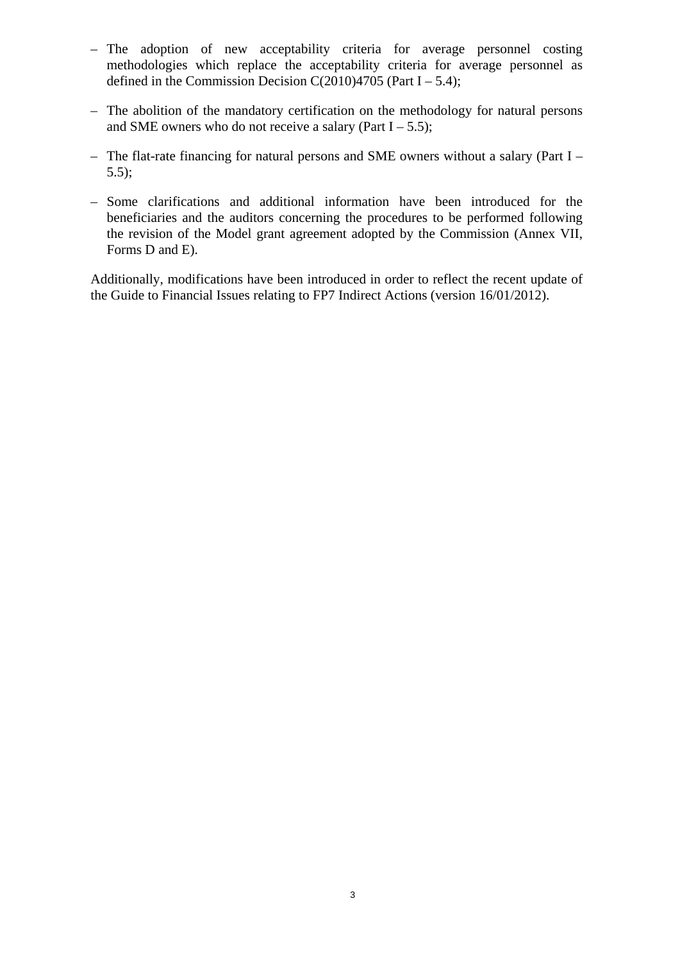- The adoption of new acceptability criteria for average personnel costing methodologies which replace the acceptability criteria for average personnel as defined in the Commission Decision C(2010)4705 (Part  $I - 5.4$ );
- The abolition of the mandatory certification on the methodology for natural persons and SME owners who do not receive a salary (Part  $I - 5.5$ );
- The flat-rate financing for natural persons and SME owners without a salary (Part I 5.5);
- Some clarifications and additional information have been introduced for the beneficiaries and the auditors concerning the procedures to be performed following the revision of the Model grant agreement adopted by the Commission (Annex VII, Forms D and E).

Additionally, modifications have been introduced in order to reflect the recent update of the Guide to Financial Issues relating to FP7 Indirect Actions (version 16/01/2012).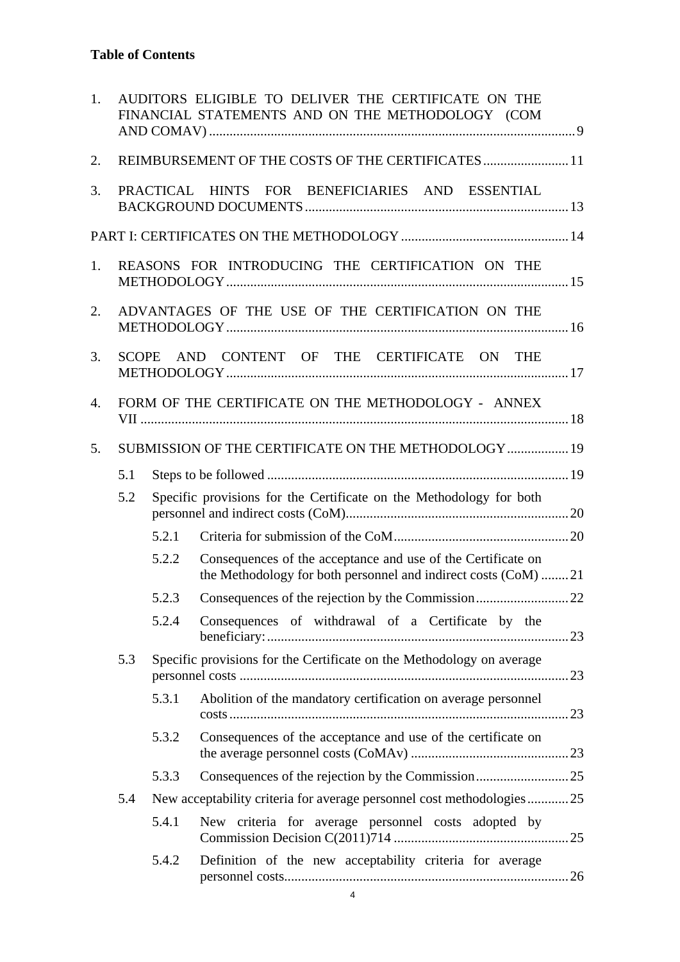| 1. | AUDITORS ELIGIBLE TO DELIVER THE CERTIFICATE ON THE<br>FINANCIAL STATEMENTS AND ON THE METHODOLOGY (COM |           |                                                                                                                                |  |
|----|---------------------------------------------------------------------------------------------------------|-----------|--------------------------------------------------------------------------------------------------------------------------------|--|
| 2. | REIMBURSEMENT OF THE COSTS OF THE CERTIFICATES 11                                                       |           |                                                                                                                                |  |
| 3. |                                                                                                         | PRACTICAL | HINTS FOR BENEFICIARIES AND ESSENTIAL                                                                                          |  |
|    |                                                                                                         |           |                                                                                                                                |  |
| 1. |                                                                                                         |           | REASONS FOR INTRODUCING THE CERTIFICATION ON THE                                                                               |  |
| 2. |                                                                                                         |           | ADVANTAGES OF THE USE OF THE CERTIFICATION ON THE                                                                              |  |
| 3. | <b>SCOPE</b>                                                                                            |           | AND CONTENT OF THE CERTIFICATE ON THE                                                                                          |  |
| 4. |                                                                                                         |           | FORM OF THE CERTIFICATE ON THE METHODOLOGY - ANNEX                                                                             |  |
| 5. |                                                                                                         |           | SUBMISSION OF THE CERTIFICATE ON THE METHODOLOGY  19                                                                           |  |
|    | 5.1                                                                                                     |           |                                                                                                                                |  |
|    | 5.2                                                                                                     |           | Specific provisions for the Certificate on the Methodology for both                                                            |  |
|    |                                                                                                         | 5.2.1     |                                                                                                                                |  |
|    |                                                                                                         | 5.2.2     | Consequences of the acceptance and use of the Certificate on<br>the Methodology for both personnel and indirect costs (CoM) 21 |  |
|    |                                                                                                         | 5.2.3     |                                                                                                                                |  |
|    |                                                                                                         | 5.2.4     | Consequences of withdrawal of a Certificate by the                                                                             |  |
|    | 5.3                                                                                                     |           | Specific provisions for the Certificate on the Methodology on average                                                          |  |
|    |                                                                                                         | 5.3.1     | Abolition of the mandatory certification on average personnel                                                                  |  |
|    |                                                                                                         | 5.3.2     | Consequences of the acceptance and use of the certificate on                                                                   |  |
|    |                                                                                                         | 5.3.3     |                                                                                                                                |  |
|    | 5.4                                                                                                     |           | New acceptability criteria for average personnel cost methodologies25                                                          |  |
|    |                                                                                                         | 5.4.1     | New criteria for average personnel costs adopted by                                                                            |  |
|    |                                                                                                         | 5.4.2     | Definition of the new acceptability criteria for average                                                                       |  |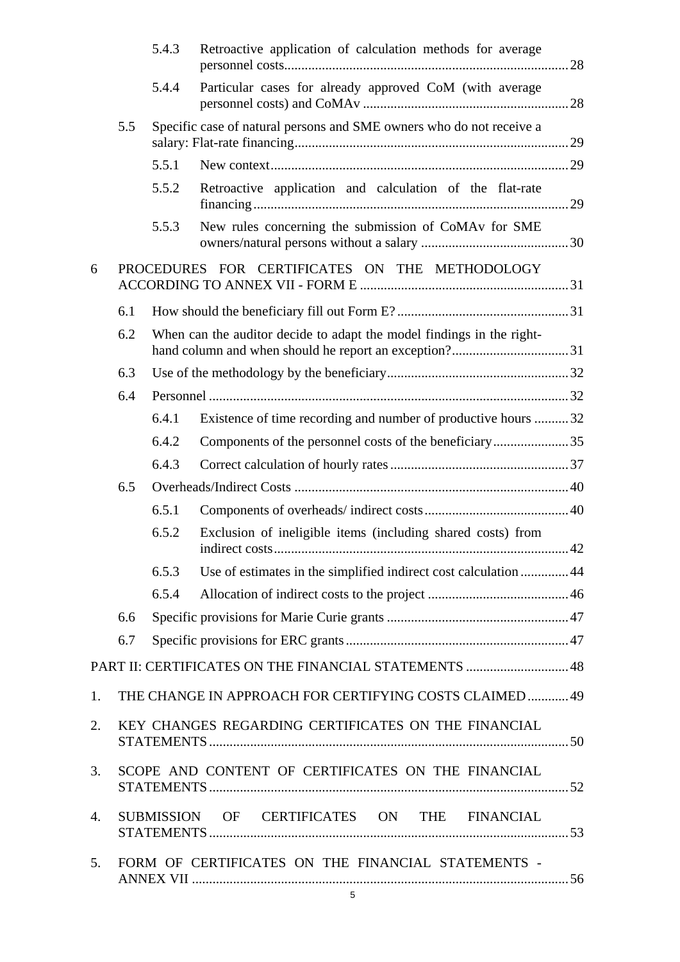|    |                                                     | 5.4.3      | Retroactive application of calculation methods for average                     |    |  |
|----|-----------------------------------------------------|------------|--------------------------------------------------------------------------------|----|--|
|    |                                                     | 5.4.4      | Particular cases for already approved CoM (with average                        |    |  |
|    | 5.5                                                 |            | Specific case of natural persons and SME owners who do not receive a           |    |  |
|    |                                                     | 5.5.1      |                                                                                |    |  |
|    |                                                     | 5.5.2      | Retroactive application and calculation of the flat-rate                       |    |  |
|    |                                                     | 5.5.3      | New rules concerning the submission of CoMA <sub>v</sub> for SME               |    |  |
| 6  |                                                     |            | PROCEDURES FOR CERTIFICATES ON THE METHODOLOGY                                 |    |  |
|    | 6.1                                                 |            |                                                                                |    |  |
|    | 6.2                                                 |            | When can the auditor decide to adapt the model findings in the right-          |    |  |
|    | 6.3                                                 |            |                                                                                |    |  |
|    | 6.4                                                 |            |                                                                                |    |  |
|    |                                                     | 6.4.1      | Existence of time recording and number of productive hours 32                  |    |  |
|    |                                                     | 6.4.2      |                                                                                |    |  |
|    |                                                     | 6.4.3      |                                                                                |    |  |
|    | 6.5                                                 |            |                                                                                |    |  |
|    |                                                     | 6.5.1      |                                                                                |    |  |
|    |                                                     | 6.5.2      | Exclusion of ineligible items (including shared costs) from<br>indirect costs. | 42 |  |
|    |                                                     | 6.5.3      | Use of estimates in the simplified indirect cost calculation 44                |    |  |
|    |                                                     | 6.5.4      |                                                                                |    |  |
|    | 6.6                                                 |            |                                                                                |    |  |
|    | 6.7                                                 |            |                                                                                |    |  |
|    |                                                     |            | PART II: CERTIFICATES ON THE FINANCIAL STATEMENTS  48                          |    |  |
| 1. |                                                     |            | THE CHANGE IN APPROACH FOR CERTIFYING COSTS CLAIMED 49                         |    |  |
| 2. | KEY CHANGES REGARDING CERTIFICATES ON THE FINANCIAL |            |                                                                                |    |  |
| 3. | SCOPE AND CONTENT OF CERTIFICATES ON THE FINANCIAL  |            |                                                                                |    |  |
| 4. |                                                     | SUBMISSION | OF CERTIFICATES ON THE FINANCIAL                                               |    |  |
| 5. | FORM OF CERTIFICATES ON THE FINANCIAL STATEMENTS -  |            |                                                                                |    |  |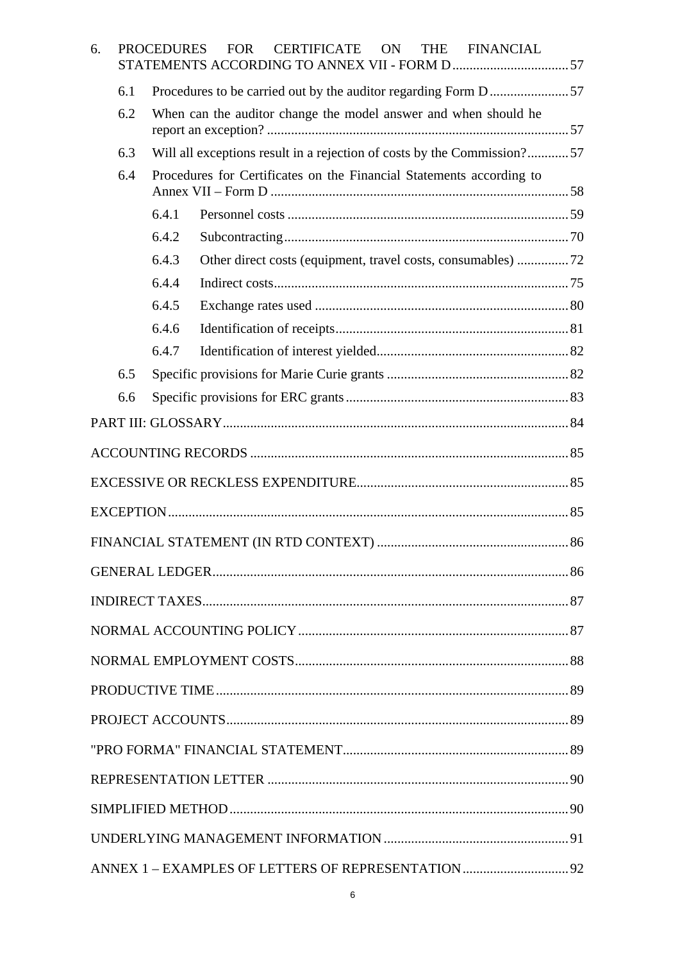| 6. |     | <b>PROCEDURES</b>                                                       | <b>FOR</b><br><b>CERTIFICATE</b><br><b>ON</b><br>THE FINANCIAL |  |  |  |  |
|----|-----|-------------------------------------------------------------------------|----------------------------------------------------------------|--|--|--|--|
|    | 6.1 |                                                                         |                                                                |  |  |  |  |
|    | 6.2 | When can the auditor change the model answer and when should he         |                                                                |  |  |  |  |
|    | 6.3 | Will all exceptions result in a rejection of costs by the Commission?57 |                                                                |  |  |  |  |
|    | 6.4 | Procedures for Certificates on the Financial Statements according to    |                                                                |  |  |  |  |
|    |     |                                                                         |                                                                |  |  |  |  |
|    |     | 6.4.1                                                                   |                                                                |  |  |  |  |
|    |     | 6.4.2                                                                   |                                                                |  |  |  |  |
|    |     | 6.4.3                                                                   |                                                                |  |  |  |  |
|    |     | 6.4.4                                                                   |                                                                |  |  |  |  |
|    |     | 6.4.5                                                                   |                                                                |  |  |  |  |
|    |     | 6.4.6                                                                   |                                                                |  |  |  |  |
|    |     | 6.4.7                                                                   |                                                                |  |  |  |  |
|    | 6.5 |                                                                         |                                                                |  |  |  |  |
|    | 6.6 |                                                                         |                                                                |  |  |  |  |
|    |     |                                                                         |                                                                |  |  |  |  |
|    |     |                                                                         |                                                                |  |  |  |  |
|    |     |                                                                         |                                                                |  |  |  |  |
|    |     |                                                                         |                                                                |  |  |  |  |
|    |     |                                                                         |                                                                |  |  |  |  |
|    |     |                                                                         |                                                                |  |  |  |  |
|    |     |                                                                         |                                                                |  |  |  |  |
|    |     |                                                                         |                                                                |  |  |  |  |
|    |     |                                                                         |                                                                |  |  |  |  |
|    |     |                                                                         |                                                                |  |  |  |  |
|    |     |                                                                         |                                                                |  |  |  |  |
|    |     |                                                                         |                                                                |  |  |  |  |
|    |     |                                                                         |                                                                |  |  |  |  |
|    |     |                                                                         |                                                                |  |  |  |  |
|    |     |                                                                         |                                                                |  |  |  |  |
|    |     |                                                                         |                                                                |  |  |  |  |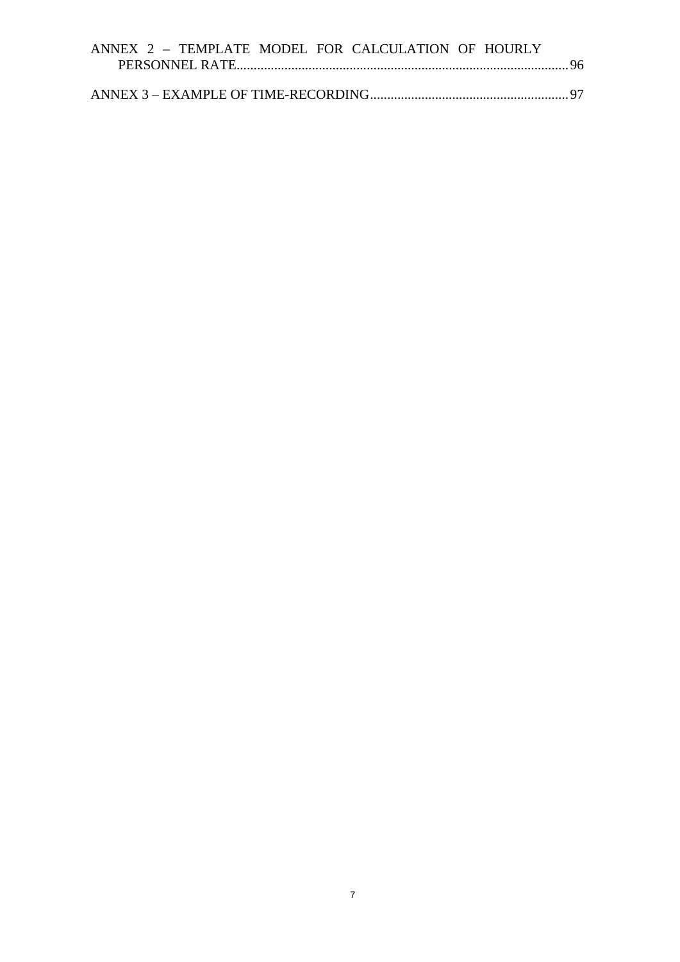| ANNEX 2 - TEMPLATE MODEL FOR CALCULATION OF HOURLY |  |  |  |  |
|----------------------------------------------------|--|--|--|--|
|                                                    |  |  |  |  |
|                                                    |  |  |  |  |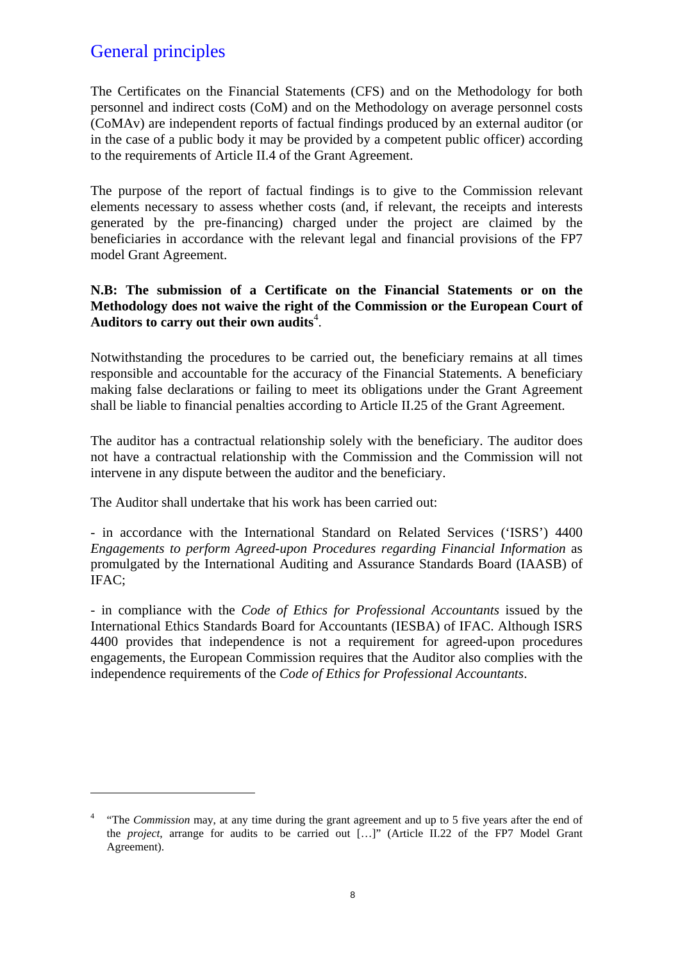# General principles

 $\overline{a}$ 

The Certificates on the Financial Statements (CFS) and on the Methodology for both personnel and indirect costs (CoM) and on the Methodology on average personnel costs (CoMAv) are independent reports of factual findings produced by an external auditor (or in the case of a public body it may be provided by a competent public officer) according to the requirements of Article II.4 of the Grant Agreement.

The purpose of the report of factual findings is to give to the Commission relevant elements necessary to assess whether costs (and, if relevant, the receipts and interests generated by the pre-financing) charged under the project are claimed by the beneficiaries in accordance with the relevant legal and financial provisions of the FP7 model Grant Agreement.

#### **N.B: The submission of a Certificate on the Financial Statements or on the Methodology does not waive the right of the Commission or the European Court of Auditors to carry out their own audits**<sup>4</sup> .

Notwithstanding the procedures to be carried out, the beneficiary remains at all times responsible and accountable for the accuracy of the Financial Statements. A beneficiary making false declarations or failing to meet its obligations under the Grant Agreement shall be liable to financial penalties according to Article II.25 of the Grant Agreement.

The auditor has a contractual relationship solely with the beneficiary. The auditor does not have a contractual relationship with the Commission and the Commission will not intervene in any dispute between the auditor and the beneficiary.

The Auditor shall undertake that his work has been carried out:

- in accordance with the International Standard on Related Services ('ISRS') 4400 *Engagements to perform Agreed-upon Procedures regarding Financial Information* as promulgated by the International Auditing and Assurance Standards Board (IAASB) of IFAC;

- in compliance with the *Code of Ethics for Professional Accountants* issued by the International Ethics Standards Board for Accountants (IESBA) of IFAC. Although ISRS 4400 provides that independence is not a requirement for agreed-upon procedures engagements, the European Commission requires that the Auditor also complies with the independence requirements of the *Code of Ethics for Professional Accountants*.

<sup>&</sup>lt;sup>4</sup> "The *Commission* may, at any time during the grant agreement and up to 5 five years after the end of the *project*, arrange for audits to be carried out […]" (Article II.22 of the FP7 Model Grant Agreement).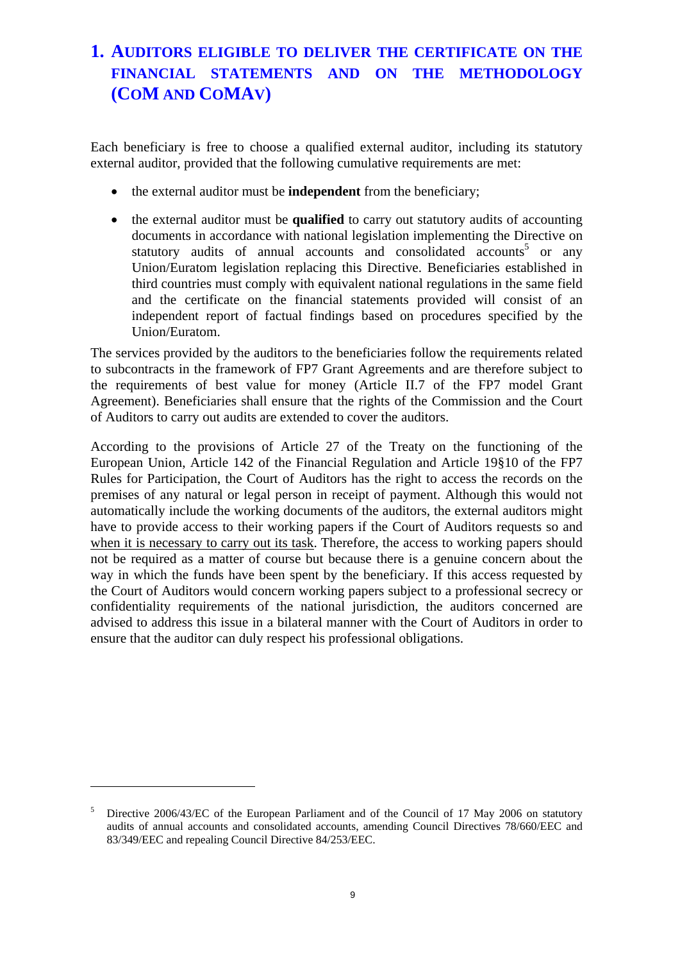# <span id="page-8-0"></span>**1. AUDITORS ELIGIBLE TO DELIVER THE CERTIFICATE ON THE FINANCIAL STATEMENTS AND ON THE METHODOLOGY (COM AND COMAV)**

Each beneficiary is free to choose a qualified external auditor, including its statutory external auditor, provided that the following cumulative requirements are met:

- the external auditor must be **independent** from the beneficiary;
- the external auditor must be **qualified** to carry out statutory audits of accounting documents in accordance with national legislation implementing the Directive on statutory audits of annual accounts and consolidated accounts<sup>5</sup> or any Union/Euratom legislation replacing this Directive. Beneficiaries established in third countries must comply with equivalent national regulations in the same field and the certificate on the financial statements provided will consist of an independent report of factual findings based on procedures specified by the Union/Euratom.

The services provided by the auditors to the beneficiaries follow the requirements related to subcontracts in the framework of FP7 Grant Agreements and are therefore subject to the requirements of best value for money (Article II.7 of the FP7 model Grant Agreement). Beneficiaries shall ensure that the rights of the Commission and the Court of Auditors to carry out audits are extended to cover the auditors.

According to the provisions of Article 27 of the Treaty on the functioning of the European Union, Article 142 of the Financial Regulation and Article 19§10 of the FP7 Rules for Participation, the Court of Auditors has the right to access the records on the premises of any natural or legal person in receipt of payment. Although this would not automatically include the working documents of the auditors, the external auditors might have to provide access to their working papers if the Court of Auditors requests so and when it is necessary to carry out its task. Therefore, the access to working papers should not be required as a matter of course but because there is a genuine concern about the way in which the funds have been spent by the beneficiary. If this access requested by the Court of Auditors would concern working papers subject to a professional secrecy or confidentiality requirements of the national jurisdiction, the auditors concerned are advised to address this issue in a bilateral manner with the Court of Auditors in order to ensure that the auditor can duly respect his professional obligations.

<sup>5</sup> Directive 2006/43/EC of the European Parliament and of the Council of 17 May 2006 on statutory audits of annual accounts and consolidated accounts, amending Council Directives 78/660/EEC and 83/349/EEC and repealing Council Directive 84/253/EEC.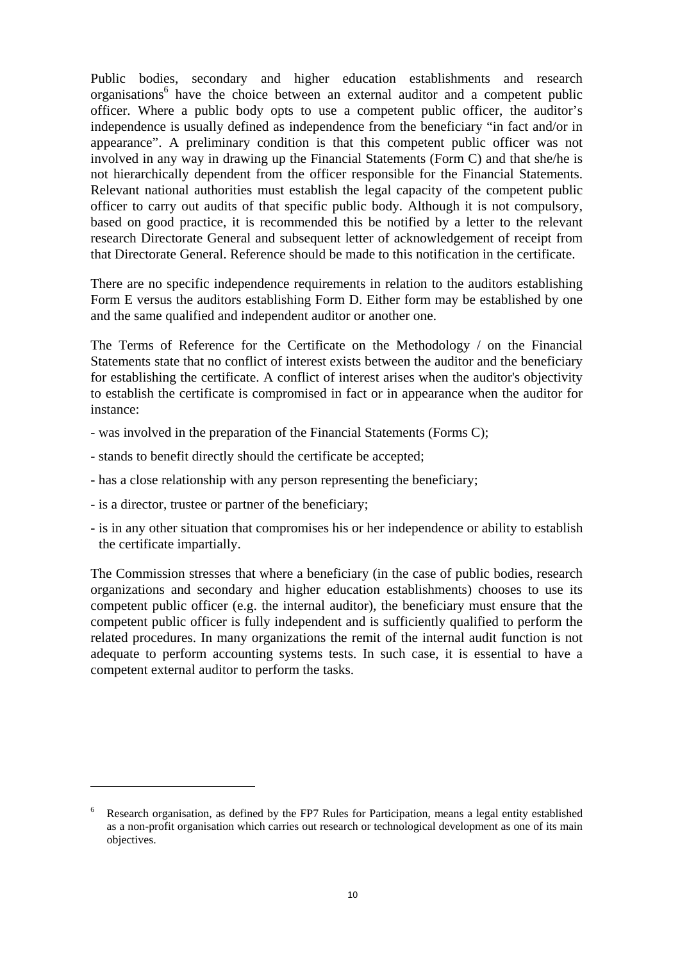Public bodies, secondary and higher education establishments and research organisations<sup>6</sup> have the choice between an external auditor and a competent public officer. Where a public body opts to use a competent public officer, the auditor's independence is usually defined as independence from the beneficiary "in fact and/or in appearance". A preliminary condition is that this competent public officer was not involved in any way in drawing up the Financial Statements (Form C) and that she/he is not hierarchically dependent from the officer responsible for the Financial Statements. Relevant national authorities must establish the legal capacity of the competent public officer to carry out audits of that specific public body. Although it is not compulsory, based on good practice, it is recommended this be notified by a letter to the relevant research Directorate General and subsequent letter of acknowledgement of receipt from that Directorate General. Reference should be made to this notification in the certificate.

There are no specific independence requirements in relation to the auditors establishing Form E versus the auditors establishing Form D. Either form may be established by one and the same qualified and independent auditor or another one.

The Terms of Reference for the Certificate on the Methodology / on the Financial Statements state that no conflict of interest exists between the auditor and the beneficiary for establishing the certificate. A conflict of interest arises when the auditor's objectivity to establish the certificate is compromised in fact or in appearance when the auditor for instance:

- was involved in the preparation of the Financial Statements (Forms C);
- stands to benefit directly should the certificate be accepted;
- has a close relationship with any person representing the beneficiary;
- is a director, trustee or partner of the beneficiary;

 $\overline{a}$ 

- is in any other situation that compromises his or her independence or ability to establish the certificate impartially.

The Commission stresses that where a beneficiary (in the case of public bodies, research organizations and secondary and higher education establishments) chooses to use its competent public officer (e.g. the internal auditor), the beneficiary must ensure that the competent public officer is fully independent and is sufficiently qualified to perform the related procedures. In many organizations the remit of the internal audit function is not adequate to perform accounting systems tests. In such case, it is essential to have a competent external auditor to perform the tasks.

<sup>6</sup> Research organisation, as defined by the FP7 Rules for Participation, means a legal entity established as a non-profit organisation which carries out research or technological development as one of its main objectives.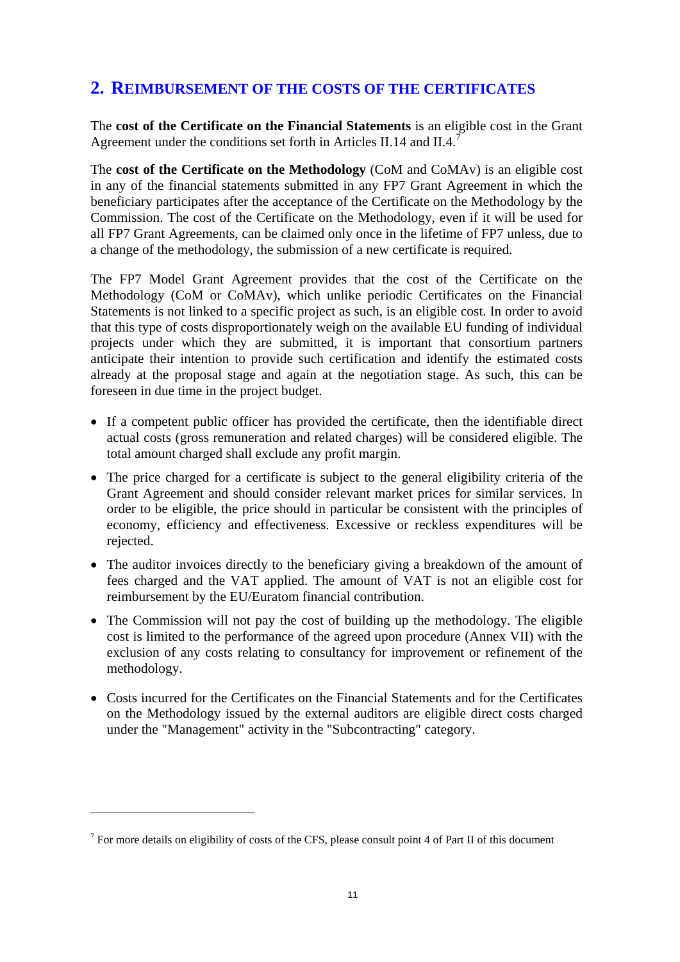### <span id="page-10-0"></span>**2. REIMBURSEMENT OF THE COSTS OF THE CERTIFICATES**

The **cost of the Certificate on the Financial Statements** is an eligible cost in the Grant Agreement under the conditions set forth in Articles II.14 and II.4.<sup>7</sup>

The **cost of the Certificate on the Methodology** (CoM and CoMAv) is an eligible cost in any of the financial statements submitted in any FP7 Grant Agreement in which the beneficiary participates after the acceptance of the Certificate on the Methodology by the Commission. The cost of the Certificate on the Methodology, even if it will be used for all FP7 Grant Agreements, can be claimed only once in the lifetime of FP7 unless, due to a change of the methodology, the submission of a new certificate is required.

The FP7 Model Grant Agreement provides that the cost of the Certificate on the Methodology (CoM or CoMAv), which unlike periodic Certificates on the Financial Statements is not linked to a specific project as such, is an eligible cost. In order to avoid that this type of costs disproportionately weigh on the available EU funding of individual projects under which they are submitted, it is important that consortium partners anticipate their intention to provide such certification and identify the estimated costs already at the proposal stage and again at the negotiation stage. As such, this can be foreseen in due time in the project budget.

- If a competent public officer has provided the certificate, then the identifiable direct actual costs (gross remuneration and related charges) will be considered eligible. The total amount charged shall exclude any profit margin.
- The price charged for a certificate is subject to the general eligibility criteria of the Grant Agreement and should consider relevant market prices for similar services. In order to be eligible, the price should in particular be consistent with the principles of economy, efficiency and effectiveness. Excessive or reckless expenditures will be rejected.
- The auditor invoices directly to the beneficiary giving a breakdown of the amount of fees charged and the VAT applied. The amount of VAT is not an eligible cost for reimbursement by the EU/Euratom financial contribution.
- The Commission will not pay the cost of building up the methodology. The eligible cost is limited to the performance of the agreed upon procedure (Annex VII) with the exclusion of any costs relating to consultancy for improvement or refinement of the methodology.
- Costs incurred for the Certificates on the Financial Statements and for the Certificates on the Methodology issued by the external auditors are eligible direct costs charged under the "Management" activity in the "Subcontracting" category.

 $7$  For more details on eligibility of costs of the CFS, please consult point 4 of Part II of this document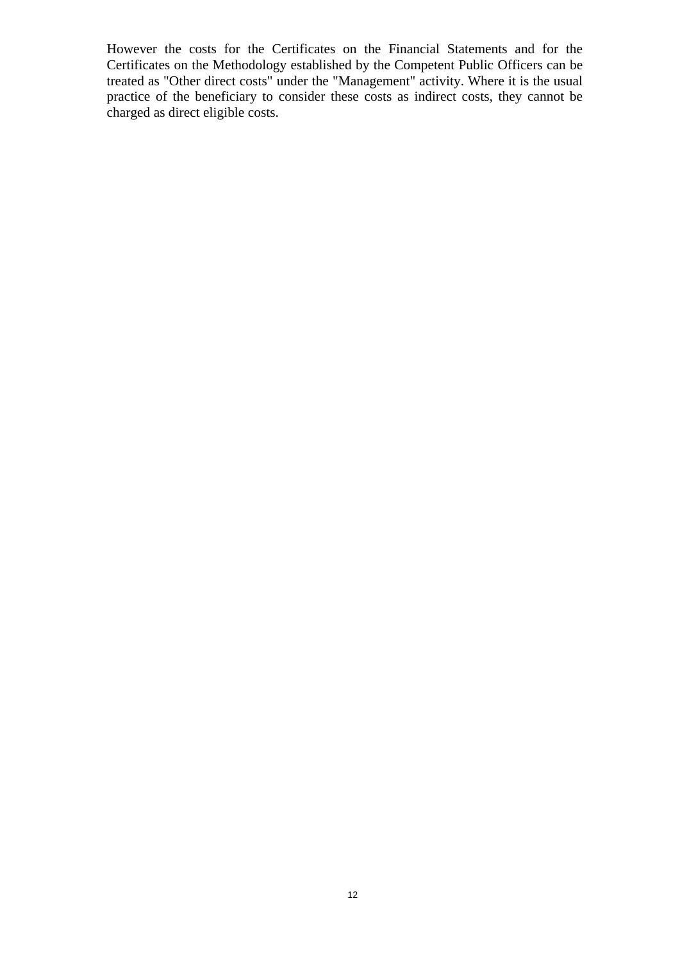However the costs for the Certificates on the Financial Statements and for the Certificates on the Methodology established by the Competent Public Officers can be treated as "Other direct costs" under the "Management" activity. Where it is the usual practice of the beneficiary to consider these costs as indirect costs, they cannot be charged as direct eligible costs.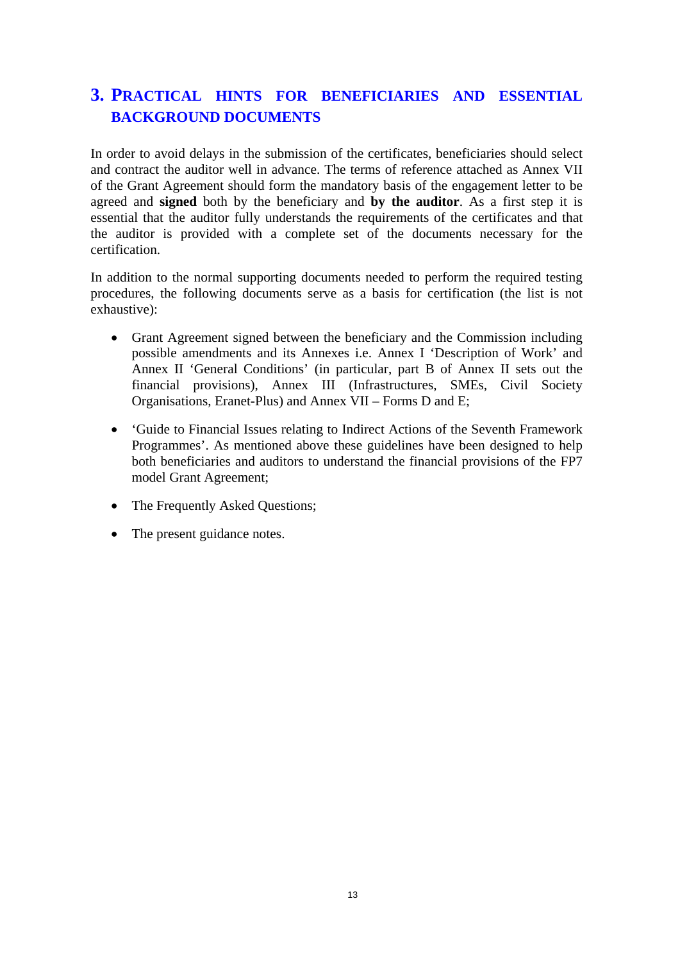# <span id="page-12-0"></span>**3. PRACTICAL HINTS FOR BENEFICIARIES AND ESSENTIAL BACKGROUND DOCUMENTS**

In order to avoid delays in the submission of the certificates, beneficiaries should select and contract the auditor well in advance. The terms of reference attached as Annex VII of the Grant Agreement should form the mandatory basis of the engagement letter to be agreed and **signed** both by the beneficiary and **by the auditor**. As a first step it is essential that the auditor fully understands the requirements of the certificates and that the auditor is provided with a complete set of the documents necessary for the certification.

In addition to the normal supporting documents needed to perform the required testing procedures, the following documents serve as a basis for certification (the list is not exhaustive):

- Grant Agreement signed between the beneficiary and the Commission including possible amendments and its Annexes i.e. Annex I 'Description of Work' and Annex II 'General Conditions' (in particular, part B of Annex II sets out the financial provisions), Annex III (Infrastructures, SMEs, Civil Society Organisations, Eranet-Plus) and Annex VII – Forms D and E;
- 'Guide to Financial Issues relating to Indirect Actions of the Seventh Framework Programmes'. As mentioned above these guidelines have been designed to help both beneficiaries and auditors to understand the financial provisions of the FP7 model Grant Agreement;
- The Frequently Asked Questions;
- The present guidance notes.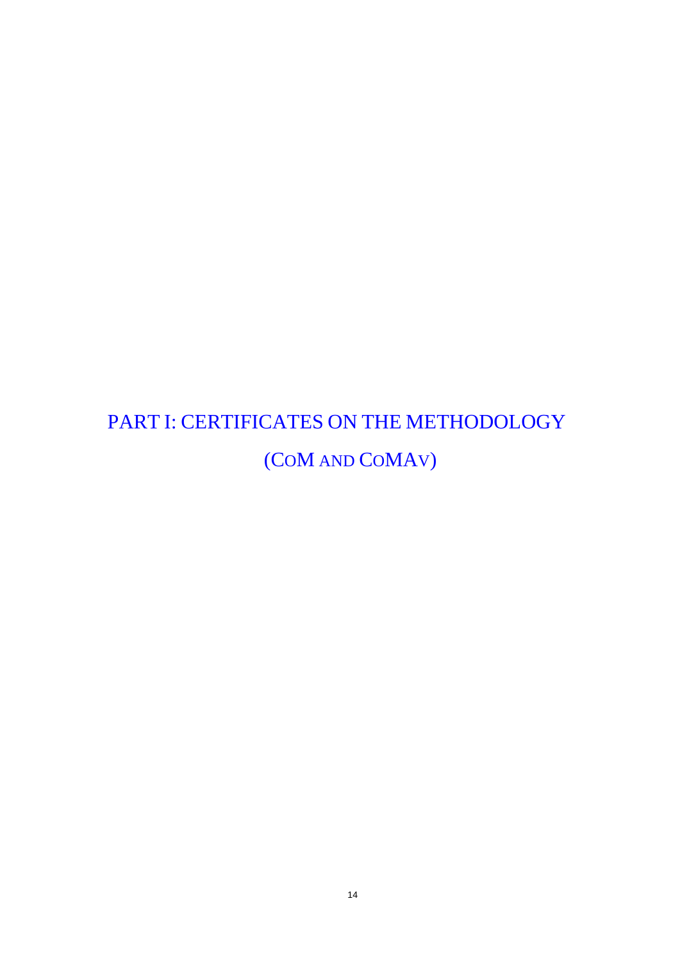# <span id="page-13-0"></span>PART I: CERTIFICATES ON THE METHODOLOGY (COM AND COMAV)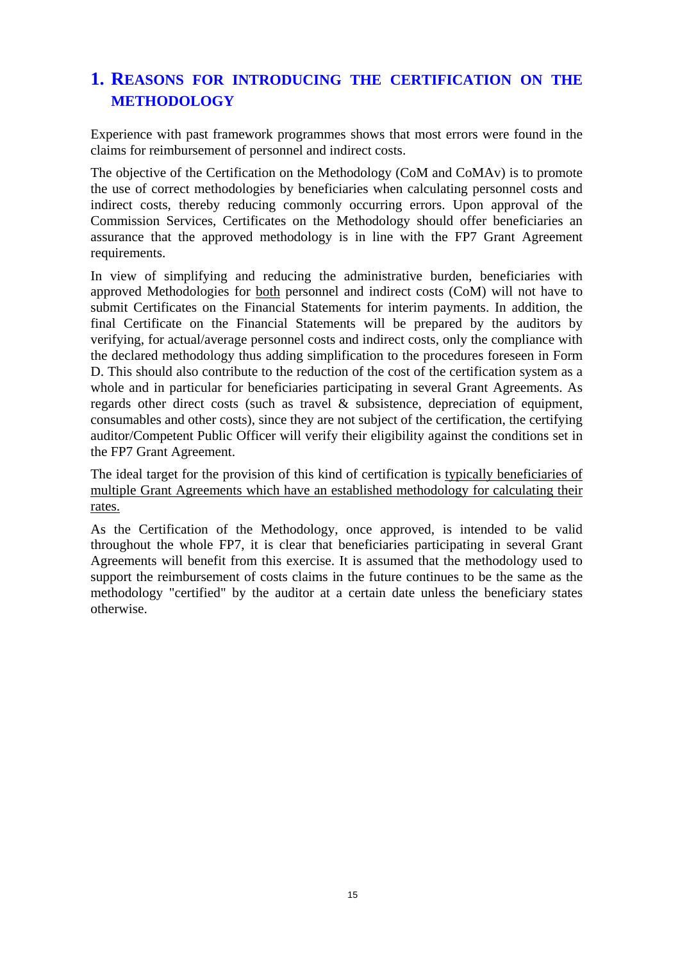# <span id="page-14-0"></span>**1. REASONS FOR INTRODUCING THE CERTIFICATION ON THE METHODOLOGY**

Experience with past framework programmes shows that most errors were found in the claims for reimbursement of personnel and indirect costs.

The objective of the Certification on the Methodology (CoM and CoMAv) is to promote the use of correct methodologies by beneficiaries when calculating personnel costs and indirect costs, thereby reducing commonly occurring errors. Upon approval of the Commission Services, Certificates on the Methodology should offer beneficiaries an assurance that the approved methodology is in line with the FP7 Grant Agreement requirements.

In view of simplifying and reducing the administrative burden, beneficiaries with approved Methodologies for both personnel and indirect costs (CoM) will not have to submit Certificates on the Financial Statements for interim payments. In addition, the final Certificate on the Financial Statements will be prepared by the auditors by verifying, for actual/average personnel costs and indirect costs, only the compliance with the declared methodology thus adding simplification to the procedures foreseen in Form D. This should also contribute to the reduction of the cost of the certification system as a whole and in particular for beneficiaries participating in several Grant Agreements. As regards other direct costs (such as travel & subsistence, depreciation of equipment, consumables and other costs), since they are not subject of the certification, the certifying auditor/Competent Public Officer will verify their eligibility against the conditions set in the FP7 Grant Agreement.

The ideal target for the provision of this kind of certification is typically beneficiaries of multiple Grant Agreements which have an established methodology for calculating their rates.

As the Certification of the Methodology, once approved, is intended to be valid throughout the whole FP7, it is clear that beneficiaries participating in several Grant Agreements will benefit from this exercise. It is assumed that the methodology used to support the reimbursement of costs claims in the future continues to be the same as the methodology "certified" by the auditor at a certain date unless the beneficiary states otherwise.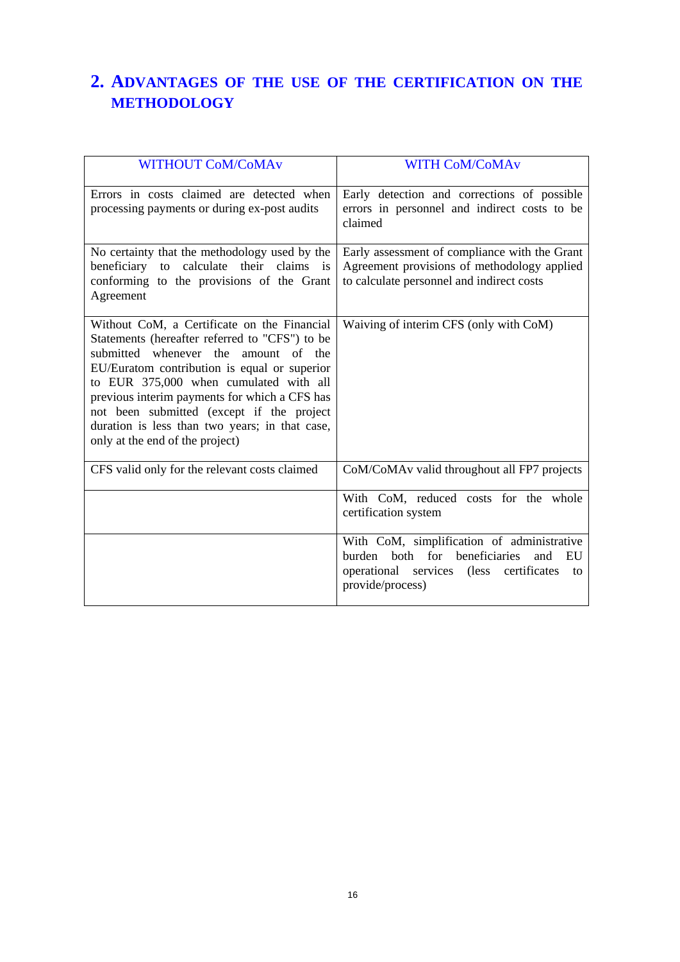# <span id="page-15-0"></span>**2. ADVANTAGES OF THE USE OF THE CERTIFICATION ON THE METHODOLOGY**

| <b>WITHOUT CoM/CoMAv</b>                                                                                                                                                                                                                                                                                                                                                                                           | <b>WITH CoM/CoMAv</b>                                                                                                                                            |
|--------------------------------------------------------------------------------------------------------------------------------------------------------------------------------------------------------------------------------------------------------------------------------------------------------------------------------------------------------------------------------------------------------------------|------------------------------------------------------------------------------------------------------------------------------------------------------------------|
| Errors in costs claimed are detected when<br>processing payments or during ex-post audits                                                                                                                                                                                                                                                                                                                          | Early detection and corrections of possible<br>errors in personnel and indirect costs to be<br>claimed                                                           |
| No certainty that the methodology used by the<br>beneficiary to calculate their claims is<br>conforming to the provisions of the Grant<br>Agreement                                                                                                                                                                                                                                                                | Early assessment of compliance with the Grant<br>Agreement provisions of methodology applied<br>to calculate personnel and indirect costs                        |
| Without CoM, a Certificate on the Financial<br>Statements (hereafter referred to "CFS") to be<br>submitted whenever the amount of the<br>EU/Euratom contribution is equal or superior<br>to EUR 375,000 when cumulated with all<br>previous interim payments for which a CFS has<br>not been submitted (except if the project<br>duration is less than two years; in that case,<br>only at the end of the project) | Waiving of interim CFS (only with CoM)                                                                                                                           |
| CFS valid only for the relevant costs claimed                                                                                                                                                                                                                                                                                                                                                                      | CoM/CoMAv valid throughout all FP7 projects                                                                                                                      |
|                                                                                                                                                                                                                                                                                                                                                                                                                    | With CoM, reduced costs for the whole<br>certification system                                                                                                    |
|                                                                                                                                                                                                                                                                                                                                                                                                                    | With CoM, simplification of administrative<br>both for beneficiaries<br>burden<br>and<br>EU<br>operational services (less certificates<br>to<br>provide/process) |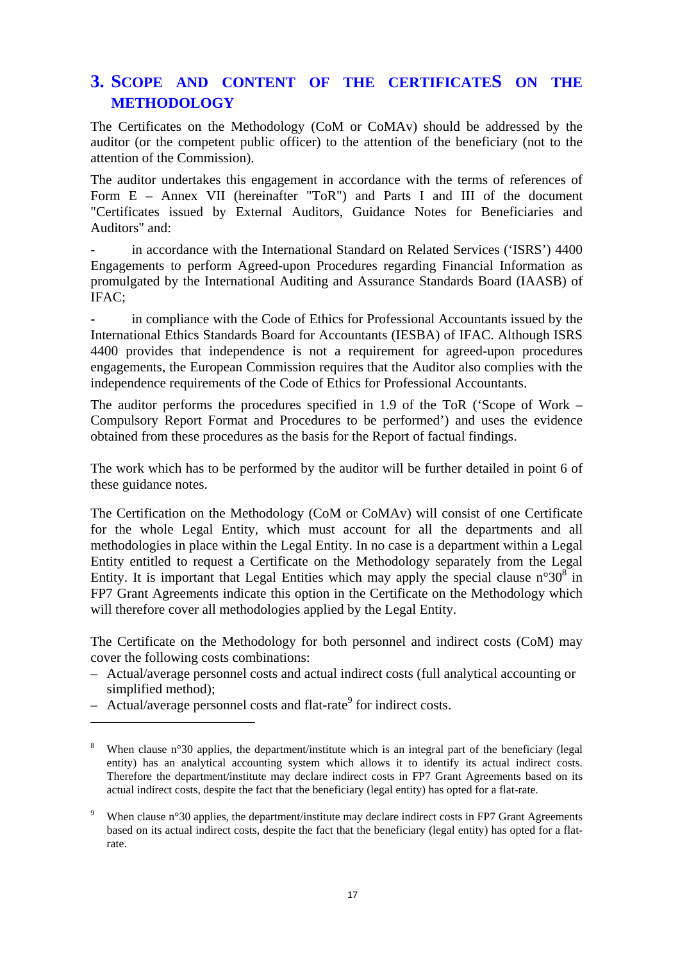### <span id="page-16-0"></span>**3. SCOPE AND CONTENT OF THE CERTIFICATES ON THE METHODOLOGY**

The Certificates on the Methodology (CoM or CoMAv) should be addressed by the auditor (or the competent public officer) to the attention of the beneficiary (not to the attention of the Commission).

The auditor undertakes this engagement in accordance with the terms of references of Form E – Annex VII (hereinafter "ToR") and Parts I and III of the document "Certificates issued by External Auditors, Guidance Notes for Beneficiaries and Auditors" and:

in accordance with the International Standard on Related Services ('ISRS') 4400 Engagements to perform Agreed-upon Procedures regarding Financial Information as promulgated by the International Auditing and Assurance Standards Board (IAASB) of IFAC;

in compliance with the Code of Ethics for Professional Accountants issued by the International Ethics Standards Board for Accountants (IESBA) of IFAC. Although ISRS 4400 provides that independence is not a requirement for agreed-upon procedures engagements, the European Commission requires that the Auditor also complies with the independence requirements of the Code of Ethics for Professional Accountants.

The auditor performs the procedures specified in 1.9 of the ToR ('Scope of Work – Compulsory Report Format and Procedures to be performed') and uses the evidence obtained from these procedures as the basis for the Report of factual findings.

The work which has to be performed by the auditor will be further detailed in point 6 of these guidance notes.

The Certification on the Methodology (CoM or CoMAv) will consist of one Certificate for the whole Legal Entity, which must account for all the departments and all methodologies in place within the Legal Entity. In no case is a department within a Legal Entity entitled to request a Certificate on the Methodology separately from the Legal Entity. It is important that Legal Entities which may apply the special clause  $n^{\circ}30^8$  in FP7 Grant Agreements indicate this option in the Certificate on the Methodology which will therefore cover all methodologies applied by the Legal Entity.

The Certificate on the Methodology for both personnel and indirect costs (CoM) may cover the following costs combinations:

- Actual/average personnel costs and actual indirect costs (full analytical accounting or simplified method);
- $-$  Actual/average personnel costs and flat-rate<sup>9</sup> for indirect costs.

<sup>8</sup> When clause n°30 applies, the department/institute which is an integral part of the beneficiary (legal entity) has an analytical accounting system which allows it to identify its actual indirect costs. Therefore the department/institute may declare indirect costs in FP7 Grant Agreements based on its actual indirect costs, despite the fact that the beneficiary (legal entity) has opted for a flat-rate.

<sup>9</sup> When clause n°30 applies, the department/institute may declare indirect costs in FP7 Grant Agreements based on its actual indirect costs, despite the fact that the beneficiary (legal entity) has opted for a flatrate.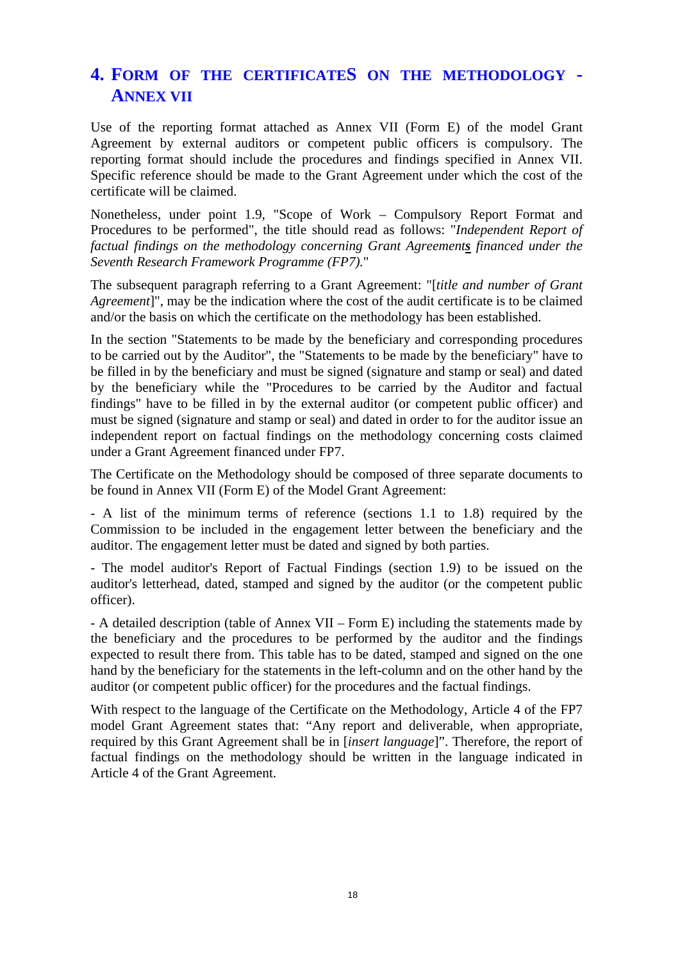# <span id="page-17-0"></span>**4. FORM OF THE CERTIFICATES ON THE METHODOLOGY - ANNEX VII**

Use of the reporting format attached as Annex VII (Form E) of the model Grant Agreement by external auditors or competent public officers is compulsory. The reporting format should include the procedures and findings specified in Annex VII. Specific reference should be made to the Grant Agreement under which the cost of the certificate will be claimed.

Nonetheless, under point 1.9, "Scope of Work – Compulsory Report Format and Procedures to be performed", the title should read as follows: "*Independent Report of factual findings on the methodology concerning Grant Agreements financed under the Seventh Research Framework Programme (FP7).*"

The subsequent paragraph referring to a Grant Agreement: "[*title and number of Grant Agreement*]", may be the indication where the cost of the audit certificate is to be claimed and/or the basis on which the certificate on the methodology has been established.

In the section "Statements to be made by the beneficiary and corresponding procedures to be carried out by the Auditor", the "Statements to be made by the beneficiary" have to be filled in by the beneficiary and must be signed (signature and stamp or seal) and dated by the beneficiary while the "Procedures to be carried by the Auditor and factual findings" have to be filled in by the external auditor (or competent public officer) and must be signed (signature and stamp or seal) and dated in order to for the auditor issue an independent report on factual findings on the methodology concerning costs claimed under a Grant Agreement financed under FP7.

The Certificate on the Methodology should be composed of three separate documents to be found in Annex VII (Form E) of the Model Grant Agreement:

- A list of the minimum terms of reference (sections 1.1 to 1.8) required by the Commission to be included in the engagement letter between the beneficiary and the auditor. The engagement letter must be dated and signed by both parties.

- The model auditor's Report of Factual Findings (section 1.9) to be issued on the auditor's letterhead, dated, stamped and signed by the auditor (or the competent public officer).

- A detailed description (table of Annex VII – Form E) including the statements made by the beneficiary and the procedures to be performed by the auditor and the findings expected to result there from. This table has to be dated, stamped and signed on the one hand by the beneficiary for the statements in the left-column and on the other hand by the auditor (or competent public officer) for the procedures and the factual findings.

With respect to the language of the Certificate on the Methodology, Article 4 of the FP7 model Grant Agreement states that: "Any report and deliverable, when appropriate, required by this Grant Agreement shall be in [*insert language*]". Therefore, the report of factual findings on the methodology should be written in the language indicated in Article 4 of the Grant Agreement.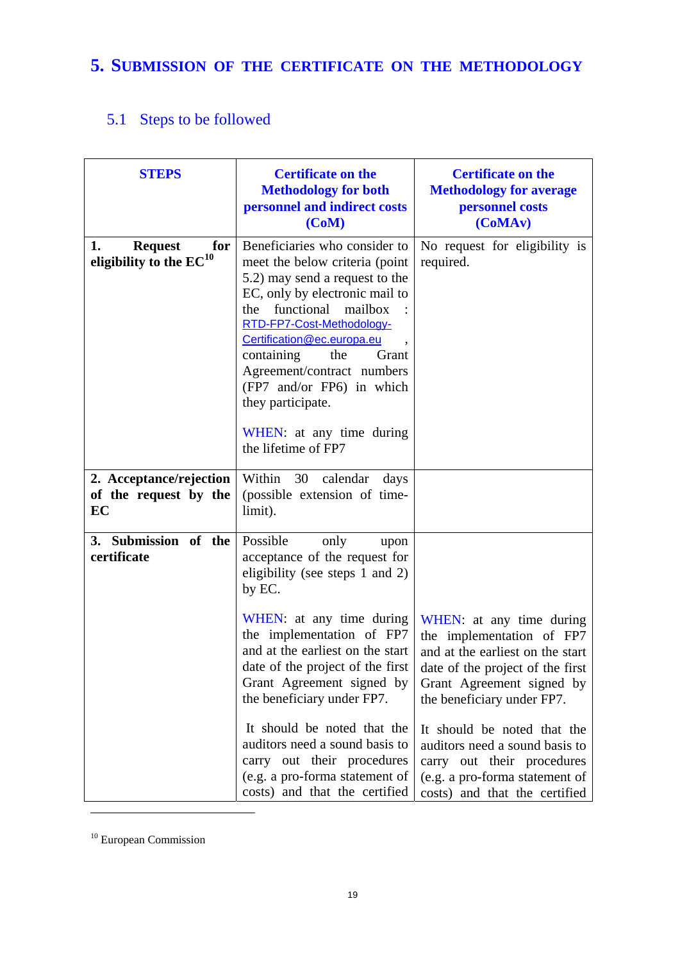# <span id="page-18-1"></span><span id="page-18-0"></span>**5. SUBMISSION OF THE CERTIFICATE ON THE METHODOLOGY**

# 5.1 Steps to be followed

| <b>STEPS</b>                                                | <b>Certificate on the</b><br><b>Methodology for both</b><br>personnel and indirect costs<br>(CoM)                                                                                                                                                                                                                                                                                                                                                                    | <b>Certificate on the</b><br><b>Methodology for average</b><br>personnel costs<br>(CoMAv)                                                                                                                                                                                                                                                                  |  |
|-------------------------------------------------------------|----------------------------------------------------------------------------------------------------------------------------------------------------------------------------------------------------------------------------------------------------------------------------------------------------------------------------------------------------------------------------------------------------------------------------------------------------------------------|------------------------------------------------------------------------------------------------------------------------------------------------------------------------------------------------------------------------------------------------------------------------------------------------------------------------------------------------------------|--|
| 1.<br><b>Request</b><br>for<br>eligibility to the $EC^{10}$ | Beneficiaries who consider to<br>meet the below criteria (point<br>5.2) may send a request to the<br>EC, only by electronic mail to<br>functional mailbox<br>the<br>RTD-FP7-Cost-Methodology-<br>Certification@ec.europa.eu<br>containing<br>the<br>Grant<br>Agreement/contract numbers<br>(FP7 and/or FP6) in which<br>they participate.<br>WHEN: at any time during<br>the lifetime of FP7                                                                         | No request for eligibility is<br>required.                                                                                                                                                                                                                                                                                                                 |  |
| 2. Acceptance/rejection<br>of the request by the<br>EC      | Within 30 calendar<br>days<br>(possible extension of time-<br>limit).                                                                                                                                                                                                                                                                                                                                                                                                |                                                                                                                                                                                                                                                                                                                                                            |  |
| 3. Submission of the<br>certificate                         | Possible<br>only<br>upon<br>acceptance of the request for<br>eligibility (see steps 1 and 2)<br>by EC.<br>WHEN: at any time during<br>the implementation of FP7<br>and at the earliest on the start<br>date of the project of the first<br>Grant Agreement signed by<br>the beneficiary under FP7.<br>It should be noted that the<br>auditors need a sound basis to<br>carry out their procedures<br>(e.g. a pro-forma statement of<br>costs) and that the certified | WHEN: at any time during<br>the implementation of FP7<br>and at the earliest on the start<br>date of the project of the first<br>Grant Agreement signed by<br>the beneficiary under FP7.<br>It should be noted that the<br>auditors need a sound basis to<br>carry out their procedures<br>(e.g. a pro-forma statement of<br>costs) and that the certified |  |

<sup>&</sup>lt;sup>10</sup> European Commission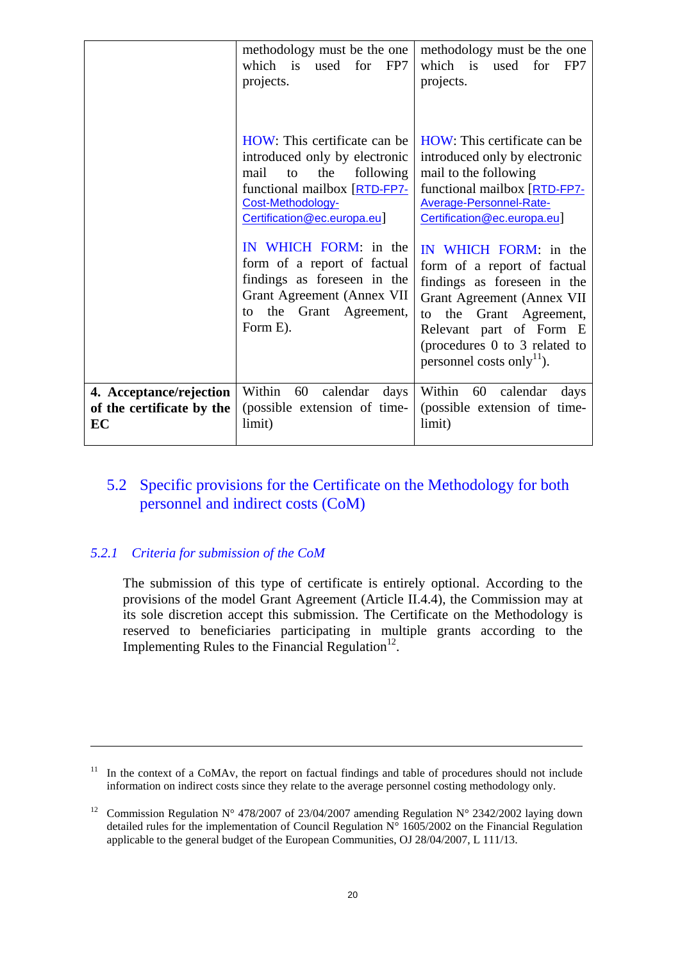|                                                            | methodology must be the one<br>which is used for FP7<br>projects.                                                                                                                   | methodology must be the one<br>which is used for<br>FP7<br>projects.                                                                                                                                                                              |
|------------------------------------------------------------|-------------------------------------------------------------------------------------------------------------------------------------------------------------------------------------|---------------------------------------------------------------------------------------------------------------------------------------------------------------------------------------------------------------------------------------------------|
|                                                            | HOW: This certificate can be<br>introduced only by electronic<br>mail<br>the<br>following<br>to<br>functional mailbox [RTD-FP7-<br>Cost-Methodology-<br>Certification@ec.europa.eu] | HOW: This certificate can be<br>introduced only by electronic<br>mail to the following<br>functional mailbox [RTD-FP7-<br>Average-Personnel-Rate-<br>Certification@ec.europa.eu]                                                                  |
|                                                            | IN WHICH FORM: in the<br>form of a report of factual<br>findings as foreseen in the<br>Grant Agreement (Annex VII<br>the<br>Grant Agreement,<br>to<br>Form E).                      | IN WHICH FORM: in the<br>form of a report of factual<br>findings as foreseen in the<br>Grant Agreement (Annex VII<br>to the Grant Agreement,<br>Relevant part of Form E<br>(procedures 0 to 3 related to<br>personnel costs only <sup>11</sup> ). |
| 4. Acceptance/rejection<br>of the certificate by the<br>EC | Within 60 calendar<br>days<br>(possible extension of time-<br>limit)                                                                                                                | Within<br>60 calendar<br>days<br>(possible extension of time-<br>limit)                                                                                                                                                                           |

### <span id="page-19-0"></span>5.2 Specific provisions for the Certificate on the Methodology for both personnel and indirect costs (CoM)

#### <span id="page-19-1"></span>*5.2.1 Criteria for submission of the CoM*

<u>.</u>

The submission of this type of certificate is entirely optional. According to the provisions of the model Grant Agreement (Article II.4.4), the Commission may at its sole discretion accept this submission. The Certificate on the Methodology is reserved to beneficiaries participating in multiple grants according to the Implementing Rules to the Financial Regulation $12$ .

 $11$  In the context of a CoMAv, the report on factual findings and table of procedures should not include information on indirect costs since they relate to the average personnel costing methodology only.

<sup>&</sup>lt;sup>12</sup> Commission Regulation N° 478/2007 of 23/04/2007 amending Regulation N° 2342/2002 laying down detailed rules for the implementation of Council Regulation  $N^{\circ}$  1605/2002 on the Financial Regulation applicable to the general budget of the European Communities, OJ 28/04/2007, L 111/13.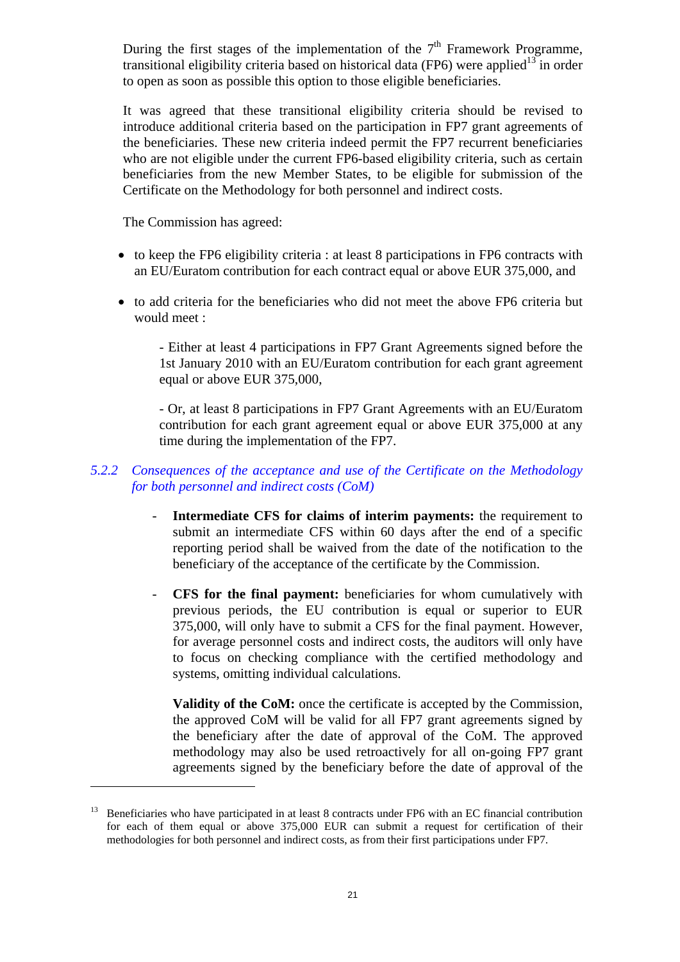During the first stages of the implementation of the  $7<sup>th</sup>$  Framework Programme, transitional eligibility criteria based on historical data (FP6) were applied<sup>13</sup> in order to open as soon as possible this option to those eligible beneficiaries.

It was agreed that these transitional eligibility criteria should be revised to introduce additional criteria based on the participation in FP7 grant agreements of the beneficiaries. These new criteria indeed permit the FP7 recurrent beneficiaries who are not eligible under the current FP6-based eligibility criteria, such as certain beneficiaries from the new Member States, to be eligible for submission of the Certificate on the Methodology for both personnel and indirect costs.

The Commission has agreed:

 $\overline{a}$ 

- to keep the FP6 eligibility criteria : at least 8 participations in FP6 contracts with an EU/Euratom contribution for each contract equal or above EUR 375,000, and
- to add criteria for the beneficiaries who did not meet the above FP6 criteria but would meet :

- Either at least 4 participations in FP7 Grant Agreements signed before the 1st January 2010 with an EU/Euratom contribution for each grant agreement equal or above EUR 375,000,

- Or, at least 8 participations in FP7 Grant Agreements with an EU/Euratom contribution for each grant agreement equal or above EUR 375,000 at any time during the implementation of the FP7.

#### <span id="page-20-0"></span>*5.2.2 Consequences of the acceptance and use of the Certificate on the Methodology for both personnel and indirect costs (CoM)*

- **Intermediate CFS for claims of interim payments:** the requirement to submit an intermediate CFS within 60 days after the end of a specific reporting period shall be waived from the date of the notification to the beneficiary of the acceptance of the certificate by the Commission.
- **CFS for the final payment:** beneficiaries for whom cumulatively with previous periods, the EU contribution is equal or superior to EUR 375,000, will only have to submit a CFS for the final payment. However, for average personnel costs and indirect costs, the auditors will only have to focus on checking compliance with the certified methodology and systems, omitting individual calculations.

**Validity of the CoM:** once the certificate is accepted by the Commission, the approved CoM will be valid for all FP7 grant agreements signed by the beneficiary after the date of approval of the CoM. The approved methodology may also be used retroactively for all on-going FP7 grant agreements signed by the beneficiary before the date of approval of the

<sup>&</sup>lt;sup>13</sup> Beneficiaries who have participated in at least 8 contracts under FP6 with an EC financial contribution for each of them equal or above 375,000 EUR can submit a request for certification of their methodologies for both personnel and indirect costs, as from their first participations under FP7.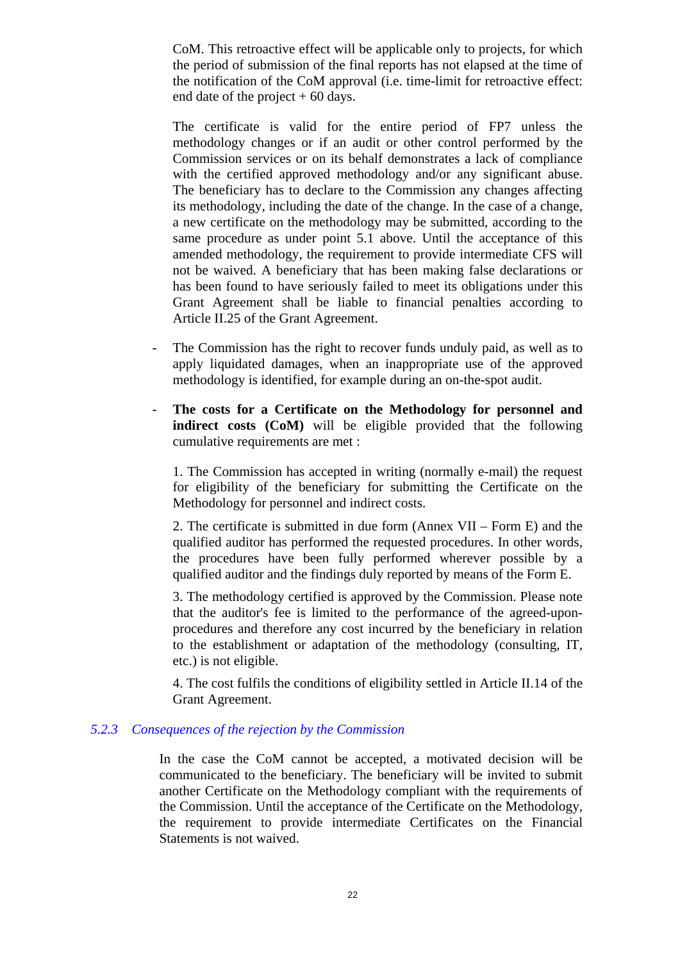CoM. This retroactive effect will be applicable only to projects, for which the period of submission of the final reports has not elapsed at the time of the notification of the CoM approval (i.e. time-limit for retroactive effect: end date of the project  $+60$  days.

The certificate is valid for the entire period of FP7 unless the methodology changes or if an audit or other control performed by the Commission services or on its behalf demonstrates a lack of compliance with the certified approved methodology and/or any significant abuse. The beneficiary has to declare to the Commission any changes affecting its methodology, including the date of the change. In the case of a change, a new certificate on the methodology may be submitted, according to the same procedure as under point 5.1 above. Until the acceptance of this amended methodology, the requirement to provide intermediate CFS will not be waived. A beneficiary that has been making false declarations or has been found to have seriously failed to meet its obligations under this Grant Agreement shall be liable to financial penalties according to Article II.25 of the Grant Agreement.

- The Commission has the right to recover funds unduly paid, as well as to apply liquidated damages, when an inappropriate use of the approved methodology is identified, for example during an on-the-spot audit.
- **The costs for a Certificate on the Methodology for personnel and indirect costs (CoM)** will be eligible provided that the following cumulative requirements are met :

1. The Commission has accepted in writing (normally e-mail) the request for eligibility of the beneficiary for submitting the Certificate on the Methodology for personnel and indirect costs.

2. The certificate is submitted in due form (Annex VII – Form E) and the qualified auditor has performed the requested procedures. In other words, the procedures have been fully performed wherever possible by a qualified auditor and the findings duly reported by means of the Form E.

3. The methodology certified is approved by the Commission. Please note that the auditor's fee is limited to the performance of the agreed-uponprocedures and therefore any cost incurred by the beneficiary in relation to the establishment or adaptation of the methodology (consulting, IT, etc.) is not eligible.

4. The cost fulfils the conditions of eligibility settled in Article II.14 of the Grant Agreement.

#### <span id="page-21-0"></span>*5.2.3 Consequences of the rejection by the Commission*

In the case the CoM cannot be accepted, a motivated decision will be communicated to the beneficiary. The beneficiary will be invited to submit another Certificate on the Methodology compliant with the requirements of the Commission. Until the acceptance of the Certificate on the Methodology, the requirement to provide intermediate Certificates on the Financial Statements is not waived.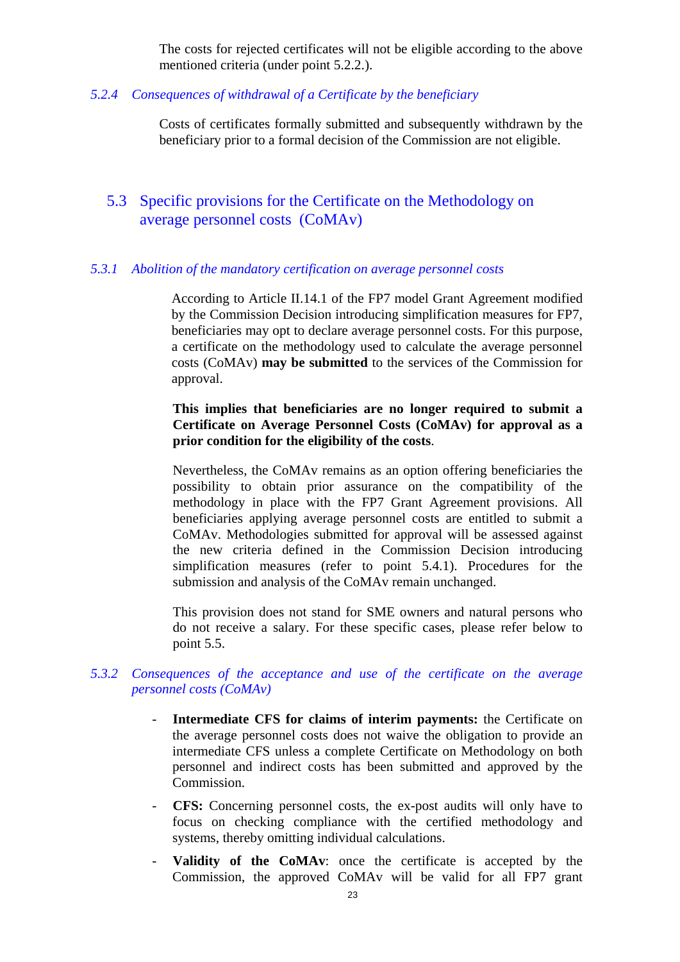The costs for rejected certificates will not be eligible according to the above mentioned criteria (under point 5.2.2.).

<span id="page-22-0"></span>*5.2.4 Consequences of withdrawal of a Certificate by the beneficiary* 

Costs of certificates formally submitted and subsequently withdrawn by the beneficiary prior to a formal decision of the Commission are not eligible.

#### <span id="page-22-1"></span>5.3 Specific provisions for the Certificate on the Methodology on average personnel costs (CoMAv)

#### <span id="page-22-2"></span>*5.3.1 Abolition of the mandatory certification on average personnel costs*

According to Article II.14.1 of the FP7 model Grant Agreement modified by the Commission Decision introducing simplification measures for FP7, beneficiaries may opt to declare average personnel costs. For this purpose, a certificate on the methodology used to calculate the average personnel costs (CoMAv) **may be submitted** to the services of the Commission for approval.

#### **This implies that beneficiaries are no longer required to submit a Certificate on Average Personnel Costs (CoMAv) for approval as a prior condition for the eligibility of the costs**.

Nevertheless, the CoMAv remains as an option offering beneficiaries the possibility to obtain prior assurance on the compatibility of the methodology in place with the FP7 Grant Agreement provisions. All beneficiaries applying average personnel costs are entitled to submit a CoMAv. Methodologies submitted for approval will be assessed against the new criteria defined in the Commission Decision introducing simplification measures (refer to point 5.4.1). Procedures for the submission and analysis of the CoMAv remain unchanged.

This provision does not stand for SME owners and natural persons who do not receive a salary. For these specific cases, please refer below to point 5.5.

#### <span id="page-22-3"></span>*5.3.2 Consequences of the acceptance and use of the certificate on the average personnel costs (CoMAv)*

- **Intermediate CFS for claims of interim payments:** the Certificate on the average personnel costs does not waive the obligation to provide an intermediate CFS unless a complete Certificate on Methodology on both personnel and indirect costs has been submitted and approved by the Commission.
- **CFS:** Concerning personnel costs, the ex-post audits will only have to focus on checking compliance with the certified methodology and systems, thereby omitting individual calculations.
- **Validity of the CoMAv**: once the certificate is accepted by the Commission, the approved CoMAv will be valid for all FP7 grant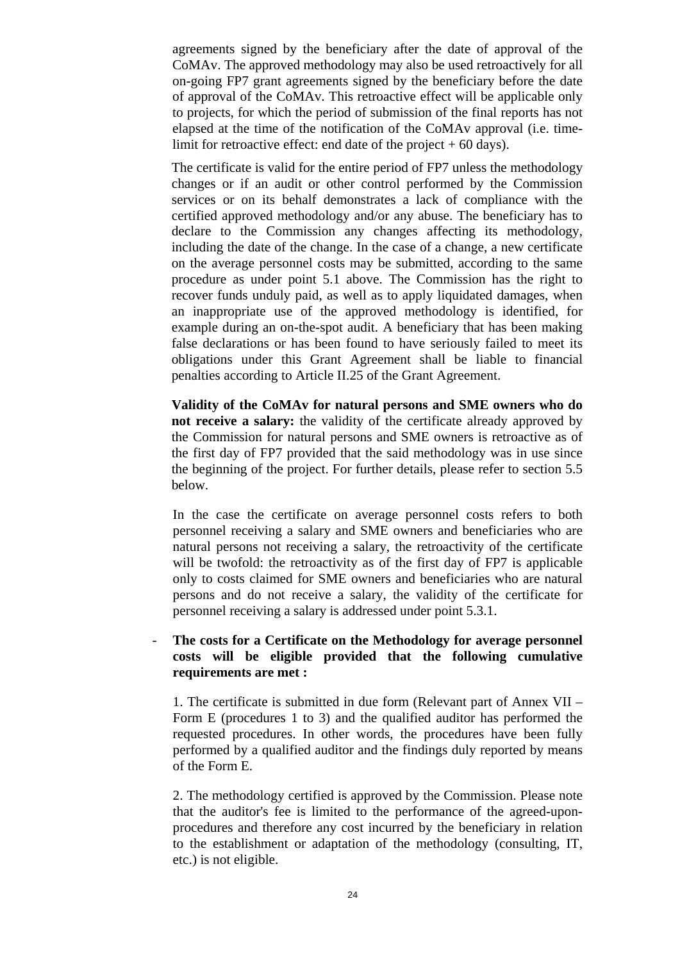agreements signed by the beneficiary after the date of approval of the CoMAv. The approved methodology may also be used retroactively for all on-going FP7 grant agreements signed by the beneficiary before the date of approval of the CoMAv. This retroactive effect will be applicable only to projects, for which the period of submission of the final reports has not elapsed at the time of the notification of the CoMAv approval (i.e. timelimit for retroactive effect: end date of the project  $+60$  days).

The certificate is valid for the entire period of FP7 unless the methodology changes or if an audit or other control performed by the Commission services or on its behalf demonstrates a lack of compliance with the certified approved methodology and/or any abuse. The beneficiary has to declare to the Commission any changes affecting its methodology, including the date of the change. In the case of a change, a new certificate on the average personnel costs may be submitted, according to the same procedure as under point 5.1 above. The Commission has the right to recover funds unduly paid, as well as to apply liquidated damages, when an inappropriate use of the approved methodology is identified, for example during an on-the-spot audit. A beneficiary that has been making false declarations or has been found to have seriously failed to meet its obligations under this Grant Agreement shall be liable to financial penalties according to Article II.25 of the Grant Agreement.

**Validity of the CoMAv for natural persons and SME owners who do not receive a salary:** the validity of the certificate already approved by the Commission for natural persons and SME owners is retroactive as of the first day of FP7 provided that the said methodology was in use since the beginning of the project. For further details, please refer to section 5.5 below.

In the case the certificate on average personnel costs refers to both personnel receiving a salary and SME owners and beneficiaries who are natural persons not receiving a salary, the retroactivity of the certificate will be twofold: the retroactivity as of the first day of FP7 is applicable only to costs claimed for SME owners and beneficiaries who are natural persons and do not receive a salary, the validity of the certificate for personnel receiving a salary is addressed under point 5.3.1.

#### - **The costs for a Certificate on the Methodology for average personnel costs will be eligible provided that the following cumulative requirements are met :**

1. The certificate is submitted in due form (Relevant part of Annex VII – Form E (procedures 1 to 3) and the qualified auditor has performed the requested procedures. In other words, the procedures have been fully performed by a qualified auditor and the findings duly reported by means of the Form E.

2. The methodology certified is approved by the Commission. Please note that the auditor's fee is limited to the performance of the agreed-uponprocedures and therefore any cost incurred by the beneficiary in relation to the establishment or adaptation of the methodology (consulting, IT, etc.) is not eligible.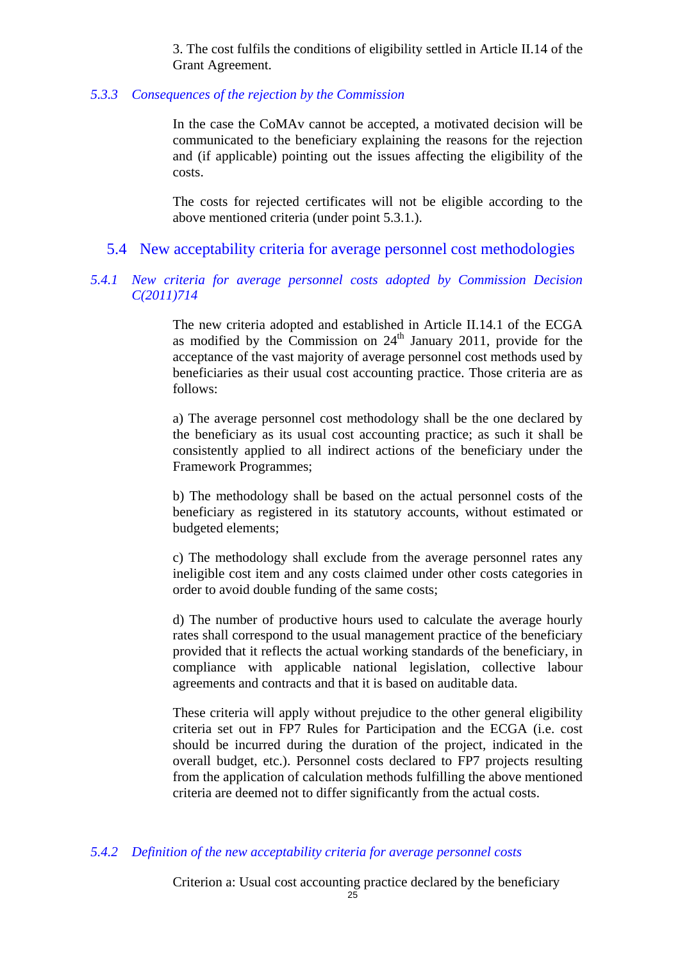3. The cost fulfils the conditions of eligibility settled in Article II.14 of the Grant Agreement.

#### <span id="page-24-0"></span>*5.3.3 Consequences of the rejection by the Commission*

In the case the CoMAv cannot be accepted, a motivated decision will be communicated to the beneficiary explaining the reasons for the rejection and (if applicable) pointing out the issues affecting the eligibility of the costs.

The costs for rejected certificates will not be eligible according to the above mentioned criteria (under point 5.3.1.).

#### 5.4 New acceptability criteria for average personnel cost methodologies

#### <span id="page-24-2"></span><span id="page-24-1"></span>*5.4.1 New criteria for average personnel costs adopted by Commission Decision C(2011)714*

The new criteria adopted and established in Article II.14.1 of the ECGA as modified by the Commission on  $24<sup>th</sup>$  January 2011, provide for the acceptance of the vast majority of average personnel cost methods used by beneficiaries as their usual cost accounting practice. Those criteria are as follows:

a) The average personnel cost methodology shall be the one declared by the beneficiary as its usual cost accounting practice; as such it shall be consistently applied to all indirect actions of the beneficiary under the Framework Programmes;

b) The methodology shall be based on the actual personnel costs of the beneficiary as registered in its statutory accounts, without estimated or budgeted elements;

c) The methodology shall exclude from the average personnel rates any ineligible cost item and any costs claimed under other costs categories in order to avoid double funding of the same costs;

d) The number of productive hours used to calculate the average hourly rates shall correspond to the usual management practice of the beneficiary provided that it reflects the actual working standards of the beneficiary, in compliance with applicable national legislation, collective labour agreements and contracts and that it is based on auditable data.

These criteria will apply without prejudice to the other general eligibility criteria set out in FP7 Rules for Participation and the ECGA (i.e. cost should be incurred during the duration of the project, indicated in the overall budget, etc.). Personnel costs declared to FP7 projects resulting from the application of calculation methods fulfilling the above mentioned criteria are deemed not to differ significantly from the actual costs.

#### <span id="page-24-3"></span>*5.4.2 Definition of the new acceptability criteria for average personnel costs*

Criterion a: Usual cost accounting practice declared by the beneficiary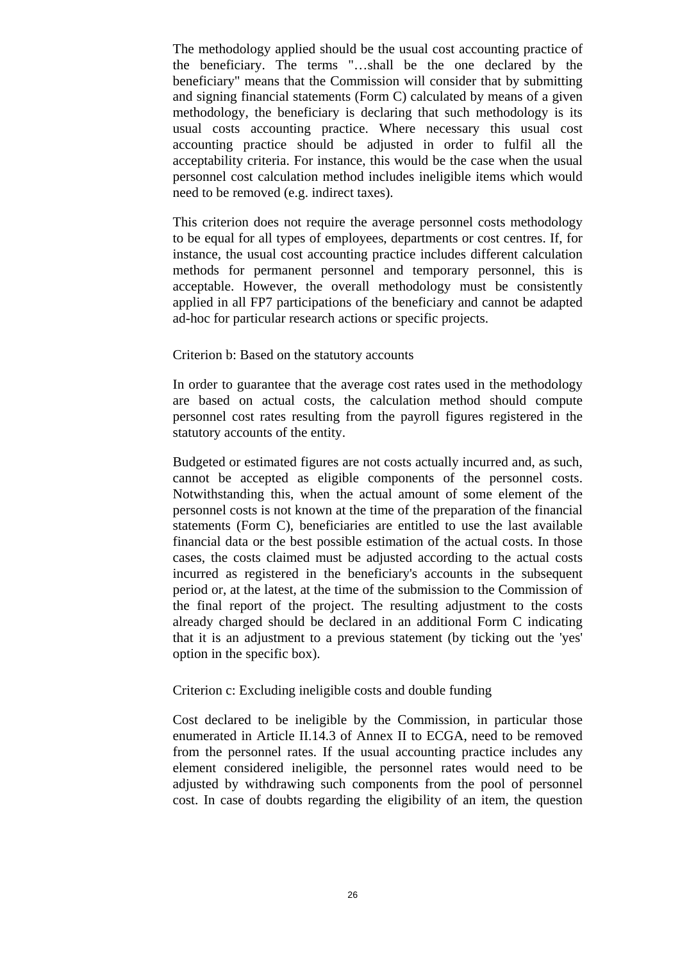The methodology applied should be the usual cost accounting practice of the beneficiary. The terms "…shall be the one declared by the beneficiary" means that the Commission will consider that by submitting and signing financial statements (Form C) calculated by means of a given methodology, the beneficiary is declaring that such methodology is its usual costs accounting practice. Where necessary this usual cost accounting practice should be adjusted in order to fulfil all the acceptability criteria. For instance, this would be the case when the usual personnel cost calculation method includes ineligible items which would need to be removed (e.g. indirect taxes).

This criterion does not require the average personnel costs methodology to be equal for all types of employees, departments or cost centres. If, for instance, the usual cost accounting practice includes different calculation methods for permanent personnel and temporary personnel, this is acceptable. However, the overall methodology must be consistently applied in all FP7 participations of the beneficiary and cannot be adapted ad-hoc for particular research actions or specific projects.

#### Criterion b: Based on the statutory accounts

In order to guarantee that the average cost rates used in the methodology are based on actual costs, the calculation method should compute personnel cost rates resulting from the payroll figures registered in the statutory accounts of the entity.

Budgeted or estimated figures are not costs actually incurred and, as such, cannot be accepted as eligible components of the personnel costs. Notwithstanding this, when the actual amount of some element of the personnel costs is not known at the time of the preparation of the financial statements (Form C), beneficiaries are entitled to use the last available financial data or the best possible estimation of the actual costs. In those cases, the costs claimed must be adjusted according to the actual costs incurred as registered in the beneficiary's accounts in the subsequent period or, at the latest, at the time of the submission to the Commission of the final report of the project. The resulting adjustment to the costs already charged should be declared in an additional Form C indicating that it is an adjustment to a previous statement (by ticking out the 'yes' option in the specific box).

#### Criterion c: Excluding ineligible costs and double funding

Cost declared to be ineligible by the Commission, in particular those enumerated in Article II.14.3 of Annex II to ECGA, need to be removed from the personnel rates. If the usual accounting practice includes any element considered ineligible, the personnel rates would need to be adjusted by withdrawing such components from the pool of personnel cost. In case of doubts regarding the eligibility of an item, the question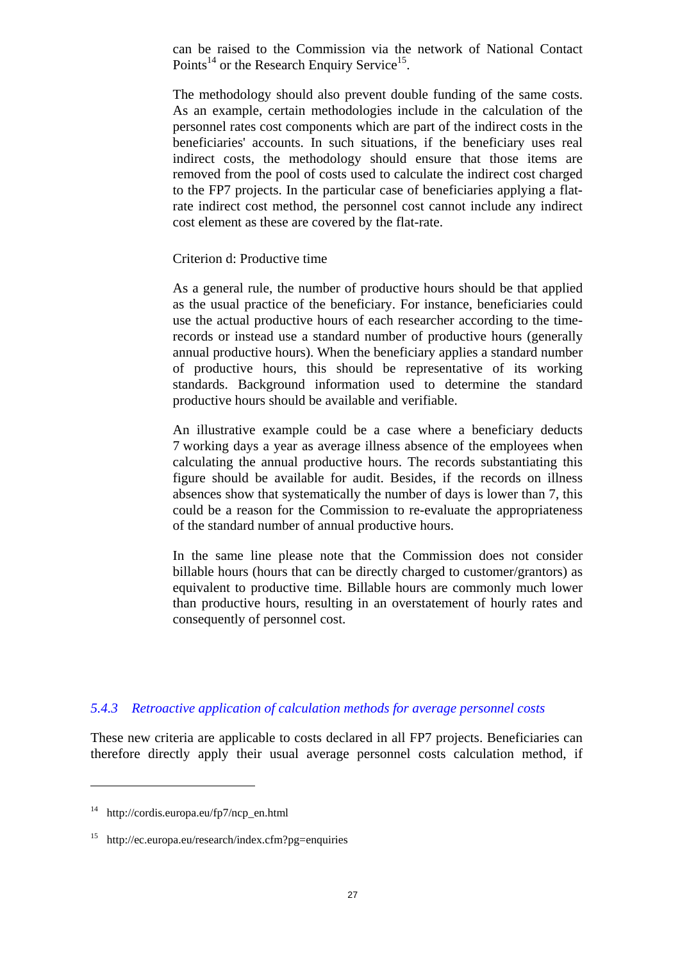can be raised to the Commission via the network of National Contact Points<sup>14</sup> or the Research Enquiry Service<sup>15</sup>.

The methodology should also prevent double funding of the same costs. As an example, certain methodologies include in the calculation of the personnel rates cost components which are part of the indirect costs in the beneficiaries' accounts. In such situations, if the beneficiary uses real indirect costs, the methodology should ensure that those items are removed from the pool of costs used to calculate the indirect cost charged to the FP7 projects. In the particular case of beneficiaries applying a flatrate indirect cost method, the personnel cost cannot include any indirect cost element as these are covered by the flat-rate.

#### Criterion d: Productive time

As a general rule, the number of productive hours should be that applied as the usual practice of the beneficiary. For instance, beneficiaries could use the actual productive hours of each researcher according to the timerecords or instead use a standard number of productive hours (generally annual productive hours). When the beneficiary applies a standard number of productive hours, this should be representative of its working standards. Background information used to determine the standard productive hours should be available and verifiable.

An illustrative example could be a case where a beneficiary deducts 7 working days a year as average illness absence of the employees when calculating the annual productive hours. The records substantiating this figure should be available for audit. Besides, if the records on illness absences show that systematically the number of days is lower than 7, this could be a reason for the Commission to re-evaluate the appropriateness of the standard number of annual productive hours.

In the same line please note that the Commission does not consider billable hours (hours that can be directly charged to customer/grantors) as equivalent to productive time. Billable hours are commonly much lower than productive hours, resulting in an overstatement of hourly rates and consequently of personnel cost.

#### <span id="page-26-0"></span>*5.4.3 Retroactive application of calculation methods for average personnel costs*

These new criteria are applicable to costs declared in all FP7 projects. Beneficiaries can therefore directly apply their usual average personnel costs calculation method, if

<sup>14</sup> http://cordis.europa.eu/fp7/ncp\_en.html

<sup>&</sup>lt;sup>15</sup> http://ec.europa.eu/research/index.cfm?pg=enquiries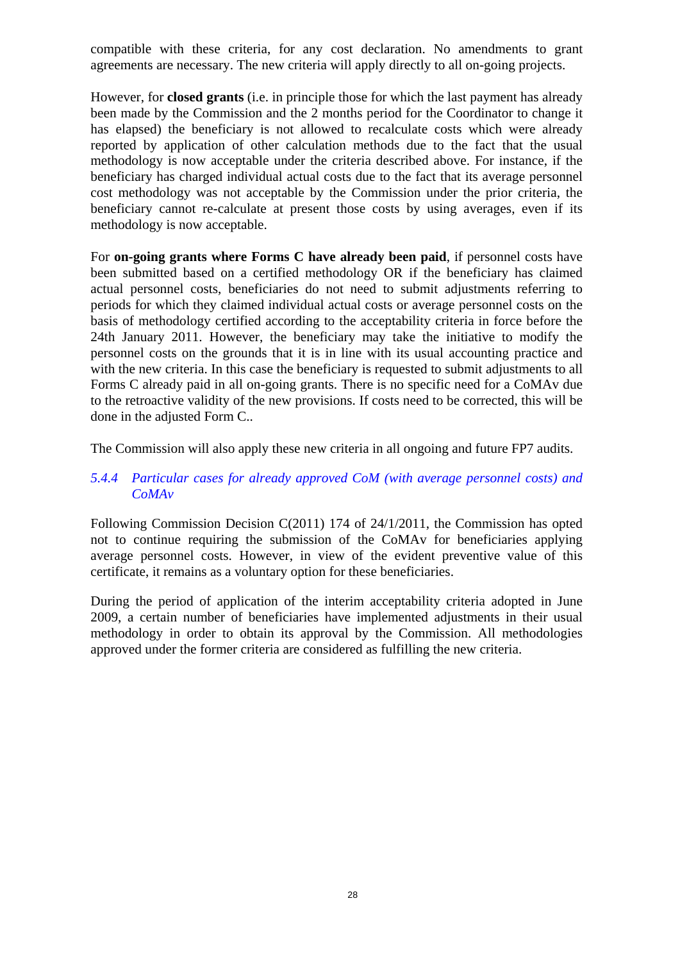compatible with these criteria, for any cost declaration. No amendments to grant agreements are necessary. The new criteria will apply directly to all on-going projects.

However, for **closed grants** (i.e. in principle those for which the last payment has already been made by the Commission and the 2 months period for the Coordinator to change it has elapsed) the beneficiary is not allowed to recalculate costs which were already reported by application of other calculation methods due to the fact that the usual methodology is now acceptable under the criteria described above. For instance, if the beneficiary has charged individual actual costs due to the fact that its average personnel cost methodology was not acceptable by the Commission under the prior criteria, the beneficiary cannot re-calculate at present those costs by using averages, even if its methodology is now acceptable.

For **on-going grants where Forms C have already been paid**, if personnel costs have been submitted based on a certified methodology OR if the beneficiary has claimed actual personnel costs, beneficiaries do not need to submit adjustments referring to periods for which they claimed individual actual costs or average personnel costs on the basis of methodology certified according to the acceptability criteria in force before the 24th January 2011. However, the beneficiary may take the initiative to modify the personnel costs on the grounds that it is in line with its usual accounting practice and with the new criteria. In this case the beneficiary is requested to submit adjustments to all Forms C already paid in all on-going grants. There is no specific need for a CoMAv due to the retroactive validity of the new provisions. If costs need to be corrected, this will be done in the adjusted Form C..

<span id="page-27-0"></span>The Commission will also apply these new criteria in all ongoing and future FP7 audits.

#### *5.4.4 Particular cases for already approved CoM (with average personnel costs) and CoMAv*

Following Commission Decision C(2011) 174 of 24/1/2011, the Commission has opted not to continue requiring the submission of the CoMAv for beneficiaries applying average personnel costs. However, in view of the evident preventive value of this certificate, it remains as a voluntary option for these beneficiaries.

During the period of application of the interim acceptability criteria adopted in June 2009, a certain number of beneficiaries have implemented adjustments in their usual methodology in order to obtain its approval by the Commission. All methodologies approved under the former criteria are considered as fulfilling the new criteria.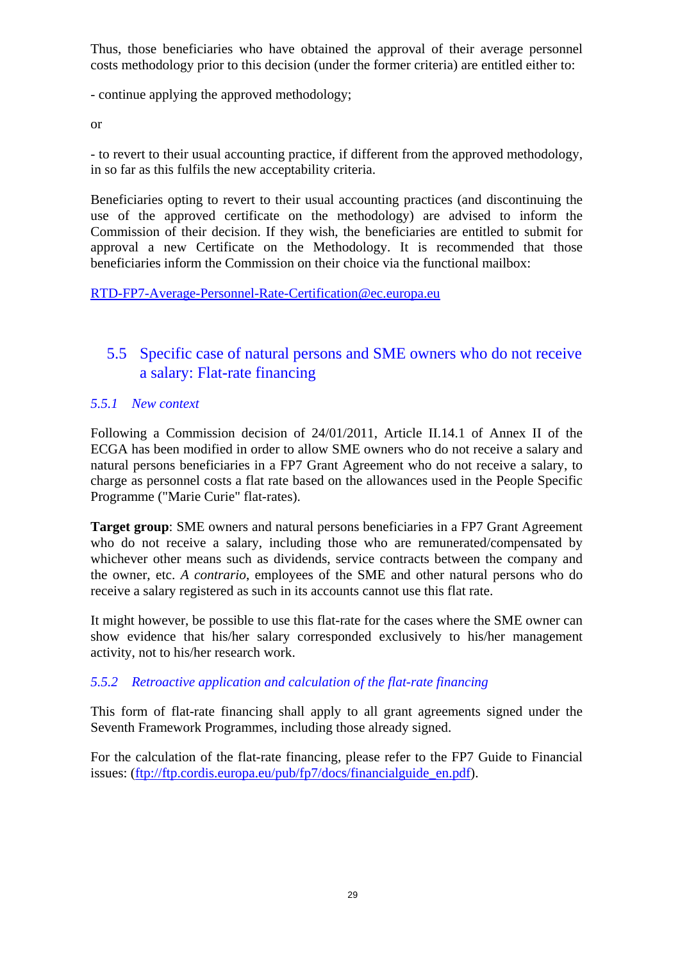Thus, those beneficiaries who have obtained the approval of their average personnel costs methodology prior to this decision (under the former criteria) are entitled either to:

- continue applying the approved methodology;

or

- to revert to their usual accounting practice, if different from the approved methodology, in so far as this fulfils the new acceptability criteria.

Beneficiaries opting to revert to their usual accounting practices (and discontinuing the use of the approved certificate on the methodology) are advised to inform the Commission of their decision. If they wish, the beneficiaries are entitled to submit for approval a new Certificate on the Methodology. It is recommended that those beneficiaries inform the Commission on their choice via the functional mailbox:

<span id="page-28-0"></span>[RTD-FP7-Average-Personnel-Rate-Certification@ec.europa.eu](mailto:RTD-FP7-Average-Personnel-Rate-Certification@ec.europa.eu)

## 5.5 Specific case of natural persons and SME owners who do not receive a salary: Flat-rate financing

#### <span id="page-28-1"></span>*5.5.1 New context*

Following a Commission decision of 24/01/2011, Article II.14.1 of Annex II of the ECGA has been modified in order to allow SME owners who do not receive a salary and natural persons beneficiaries in a FP7 Grant Agreement who do not receive a salary, to charge as personnel costs a flat rate based on the allowances used in the People Specific Programme ("Marie Curie" flat-rates).

**Target group**: SME owners and natural persons beneficiaries in a FP7 Grant Agreement who do not receive a salary, including those who are remunerated/compensated by whichever other means such as dividends, service contracts between the company and the owner, etc. *A contrario*, employees of the SME and other natural persons who do receive a salary registered as such in its accounts cannot use this flat rate.

It might however, be possible to use this flat-rate for the cases where the SME owner can show evidence that his/her salary corresponded exclusively to his/her management activity, not to his/her research work.

#### <span id="page-28-2"></span>*5.5.2 Retroactive application and calculation of the flat-rate financing*

This form of flat-rate financing shall apply to all grant agreements signed under the Seventh Framework Programmes, including those already signed.

For the calculation of the flat-rate financing, please refer to the FP7 Guide to Financial issues: [\(ftp://ftp.cordis.europa.eu/pub/fp7/docs/financialguide\\_en.pdf\)](ftp://ftp.cordis.europa.eu/pub/fp7/docs/financialguide_en.pdf).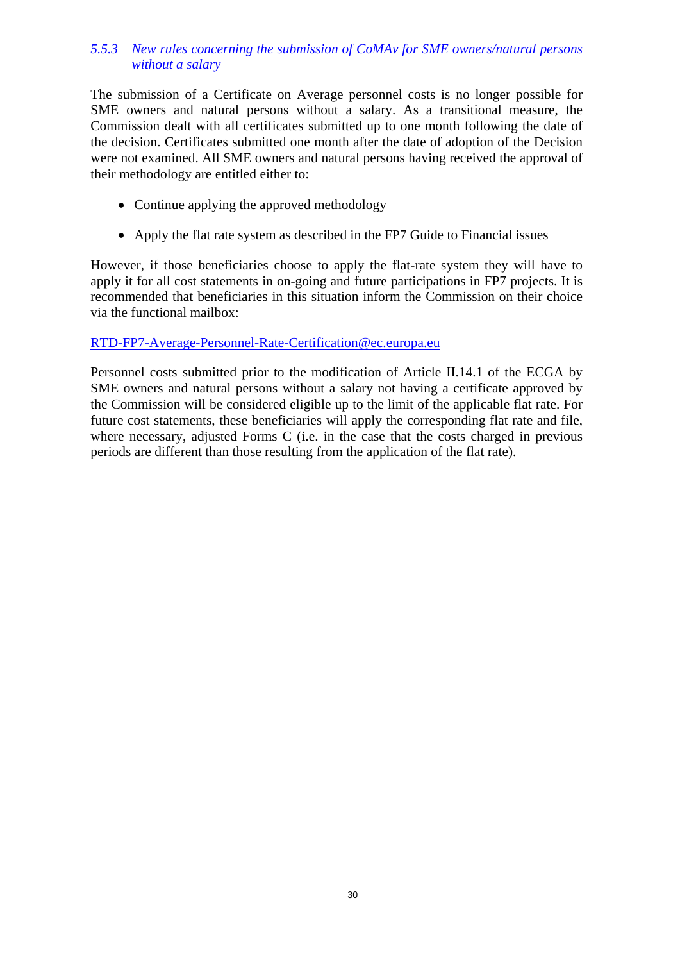#### <span id="page-29-0"></span>*5.5.3 New rules concerning the submission of CoMAv for SME owners/natural persons without a salary*

The submission of a Certificate on Average personnel costs is no longer possible for SME owners and natural persons without a salary. As a transitional measure, the Commission dealt with all certificates submitted up to one month following the date of the decision. Certificates submitted one month after the date of adoption of the Decision were not examined. All SME owners and natural persons having received the approval of their methodology are entitled either to:

- Continue applying the approved methodology
- Apply the flat rate system as described in the FP7 Guide to Financial issues

However, if those beneficiaries choose to apply the flat-rate system they will have to apply it for all cost statements in on-going and future participations in FP7 projects. It is recommended that beneficiaries in this situation inform the Commission on their choice via the functional mailbox:

#### [RTD-FP7-Average-Personnel-Rate-Certification@ec.europa.eu](mailto:RTD-FP7-Average-Personnel-Rate-Certification@ec.europa.eu)

Personnel costs submitted prior to the modification of Article II.14.1 of the ECGA by SME owners and natural persons without a salary not having a certificate approved by the Commission will be considered eligible up to the limit of the applicable flat rate. For future cost statements, these beneficiaries will apply the corresponding flat rate and file, where necessary, adjusted Forms C (i.e. in the case that the costs charged in previous periods are different than those resulting from the application of the flat rate).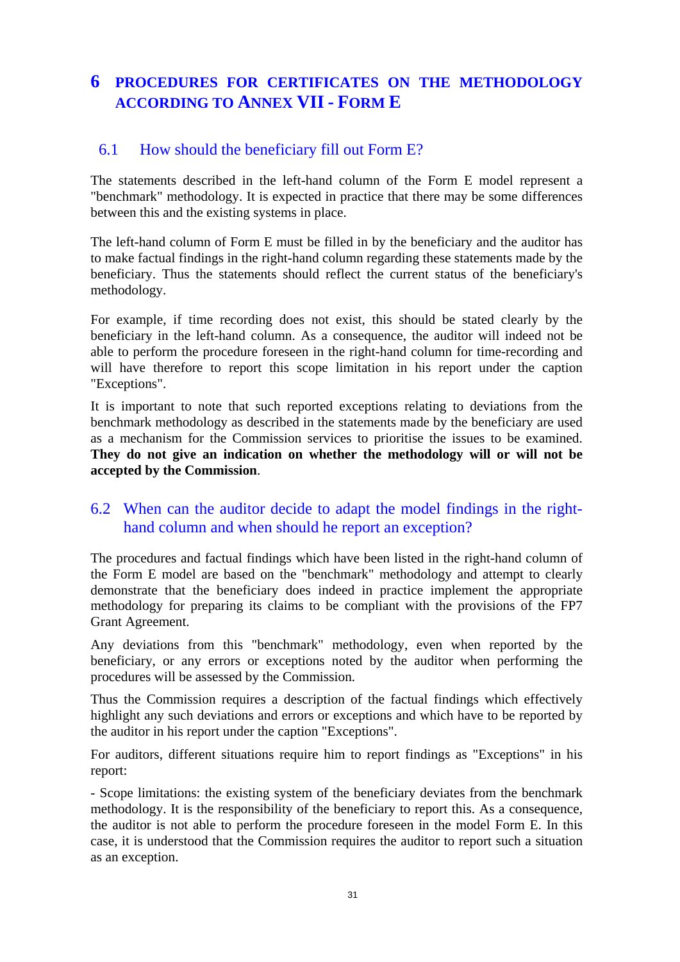# <span id="page-30-0"></span>**6 PROCEDURES FOR CERTIFICATES ON THE METHODOLOGY ACCORDING TO ANNEX VII - FORM E**

### <span id="page-30-1"></span>6.1 How should the beneficiary fill out Form E?

The statements described in the left-hand column of the Form E model represent a "benchmark" methodology. It is expected in practice that there may be some differences between this and the existing systems in place.

The left-hand column of Form E must be filled in by the beneficiary and the auditor has to make factual findings in the right-hand column regarding these statements made by the beneficiary. Thus the statements should reflect the current status of the beneficiary's methodology.

For example, if time recording does not exist, this should be stated clearly by the beneficiary in the left-hand column. As a consequence, the auditor will indeed not be able to perform the procedure foreseen in the right-hand column for time-recording and will have therefore to report this scope limitation in his report under the caption "Exceptions".

It is important to note that such reported exceptions relating to deviations from the benchmark methodology as described in the statements made by the beneficiary are used as a mechanism for the Commission services to prioritise the issues to be examined. **They do not give an indication on whether the methodology will or will not be accepted by the Commission**.

### <span id="page-30-2"></span>6.2 When can the auditor decide to adapt the model findings in the righthand column and when should he report an exception?

The procedures and factual findings which have been listed in the right-hand column of the Form E model are based on the "benchmark" methodology and attempt to clearly demonstrate that the beneficiary does indeed in practice implement the appropriate methodology for preparing its claims to be compliant with the provisions of the FP7 Grant Agreement.

Any deviations from this "benchmark" methodology, even when reported by the beneficiary, or any errors or exceptions noted by the auditor when performing the procedures will be assessed by the Commission.

Thus the Commission requires a description of the factual findings which effectively highlight any such deviations and errors or exceptions and which have to be reported by the auditor in his report under the caption "Exceptions".

For auditors, different situations require him to report findings as "Exceptions" in his report:

- Scope limitations: the existing system of the beneficiary deviates from the benchmark methodology. It is the responsibility of the beneficiary to report this. As a consequence, the auditor is not able to perform the procedure foreseen in the model Form E. In this case, it is understood that the Commission requires the auditor to report such a situation as an exception.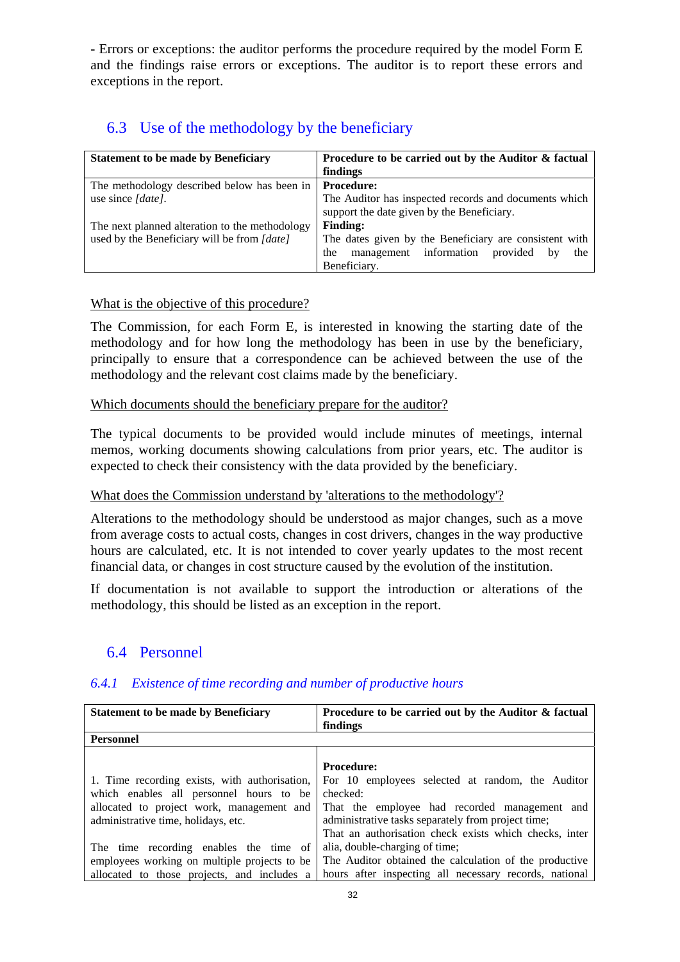- Errors or exceptions: the auditor performs the procedure required by the model Form E and the findings raise errors or exceptions. The auditor is to report these errors and exceptions in the report.

### 6.3 Use of the methodology by the beneficiary

<span id="page-31-0"></span>

| <b>Statement to be made by Beneficiary</b>     | Procedure to be carried out by the Auditor & factual   |
|------------------------------------------------|--------------------------------------------------------|
|                                                | findings                                               |
| The methodology described below has been in    | <b>Procedure:</b>                                      |
| use since [date].                              | The Auditor has inspected records and documents which  |
|                                                | support the date given by the Beneficiary.             |
| The next planned alteration to the methodology | <b>Finding:</b>                                        |
| used by the Beneficiary will be from [date]    | The dates given by the Beneficiary are consistent with |
|                                                | management information<br>provided<br>the<br>the<br>by |
|                                                | Beneficiary.                                           |

#### What is the objective of this procedure?

The Commission, for each Form E, is interested in knowing the starting date of the methodology and for how long the methodology has been in use by the beneficiary, principally to ensure that a correspondence can be achieved between the use of the methodology and the relevant cost claims made by the beneficiary.

#### Which documents should the beneficiary prepare for the auditor?

The typical documents to be provided would include minutes of meetings, internal memos, working documents showing calculations from prior years, etc. The auditor is expected to check their consistency with the data provided by the beneficiary.

#### What does the Commission understand by 'alterations to the methodology'?

Alterations to the methodology should be understood as major changes, such as a move from average costs to actual costs, changes in cost drivers, changes in the way productive hours are calculated, etc. It is not intended to cover yearly updates to the most recent financial data, or changes in cost structure caused by the evolution of the institution.

<span id="page-31-1"></span>If documentation is not available to support the introduction or alterations of the methodology, this should be listed as an exception in the report.

#### 6.4 Personnel

#### <span id="page-31-2"></span>*6.4.1 Existence of time recording and number of productive hours*

| <b>Statement to be made by Beneficiary</b>    | Procedure to be carried out by the Auditor & factual   |  |  |
|-----------------------------------------------|--------------------------------------------------------|--|--|
|                                               | findings                                               |  |  |
| <b>Personnel</b>                              |                                                        |  |  |
|                                               |                                                        |  |  |
|                                               | <b>Procedure:</b>                                      |  |  |
| 1. Time recording exists, with authorisation, | For 10 employees selected at random, the Auditor       |  |  |
| which enables all personnel hours to be       | checked:                                               |  |  |
| allocated to project work, management and     | That the employee had recorded management and          |  |  |
| administrative time, holidays, etc.           | administrative tasks separately from project time;     |  |  |
|                                               | That an authorisation check exists which checks, inter |  |  |
| The time recording enables the time of        | alia, double-charging of time;                         |  |  |
| employees working on multiple projects to be  | The Auditor obtained the calculation of the productive |  |  |
| allocated to those projects, and includes a   | hours after inspecting all necessary records, national |  |  |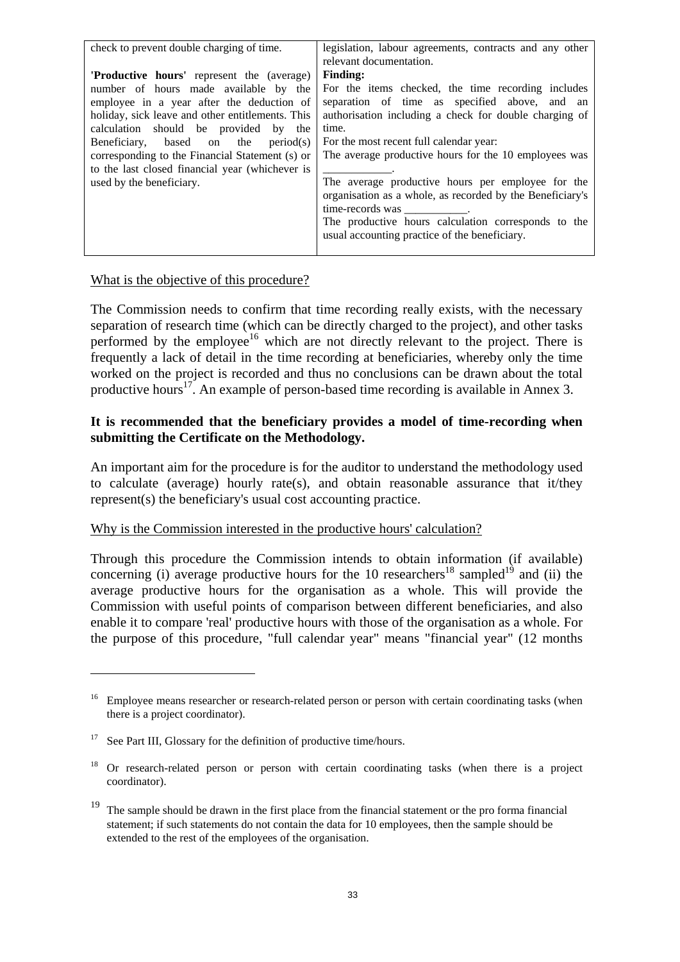| check to prevent double charging of time.        | legislation, labour agreements, contracts and any other   |  |  |
|--------------------------------------------------|-----------------------------------------------------------|--|--|
|                                                  | relevant documentation.                                   |  |  |
| <b>Productive hours'</b> represent the (average) | <b>Finding:</b>                                           |  |  |
| number of hours made available by the            | For the items checked, the time recording includes        |  |  |
| employee in a year after the deduction of        | separation of time as specified above, and an             |  |  |
| holiday, sick leave and other entitlements. This | authorisation including a check for double charging of    |  |  |
| calculation should be provided by the            | time.                                                     |  |  |
| Beneficiary, based on the period(s)              | For the most recent full calendar year:                   |  |  |
| corresponding to the Financial Statement (s) or  | The average productive hours for the 10 employees was     |  |  |
| to the last closed financial year (whichever is  |                                                           |  |  |
| used by the beneficiary.                         | The average productive hours per employee for the         |  |  |
|                                                  | organisation as a whole, as recorded by the Beneficiary's |  |  |
|                                                  | time-records was ___________.                             |  |  |
|                                                  | The productive hours calculation corresponds to the       |  |  |
|                                                  | usual accounting practice of the beneficiary.             |  |  |
|                                                  |                                                           |  |  |

#### What is the objective of this procedure?

The Commission needs to confirm that time recording really exists, with the necessary separation of research time (which can be directly charged to the project), and other tasks performed by the employee<sup>16</sup> which are not directly relevant to the project. There is frequently a lack of detail in the time recording at beneficiaries, whereby only the time worked on the project is recorded and thus no conclusions can be drawn about the total productive hours<sup>17</sup>. An example of person-based time recording is available in Annex 3.

#### **It is recommended that the beneficiary provides a model of time-recording when submitting the Certificate on the Methodology.**

An important aim for the procedure is for the auditor to understand the methodology used to calculate (average) hourly rate(s), and obtain reasonable assurance that it/they represent(s) the beneficiary's usual cost accounting practice.

#### Why is the Commission interested in the productive hours' calculation?

Through this procedure the Commission intends to obtain information (if available) concerning (i) average productive hours for the 10 researchers<sup>18</sup> sampled<sup>19</sup> and (ii) the average productive hours for the organisation as a whole. This will provide the Commission with useful points of comparison between different beneficiaries, and also enable it to compare 'real' productive hours with those of the organisation as a whole. For the purpose of this procedure, "full calendar year" means "financial year" (12 months

<sup>&</sup>lt;sup>16</sup> Employee means researcher or research-related person or person with certain coordinating tasks (when there is a project coordinator).

<sup>&</sup>lt;sup>17</sup> See Part III, Glossary for the definition of productive time/hours.

<sup>&</sup>lt;sup>18</sup> Or research-related person or person with certain coordinating tasks (when there is a project coordinator).

<sup>&</sup>lt;sup>19</sup> The sample should be drawn in the first place from the financial statement or the pro forma financial statement; if such statements do not contain the data for 10 employees, then the sample should be extended to the rest of the employees of the organisation.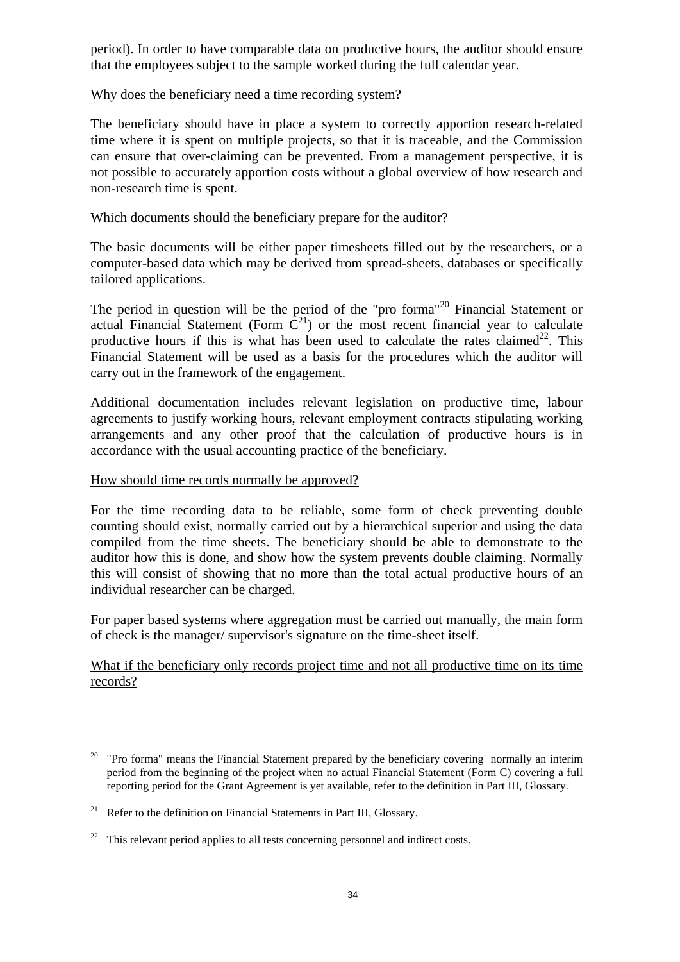period). In order to have comparable data on productive hours, the auditor should ensure that the employees subject to the sample worked during the full calendar year.

#### Why does the beneficiary need a time recording system?

The beneficiary should have in place a system to correctly apportion research-related time where it is spent on multiple projects, so that it is traceable, and the Commission can ensure that over-claiming can be prevented. From a management perspective, it is not possible to accurately apportion costs without a global overview of how research and non-research time is spent.

#### Which documents should the beneficiary prepare for the auditor?

The basic documents will be either paper timesheets filled out by the researchers, or a computer-based data which may be derived from spread-sheets, databases or specifically tailored applications.

The period in question will be the period of the "pro forma"<sup>20</sup> Financial Statement or actual Financial Statement (Form  $\tilde{C}^{21}$ ) or the most recent financial year to calculate productive hours if this is what has been used to calculate the rates claimed<sup>22</sup>. This Financial Statement will be used as a basis for the procedures which the auditor will carry out in the framework of the engagement.

Additional documentation includes relevant legislation on productive time, labour agreements to justify working hours, relevant employment contracts stipulating working arrangements and any other proof that the calculation of productive hours is in accordance with the usual accounting practice of the beneficiary.

#### How should time records normally be approved?

For the time recording data to be reliable, some form of check preventing double counting should exist, normally carried out by a hierarchical superior and using the data compiled from the time sheets. The beneficiary should be able to demonstrate to the auditor how this is done, and show how the system prevents double claiming. Normally this will consist of showing that no more than the total actual productive hours of an individual researcher can be charged.

For paper based systems where aggregation must be carried out manually, the main form of check is the manager/ supervisor's signature on the time-sheet itself.

What if the beneficiary only records project time and not all productive time on its time records?

 $20$  "Pro forma" means the Financial Statement prepared by the beneficiary covering normally an interim period from the beginning of the project when no actual Financial Statement (Form C) covering a full reporting period for the Grant Agreement is yet available, refer to the definition in Part III, Glossary.

<sup>&</sup>lt;sup>21</sup> Refer to the definition on Financial Statements in Part III, Glossary.

<sup>&</sup>lt;sup>22</sup> This relevant period applies to all tests concerning personnel and indirect costs.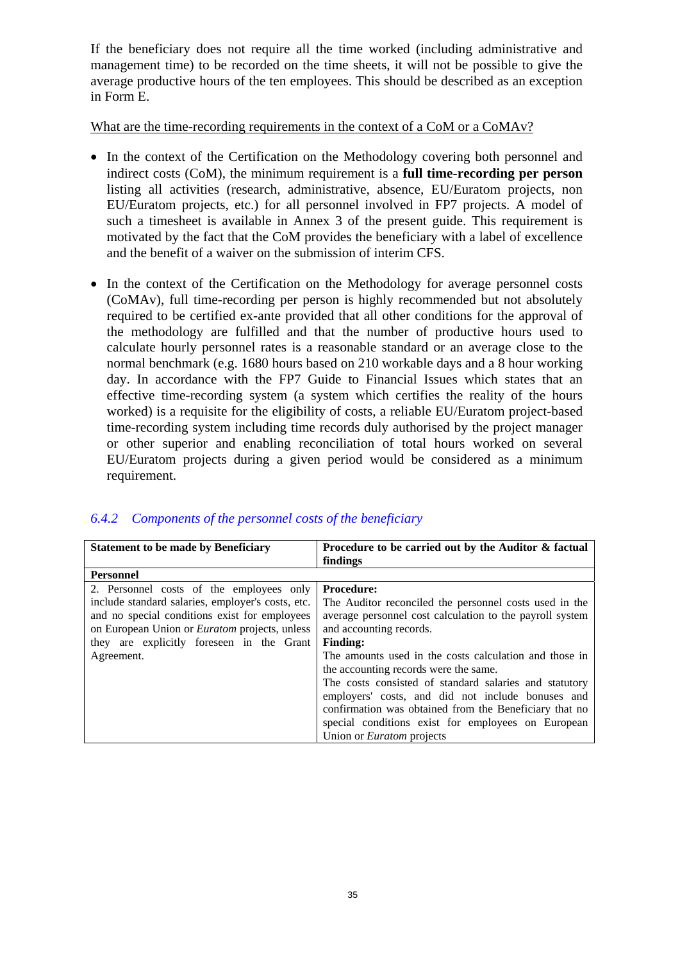If the beneficiary does not require all the time worked (including administrative and management time) to be recorded on the time sheets, it will not be possible to give the average productive hours of the ten employees. This should be described as an exception in Form E.

#### What are the time-recording requirements in the context of a CoM or a CoMAv?

- In the context of the Certification on the Methodology covering both personnel and indirect costs (CoM), the minimum requirement is a **full time-recording per person** listing all activities (research, administrative, absence, EU/Euratom projects, non EU/Euratom projects, etc.) for all personnel involved in FP7 projects. A model of such a timesheet is available in Annex 3 of the present guide. This requirement is motivated by the fact that the CoM provides the beneficiary with a label of excellence and the benefit of a waiver on the submission of interim CFS.
- In the context of the Certification on the Methodology for average personnel costs (CoMAv), full time-recording per person is highly recommended but not absolutely required to be certified ex-ante provided that all other conditions for the approval of the methodology are fulfilled and that the number of productive hours used to calculate hourly personnel rates is a reasonable standard or an average close to the normal benchmark (e.g. 1680 hours based on 210 workable days and a 8 hour working day. In accordance with the FP7 Guide to Financial Issues which states that an effective time-recording system (a system which certifies the reality of the hours worked) is a requisite for the eligibility of costs, a reliable EU/Euratom project-based time-recording system including time records duly authorised by the project manager or other superior and enabling reconciliation of total hours worked on several EU/Euratom projects during a given period would be considered as a minimum requirement.

| <b>Statement to be made by Beneficiary</b>           | Procedure to be carried out by the Auditor & factual     |  |  |
|------------------------------------------------------|----------------------------------------------------------|--|--|
|                                                      | findings                                                 |  |  |
| <b>Personnel</b>                                     |                                                          |  |  |
| 2. Personnel costs of the employees only             | <b>Procedure:</b>                                        |  |  |
| include standard salaries, employer's costs, etc.    | The Auditor reconciled the personnel costs used in the   |  |  |
| and no special conditions exist for employees        | average personnel cost calculation to the payroll system |  |  |
| on European Union or <i>Euratom</i> projects, unless | and accounting records.                                  |  |  |
| they are explicitly foreseen in the Grant            | <b>Finding:</b>                                          |  |  |
| Agreement.                                           | The amounts used in the costs calculation and those in   |  |  |
|                                                      | the accounting records were the same.                    |  |  |
|                                                      | The costs consisted of standard salaries and statutory   |  |  |
|                                                      | employers' costs, and did not include bonuses and        |  |  |
|                                                      | confirmation was obtained from the Beneficiary that no   |  |  |
|                                                      | special conditions exist for employees on European       |  |  |
|                                                      | Union or <i>Euratom</i> projects                         |  |  |

#### <span id="page-34-0"></span>*6.4.2 Components of the personnel costs of the beneficiary*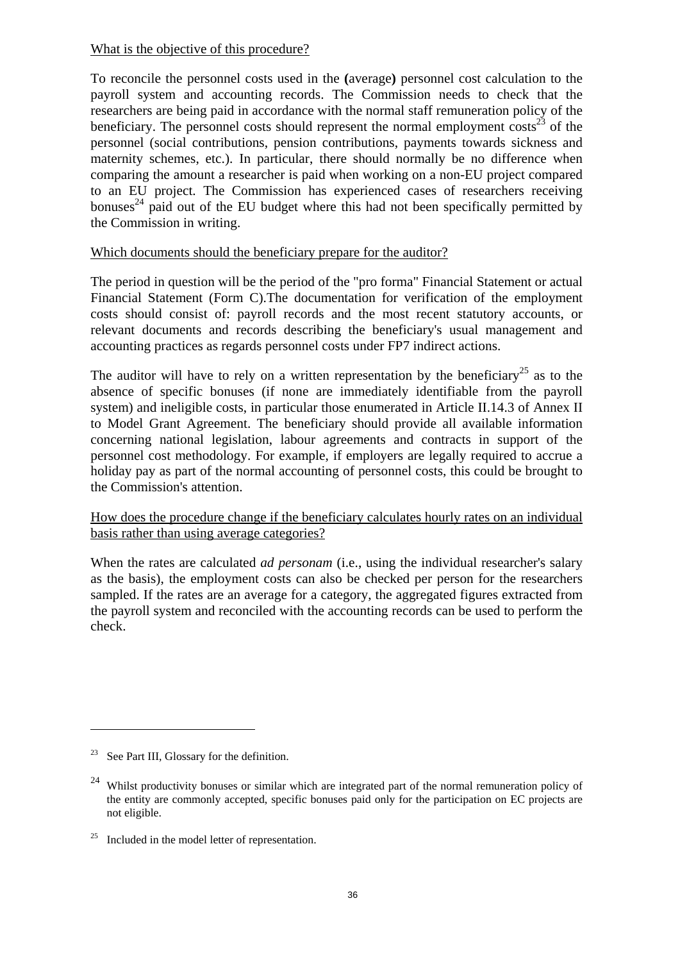#### What is the objective of this procedure?

To reconcile the personnel costs used in the **(**average**)** personnel cost calculation to the payroll system and accounting records. The Commission needs to check that the researchers are being paid in accordance with the normal staff remuneration policy of the beneficiary. The personnel costs should represent the normal employment  $\cos^2$  of the personnel (social contributions, pension contributions, payments towards sickness and maternity schemes, etc.). In particular, there should normally be no difference when comparing the amount a researcher is paid when working on a non-EU project compared to an EU project. The Commission has experienced cases of researchers receiving bonuses<sup>24</sup> paid out of the EU budget where this had not been specifically permitted by the Commission in writing.

#### Which documents should the beneficiary prepare for the auditor?

The period in question will be the period of the "pro forma" Financial Statement or actual Financial Statement (Form C).The documentation for verification of the employment costs should consist of: payroll records and the most recent statutory accounts, or relevant documents and records describing the beneficiary's usual management and accounting practices as regards personnel costs under FP7 indirect actions.

The auditor will have to rely on a written representation by the beneficiary<sup>25</sup> as to the absence of specific bonuses (if none are immediately identifiable from the payroll system) and ineligible costs, in particular those enumerated in Article II.14.3 of Annex II to Model Grant Agreement. The beneficiary should provide all available information concerning national legislation, labour agreements and contracts in support of the personnel cost methodology. For example, if employers are legally required to accrue a holiday pay as part of the normal accounting of personnel costs, this could be brought to the Commission's attention.

#### How does the procedure change if the beneficiary calculates hourly rates on an individual basis rather than using average categories?

When the rates are calculated *ad personam* (i.e., using the individual researcher's salary as the basis), the employment costs can also be checked per person for the researchers sampled. If the rates are an average for a category, the aggregated figures extracted from the payroll system and reconciled with the accounting records can be used to perform the check.

<sup>&</sup>lt;sup>23</sup> See Part III, Glossary for the definition.

<sup>&</sup>lt;sup>24</sup> Whilst productivity bonuses or similar which are integrated part of the normal remuneration policy of the entity are commonly accepted, specific bonuses paid only for the participation on EC projects are not eligible.

 $25$  Included in the model letter of representation.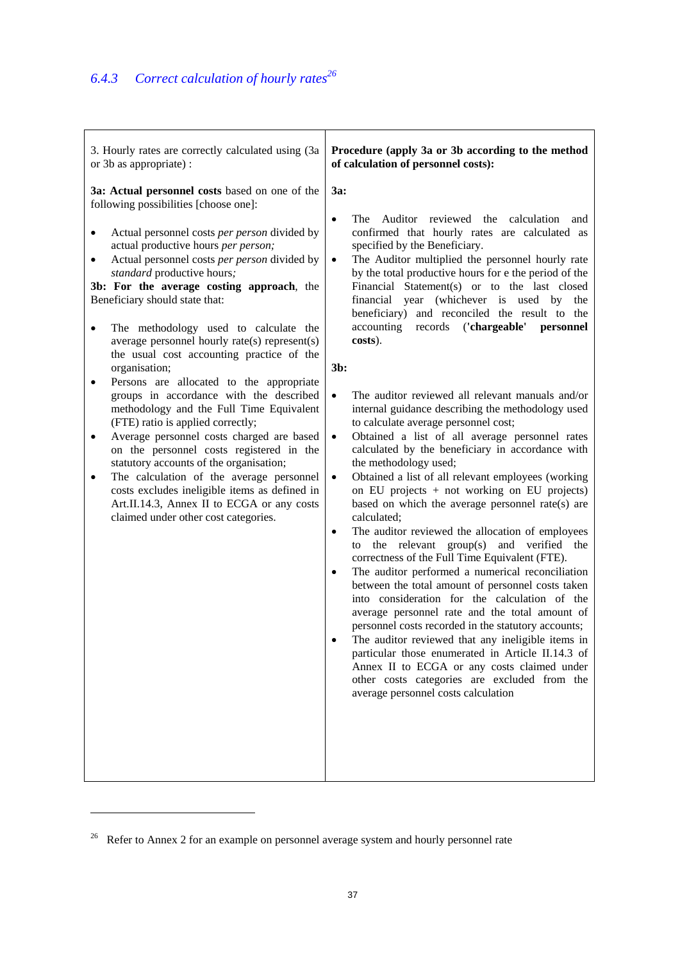| 3. Hourly rates are correctly calculated using (3a                                                                                                                                                                                                                                                                                                                                                                                                                                                                                                                                                                                                                                                                                                                                                                                                                                                                                                                                                                                         | Procedure (apply 3a or 3b according to the method                                                                                                                                                                                                                                                                                                                                                                                                                                                                                                                                                                                                                                                                                                                                                                                                                                                                                                                                                                                                                                                                                                                                                                                                                                                                                                                                                                                                                                                                                                                                                                                                                                                         |
|--------------------------------------------------------------------------------------------------------------------------------------------------------------------------------------------------------------------------------------------------------------------------------------------------------------------------------------------------------------------------------------------------------------------------------------------------------------------------------------------------------------------------------------------------------------------------------------------------------------------------------------------------------------------------------------------------------------------------------------------------------------------------------------------------------------------------------------------------------------------------------------------------------------------------------------------------------------------------------------------------------------------------------------------|-----------------------------------------------------------------------------------------------------------------------------------------------------------------------------------------------------------------------------------------------------------------------------------------------------------------------------------------------------------------------------------------------------------------------------------------------------------------------------------------------------------------------------------------------------------------------------------------------------------------------------------------------------------------------------------------------------------------------------------------------------------------------------------------------------------------------------------------------------------------------------------------------------------------------------------------------------------------------------------------------------------------------------------------------------------------------------------------------------------------------------------------------------------------------------------------------------------------------------------------------------------------------------------------------------------------------------------------------------------------------------------------------------------------------------------------------------------------------------------------------------------------------------------------------------------------------------------------------------------------------------------------------------------------------------------------------------------|
| or 3b as appropriate) :                                                                                                                                                                                                                                                                                                                                                                                                                                                                                                                                                                                                                                                                                                                                                                                                                                                                                                                                                                                                                    | of calculation of personnel costs):                                                                                                                                                                                                                                                                                                                                                                                                                                                                                                                                                                                                                                                                                                                                                                                                                                                                                                                                                                                                                                                                                                                                                                                                                                                                                                                                                                                                                                                                                                                                                                                                                                                                       |
| 3a: Actual personnel costs based on one of the<br>following possibilities [choose one]:<br>Actual personnel costs <i>per person</i> divided by<br>actual productive hours per person;<br>Actual personnel costs per person divided by<br>٠<br>standard productive hours;<br>3b: For the average costing approach, the<br>Beneficiary should state that:<br>The methodology used to calculate the<br>٠<br>average personnel hourly rate(s) represent(s)<br>the usual cost accounting practice of the<br>organisation;<br>Persons are allocated to the appropriate<br>٠<br>groups in accordance with the described<br>methodology and the Full Time Equivalent<br>(FTE) ratio is applied correctly;<br>Average personnel costs charged are based<br>$\bullet$<br>on the personnel costs registered in the<br>statutory accounts of the organisation;<br>The calculation of the average personnel<br>٠<br>costs excludes ineligible items as defined in<br>Art.II.14.3, Annex II to ECGA or any costs<br>claimed under other cost categories. | 3a:<br>Auditor reviewed the calculation<br>The<br>$\bullet$<br>and<br>confirmed that hourly rates are calculated as<br>specified by the Beneficiary.<br>The Auditor multiplied the personnel hourly rate<br>$\bullet$<br>by the total productive hours for e the period of the<br>Financial Statement(s) or to the last closed<br>financial year (whichever is used by the<br>beneficiary) and reconciled the result to the<br>accounting records ('chargeable'<br>personnel<br>costs).<br>$3b$ :<br>The auditor reviewed all relevant manuals and/or<br>$\bullet$<br>internal guidance describing the methodology used<br>to calculate average personnel cost;<br>Obtained a list of all average personnel rates<br>$\bullet$<br>calculated by the beneficiary in accordance with<br>the methodology used;<br>Obtained a list of all relevant employees (working<br>$\bullet$<br>on EU projects + not working on EU projects)<br>based on which the average personnel rate(s) are<br>calculated;<br>The auditor reviewed the allocation of employees<br>$\bullet$<br>the relevant $group(s)$<br>and verified the<br>to<br>correctness of the Full Time Equivalent (FTE).<br>The auditor performed a numerical reconciliation<br>$\bullet$<br>between the total amount of personnel costs taken<br>into consideration for the calculation of the<br>average personnel rate and the total amount of<br>personnel costs recorded in the statutory accounts;<br>The auditor reviewed that any ineligible items in<br>particular those enumerated in Article II.14.3 of<br>Annex II to ECGA or any costs claimed under<br>other costs categories are excluded from the<br>average personnel costs calculation |

<sup>&</sup>lt;sup>26</sup> Refer to Annex 2 for an example on personnel average system and hourly personnel rate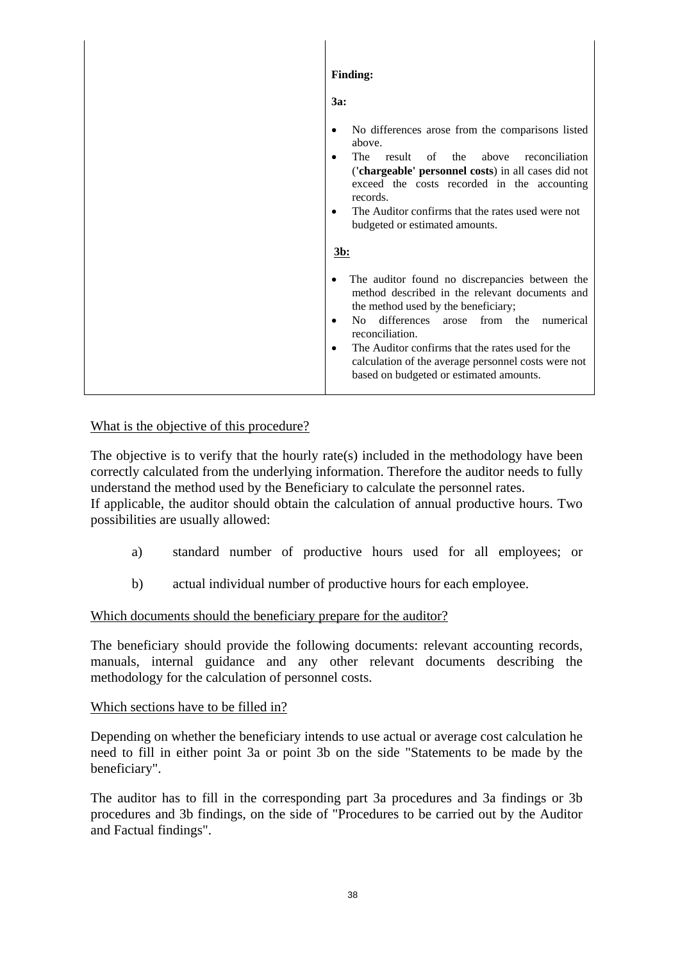|  | <b>Finding:</b>                                                                                                                                                                                                                                                                                                                                                                                |  |
|--|------------------------------------------------------------------------------------------------------------------------------------------------------------------------------------------------------------------------------------------------------------------------------------------------------------------------------------------------------------------------------------------------|--|
|  | 3a:                                                                                                                                                                                                                                                                                                                                                                                            |  |
|  | No differences arose from the comparisons listed<br>above.<br>The<br>of the<br>above<br>result<br>reconciliation<br>('chargeable' personnel costs) in all cases did not<br>exceed the costs recorded in the accounting<br>records.<br>The Auditor confirms that the rates used were not<br>budgeted or estimated amounts.<br><u>3b:</u>                                                        |  |
|  | The auditor found no discrepancies between the<br>method described in the relevant documents and<br>the method used by the beneficiary;<br>No differences<br>from the<br>arose<br>numerical<br>$\bullet$<br>reconciliation.<br>The Auditor confirms that the rates used for the<br>$\bullet$<br>calculation of the average personnel costs were not<br>based on budgeted or estimated amounts. |  |

# What is the objective of this procedure?

The objective is to verify that the hourly rate(s) included in the methodology have been correctly calculated from the underlying information. Therefore the auditor needs to fully understand the method used by the Beneficiary to calculate the personnel rates. If applicable, the auditor should obtain the calculation of annual productive hours. Two possibilities are usually allowed:

- a) standard number of productive hours used for all employees; or
- b) actual individual number of productive hours for each employee.

#### Which documents should the beneficiary prepare for the auditor?

The beneficiary should provide the following documents: relevant accounting records, manuals, internal guidance and any other relevant documents describing the methodology for the calculation of personnel costs.

#### Which sections have to be filled in?

Depending on whether the beneficiary intends to use actual or average cost calculation he need to fill in either point 3a or point 3b on the side "Statements to be made by the beneficiary".

The auditor has to fill in the corresponding part 3a procedures and 3a findings or 3b procedures and 3b findings, on the side of "Procedures to be carried out by the Auditor and Factual findings".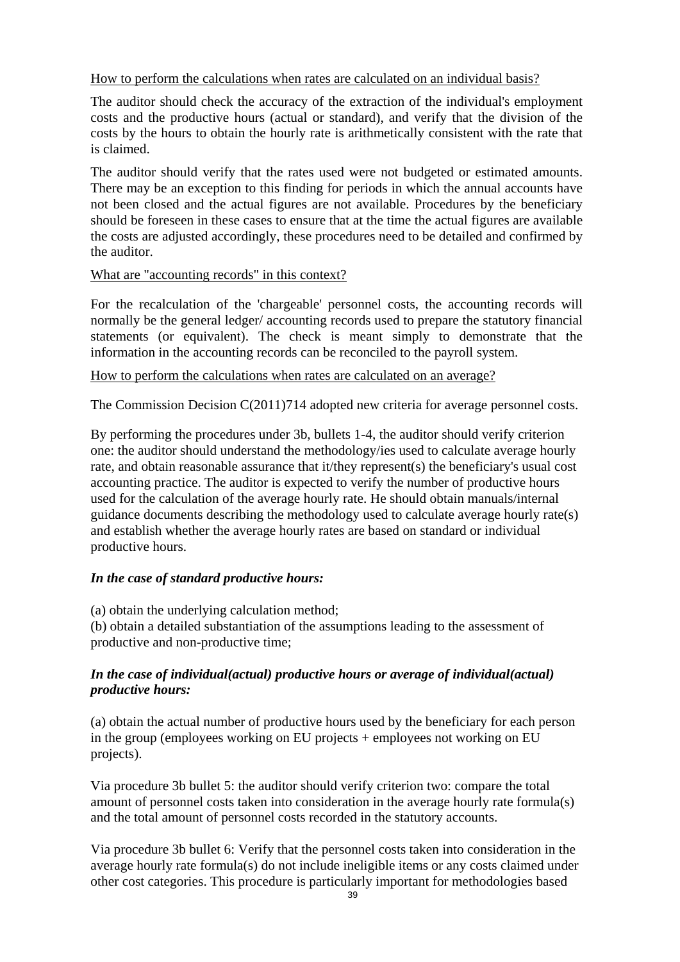How to perform the calculations when rates are calculated on an individual basis?

The auditor should check the accuracy of the extraction of the individual's employment costs and the productive hours (actual or standard), and verify that the division of the costs by the hours to obtain the hourly rate is arithmetically consistent with the rate that is claimed.

The auditor should verify that the rates used were not budgeted or estimated amounts. There may be an exception to this finding for periods in which the annual accounts have not been closed and the actual figures are not available. Procedures by the beneficiary should be foreseen in these cases to ensure that at the time the actual figures are available the costs are adjusted accordingly, these procedures need to be detailed and confirmed by the auditor.

# What are "accounting records" in this context?

For the recalculation of the 'chargeable' personnel costs, the accounting records will normally be the general ledger/ accounting records used to prepare the statutory financial statements (or equivalent). The check is meant simply to demonstrate that the information in the accounting records can be reconciled to the payroll system.

How to perform the calculations when rates are calculated on an average?

The Commission Decision C(2011)714 adopted new criteria for average personnel costs.

By performing the procedures under 3b, bullets 1-4, the auditor should verify criterion one: the auditor should understand the methodology/ies used to calculate average hourly rate, and obtain reasonable assurance that it/they represent(s) the beneficiary's usual cost accounting practice. The auditor is expected to verify the number of productive hours used for the calculation of the average hourly rate. He should obtain manuals/internal guidance documents describing the methodology used to calculate average hourly rate(s) and establish whether the average hourly rates are based on standard or individual productive hours.

# *In the case of standard productive hours:*

(a) obtain the underlying calculation method;

(b) obtain a detailed substantiation of the assumptions leading to the assessment of productive and non-productive time;

# *In the case of individual(actual) productive hours or average of individual(actual) productive hours:*

(a) obtain the actual number of productive hours used by the beneficiary for each person in the group (employees working on EU projects + employees not working on EU projects).

Via procedure 3b bullet 5: the auditor should verify criterion two: compare the total amount of personnel costs taken into consideration in the average hourly rate formula(s) and the total amount of personnel costs recorded in the statutory accounts.

Via procedure 3b bullet 6: Verify that the personnel costs taken into consideration in the average hourly rate formula(s) do not include ineligible items or any costs claimed under other cost categories. This procedure is particularly important for methodologies based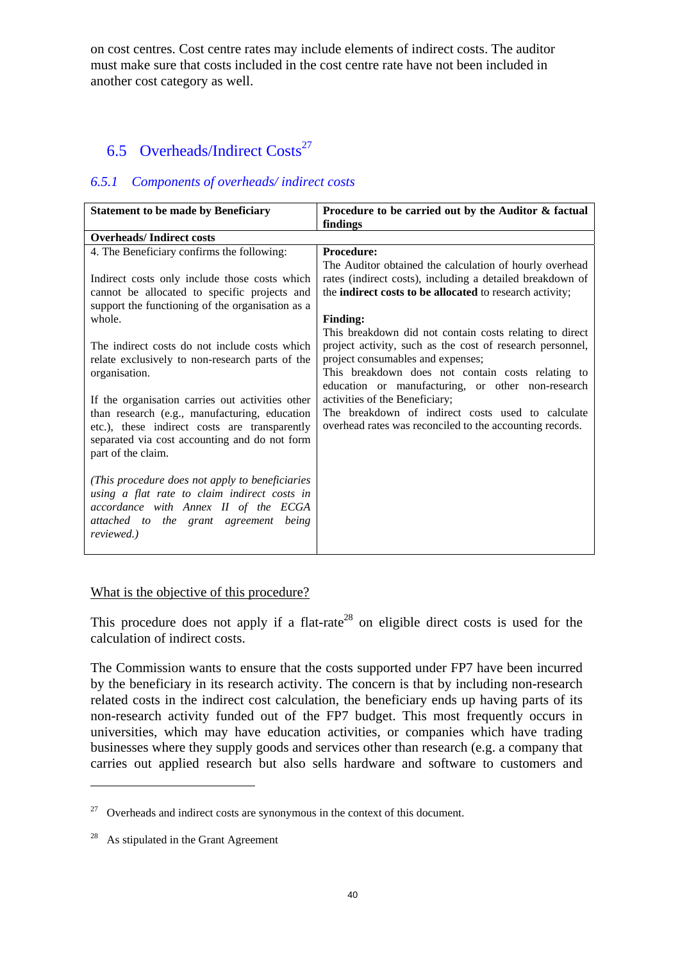on cost centres. Cost centre rates may include elements of indirect costs. The auditor must make sure that costs included in the cost centre rate have not been included in another cost category as well.

# 6.5 Overheads/Indirect  $\text{Costs}^{27}$

# *6.5.1 Components of overheads/ indirect costs*

| <b>Statement to be made by Beneficiary</b>       | Procedure to be carried out by the Auditor & factual      |
|--------------------------------------------------|-----------------------------------------------------------|
|                                                  | findings                                                  |
| <b>Overheads/Indirect costs</b>                  |                                                           |
| 4. The Beneficiary confirms the following:       | <b>Procedure:</b>                                         |
|                                                  | The Auditor obtained the calculation of hourly overhead   |
| Indirect costs only include those costs which    | rates (indirect costs), including a detailed breakdown of |
| cannot be allocated to specific projects and     | the indirect costs to be allocated to research activity;  |
| support the functioning of the organisation as a |                                                           |
| whole.                                           | <b>Finding:</b>                                           |
|                                                  | This breakdown did not contain costs relating to direct   |
| The indirect costs do not include costs which    | project activity, such as the cost of research personnel, |
| relate exclusively to non-research parts of the  | project consumables and expenses;                         |
| organisation.                                    | This breakdown does not contain costs relating to         |
|                                                  | education or manufacturing, or other non-research         |
| If the organisation carries out activities other | activities of the Beneficiary;                            |
| than research (e.g., manufacturing, education    | The breakdown of indirect costs used to calculate         |
| etc.), these indirect costs are transparently    | overhead rates was reconciled to the accounting records.  |
|                                                  |                                                           |
| separated via cost accounting and do not form    |                                                           |
| part of the claim.                               |                                                           |
|                                                  |                                                           |
| (This procedure does not apply to beneficiaries) |                                                           |
| using a flat rate to claim indirect costs in     |                                                           |
| accordance with Annex II of the ECGA             |                                                           |
| attached to the grant agreement being            |                                                           |
| reviewed.)                                       |                                                           |
|                                                  |                                                           |

### What is the objective of this procedure?

This procedure does not apply if a flat-rate<sup>28</sup> on eligible direct costs is used for the calculation of indirect costs.

The Commission wants to ensure that the costs supported under FP7 have been incurred by the beneficiary in its research activity. The concern is that by including non-research related costs in the indirect cost calculation, the beneficiary ends up having parts of its non-research activity funded out of the FP7 budget. This most frequently occurs in universities, which may have education activities, or companies which have trading businesses where they supply goods and services other than research (e.g. a company that carries out applied research but also sells hardware and software to customers and

<sup>&</sup>lt;sup>27</sup> Overheads and indirect costs are synonymous in the context of this document.

 $28$  As stipulated in the Grant Agreement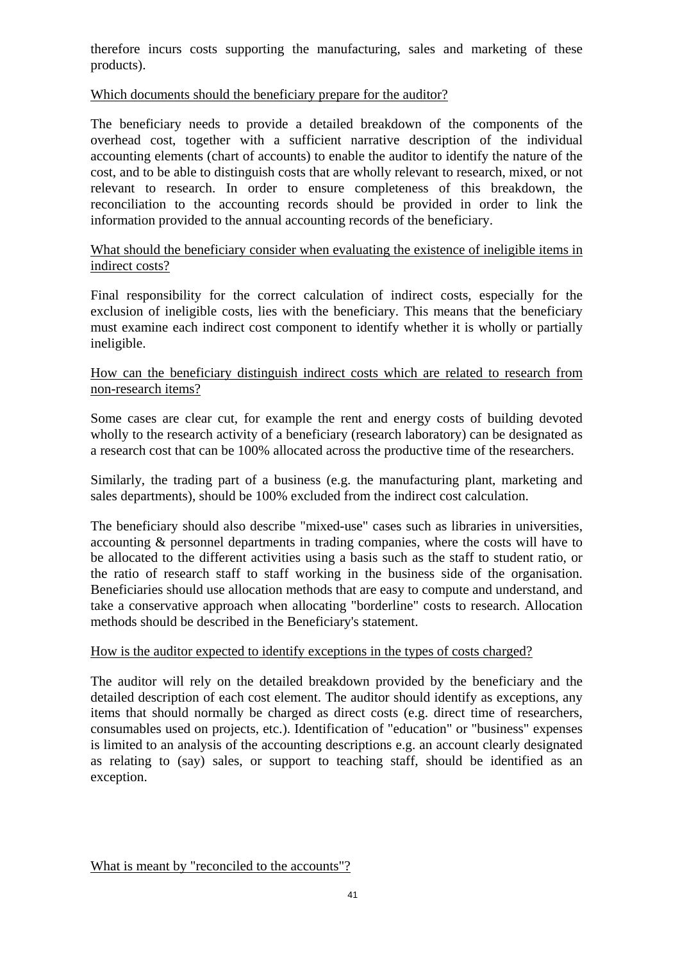therefore incurs costs supporting the manufacturing, sales and marketing of these products).

# Which documents should the beneficiary prepare for the auditor?

The beneficiary needs to provide a detailed breakdown of the components of the overhead cost, together with a sufficient narrative description of the individual accounting elements (chart of accounts) to enable the auditor to identify the nature of the cost, and to be able to distinguish costs that are wholly relevant to research, mixed, or not relevant to research. In order to ensure completeness of this breakdown, the reconciliation to the accounting records should be provided in order to link the information provided to the annual accounting records of the beneficiary.

# What should the beneficiary consider when evaluating the existence of ineligible items in indirect costs?

Final responsibility for the correct calculation of indirect costs, especially for the exclusion of ineligible costs, lies with the beneficiary. This means that the beneficiary must examine each indirect cost component to identify whether it is wholly or partially ineligible.

# How can the beneficiary distinguish indirect costs which are related to research from non-research items?

Some cases are clear cut, for example the rent and energy costs of building devoted wholly to the research activity of a beneficiary (research laboratory) can be designated as a research cost that can be 100% allocated across the productive time of the researchers.

Similarly, the trading part of a business (e.g. the manufacturing plant, marketing and sales departments), should be 100% excluded from the indirect cost calculation.

The beneficiary should also describe "mixed-use" cases such as libraries in universities, accounting & personnel departments in trading companies, where the costs will have to be allocated to the different activities using a basis such as the staff to student ratio, or the ratio of research staff to staff working in the business side of the organisation. Beneficiaries should use allocation methods that are easy to compute and understand, and take a conservative approach when allocating "borderline" costs to research. Allocation methods should be described in the Beneficiary's statement.

#### How is the auditor expected to identify exceptions in the types of costs charged?

The auditor will rely on the detailed breakdown provided by the beneficiary and the detailed description of each cost element. The auditor should identify as exceptions, any items that should normally be charged as direct costs (e.g. direct time of researchers, consumables used on projects, etc.). Identification of "education" or "business" expenses is limited to an analysis of the accounting descriptions e.g. an account clearly designated as relating to (say) sales, or support to teaching staff, should be identified as an exception.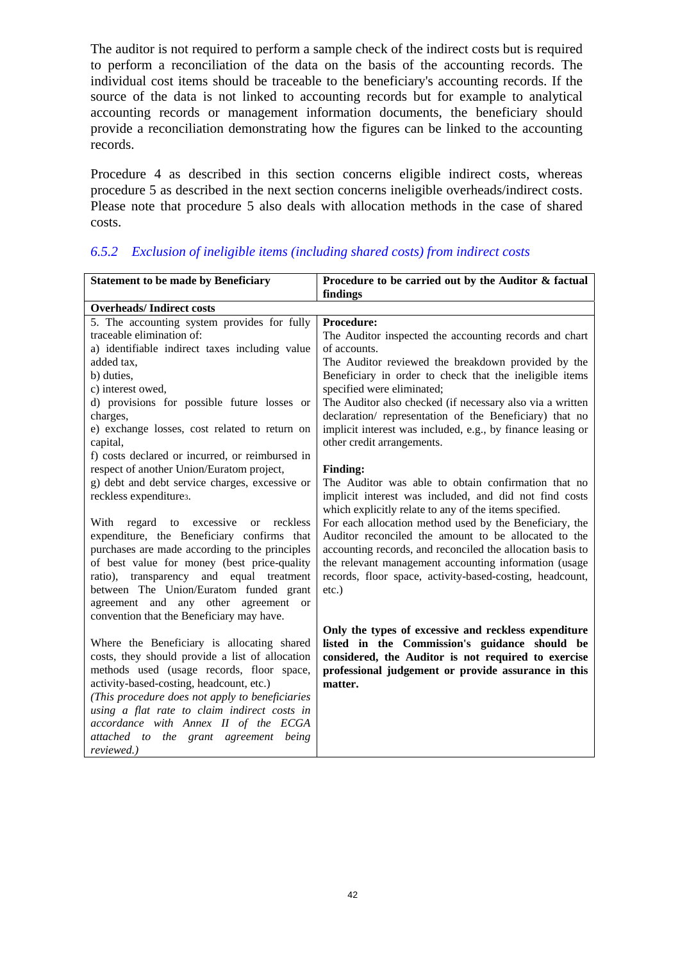The auditor is not required to perform a sample check of the indirect costs but is required to perform a reconciliation of the data on the basis of the accounting records. The individual cost items should be traceable to the beneficiary's accounting records. If the source of the data is not linked to accounting records but for example to analytical accounting records or management information documents, the beneficiary should provide a reconciliation demonstrating how the figures can be linked to the accounting records.

Procedure 4 as described in this section concerns eligible indirect costs, whereas procedure 5 as described in the next section concerns ineligible overheads/indirect costs. Please note that procedure 5 also deals with allocation methods in the case of shared costs.

| <b>Statement to be made by Beneficiary</b>           | Procedure to be carried out by the Auditor & factual                                                             |
|------------------------------------------------------|------------------------------------------------------------------------------------------------------------------|
|                                                      | findings                                                                                                         |
| <b>Overheads/Indirect costs</b>                      |                                                                                                                  |
| 5. The accounting system provides for fully          | Procedure:                                                                                                       |
| traceable elimination of:                            | The Auditor inspected the accounting records and chart                                                           |
| a) identifiable indirect taxes including value       | of accounts.                                                                                                     |
| added tax.                                           | The Auditor reviewed the breakdown provided by the                                                               |
| b) duties,                                           | Beneficiary in order to check that the ineligible items                                                          |
| c) interest owed,                                    | specified were eliminated;                                                                                       |
| d) provisions for possible future losses or          | The Auditor also checked (if necessary also via a written                                                        |
| charges,                                             | declaration/ representation of the Beneficiary) that no                                                          |
| e) exchange losses, cost related to return on        | implicit interest was included, e.g., by finance leasing or                                                      |
| capital,                                             | other credit arrangements.                                                                                       |
| f) costs declared or incurred, or reimbursed in      |                                                                                                                  |
| respect of another Union/Euratom project,            | <b>Finding:</b>                                                                                                  |
| g) debt and debt service charges, excessive or       | The Auditor was able to obtain confirmation that no                                                              |
| reckless expenditures.                               | implicit interest was included, and did not find costs<br>which explicitly relate to any of the items specified. |
| regard to excessive<br>reckless<br>With<br><b>or</b> | For each allocation method used by the Beneficiary, the                                                          |
| expenditure, the Beneficiary confirms that           | Auditor reconciled the amount to be allocated to the                                                             |
| purchases are made according to the principles       | accounting records, and reconciled the allocation basis to                                                       |
| of best value for money (best price-quality          | the relevant management accounting information (usage                                                            |
| ratio), transparency and equal treatment             | records, floor space, activity-based-costing, headcount,                                                         |
| between The Union/Euratom funded grant               | $etc.$ )                                                                                                         |
| agreement and any other agreement<br><b>or</b>       |                                                                                                                  |
| convention that the Beneficiary may have.            |                                                                                                                  |
|                                                      | Only the types of excessive and reckless expenditure                                                             |
| Where the Beneficiary is allocating shared           | listed in the Commission's guidance should be                                                                    |
| costs, they should provide a list of allocation      | considered, the Auditor is not required to exercise                                                              |
| methods used (usage records, floor space,            | professional judgement or provide assurance in this                                                              |
| activity-based-costing, headcount, etc.)             | matter.                                                                                                          |
| (This procedure does not apply to beneficiaries      |                                                                                                                  |
| using a flat rate to claim indirect costs in         |                                                                                                                  |
| accordance with Annex II of the ECGA                 |                                                                                                                  |
| attached to the grant agreement being                |                                                                                                                  |
| reviewed.)                                           |                                                                                                                  |

# *6.5.2 Exclusion of ineligible items (including shared costs) from indirect costs*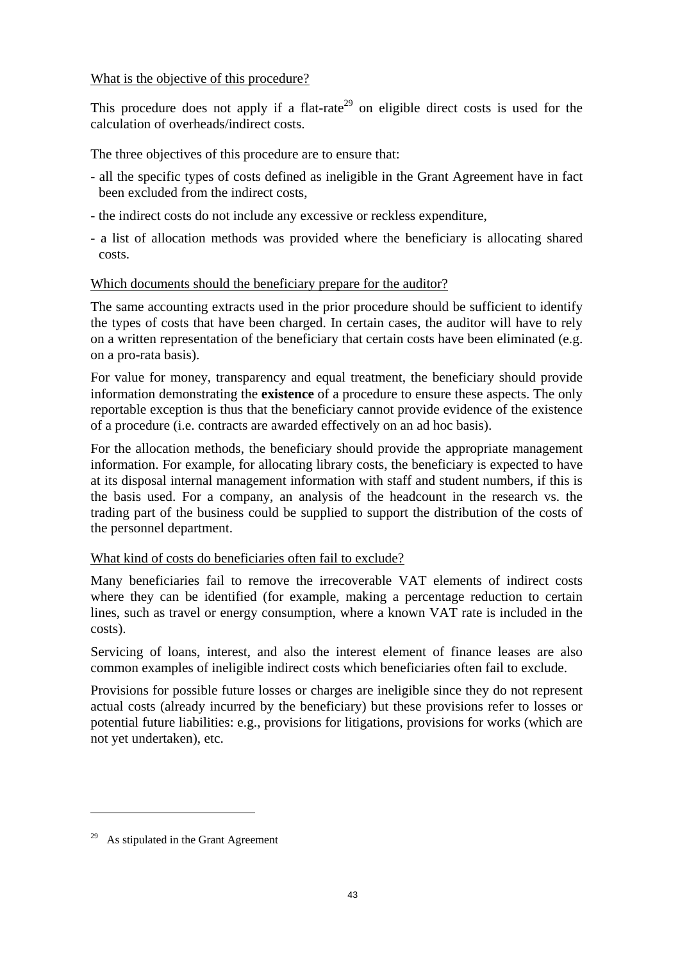### What is the objective of this procedure?

This procedure does not apply if a flat-rate<sup>29</sup> on eligible direct costs is used for the calculation of overheads/indirect costs.

The three objectives of this procedure are to ensure that:

- all the specific types of costs defined as ineligible in the Grant Agreement have in fact been excluded from the indirect costs,
- the indirect costs do not include any excessive or reckless expenditure,
- a list of allocation methods was provided where the beneficiary is allocating shared costs.

# Which documents should the beneficiary prepare for the auditor?

The same accounting extracts used in the prior procedure should be sufficient to identify the types of costs that have been charged. In certain cases, the auditor will have to rely on a written representation of the beneficiary that certain costs have been eliminated (e.g. on a pro-rata basis).

For value for money, transparency and equal treatment, the beneficiary should provide information demonstrating the **existence** of a procedure to ensure these aspects. The only reportable exception is thus that the beneficiary cannot provide evidence of the existence of a procedure (i.e. contracts are awarded effectively on an ad hoc basis).

For the allocation methods, the beneficiary should provide the appropriate management information. For example, for allocating library costs, the beneficiary is expected to have at its disposal internal management information with staff and student numbers, if this is the basis used. For a company, an analysis of the headcount in the research vs. the trading part of the business could be supplied to support the distribution of the costs of the personnel department.

# What kind of costs do beneficiaries often fail to exclude?

Many beneficiaries fail to remove the irrecoverable VAT elements of indirect costs where they can be identified (for example, making a percentage reduction to certain lines, such as travel or energy consumption, where a known VAT rate is included in the costs).

Servicing of loans, interest, and also the interest element of finance leases are also common examples of ineligible indirect costs which beneficiaries often fail to exclude.

Provisions for possible future losses or charges are ineligible since they do not represent actual costs (already incurred by the beneficiary) but these provisions refer to losses or potential future liabilities: e.g., provisions for litigations, provisions for works (which are not yet undertaken), etc.

<sup>&</sup>lt;sup>29</sup> As stipulated in the Grant Agreement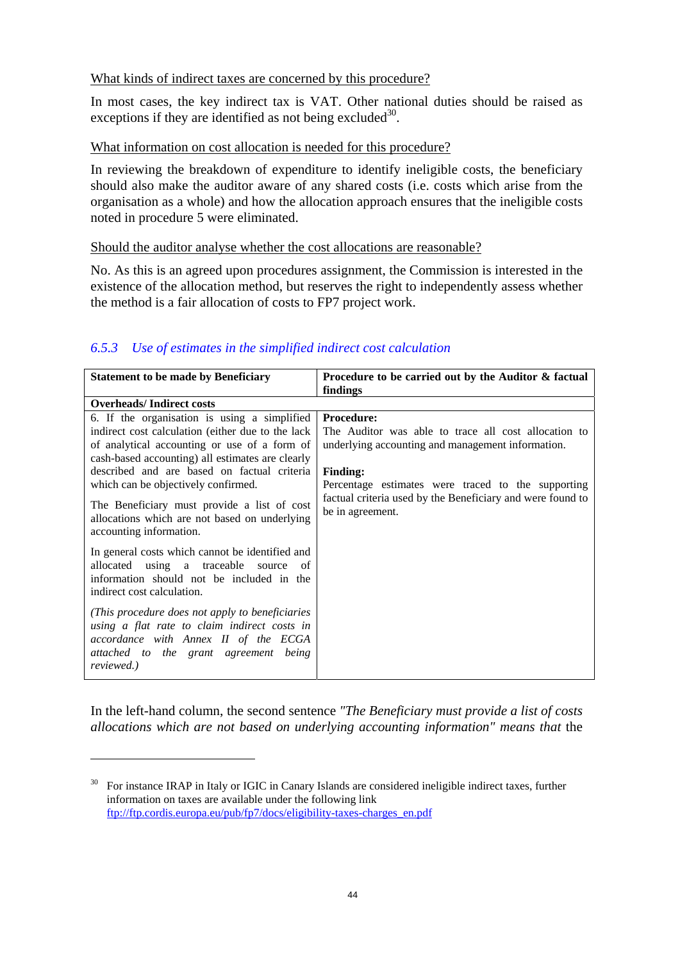# What kinds of indirect taxes are concerned by this procedure?

In most cases, the key indirect tax is VAT. Other national duties should be raised as exceptions if they are identified as not being excluded<sup>30</sup>.

# What information on cost allocation is needed for this procedure?

In reviewing the breakdown of expenditure to identify ineligible costs, the beneficiary should also make the auditor aware of any shared costs (i.e. costs which arise from the organisation as a whole) and how the allocation approach ensures that the ineligible costs noted in procedure 5 were eliminated.

# Should the auditor analyse whether the cost allocations are reasonable?

No. As this is an agreed upon procedures assignment, the Commission is interested in the existence of the allocation method, but reserves the right to independently assess whether the method is a fair allocation of costs to FP7 project work.

# *6.5.3 Use of estimates in the simplified indirect cost calculation*

| <b>Statement to be made by Beneficiary</b>                                                                                                                                                                                                                                                                                                                                                                             | Procedure to be carried out by the Auditor & factual                                                                                                                                                                                                                                      |  |
|------------------------------------------------------------------------------------------------------------------------------------------------------------------------------------------------------------------------------------------------------------------------------------------------------------------------------------------------------------------------------------------------------------------------|-------------------------------------------------------------------------------------------------------------------------------------------------------------------------------------------------------------------------------------------------------------------------------------------|--|
|                                                                                                                                                                                                                                                                                                                                                                                                                        | findings                                                                                                                                                                                                                                                                                  |  |
| <b>Overheads/Indirect costs</b>                                                                                                                                                                                                                                                                                                                                                                                        |                                                                                                                                                                                                                                                                                           |  |
| 6. If the organisation is using a simplified<br>indirect cost calculation (either due to the lack<br>of analytical accounting or use of a form of<br>cash-based accounting) all estimates are clearly<br>described and are based on factual criteria<br>which can be objectively confirmed.<br>The Beneficiary must provide a list of cost<br>allocations which are not based on underlying<br>accounting information. | <b>Procedure:</b><br>The Auditor was able to trace all cost allocation to<br>underlying accounting and management information.<br><b>Finding:</b><br>Percentage estimates were traced to the supporting<br>factual criteria used by the Beneficiary and were found to<br>be in agreement. |  |
| In general costs which cannot be identified and<br>allocated using a traceable source of<br>information should not be included in the<br>indirect cost calculation.                                                                                                                                                                                                                                                    |                                                                                                                                                                                                                                                                                           |  |
| (This procedure does not apply to beneficiaries)<br>using a flat rate to claim indirect costs in<br>accordance with Annex II of the ECGA<br>attached to the grant agreement being<br>reviewed.)                                                                                                                                                                                                                        |                                                                                                                                                                                                                                                                                           |  |

In the left-hand column, the second sentence *"The Beneficiary must provide a list of costs allocations which are not based on underlying accounting information" means that* the

<sup>&</sup>lt;sup>30</sup> For instance IRAP in Italy or IGIC in Canary Islands are considered ineligible indirect taxes, further information on taxes are available under the following link [ftp://ftp.cordis.europa.eu/pub/fp7/docs/eligibility-taxes-charges\\_en.pdf](ftp://ftp.cordis.europa.eu/pub/fp7/docs/eligibility-taxes-charges_en.pdf)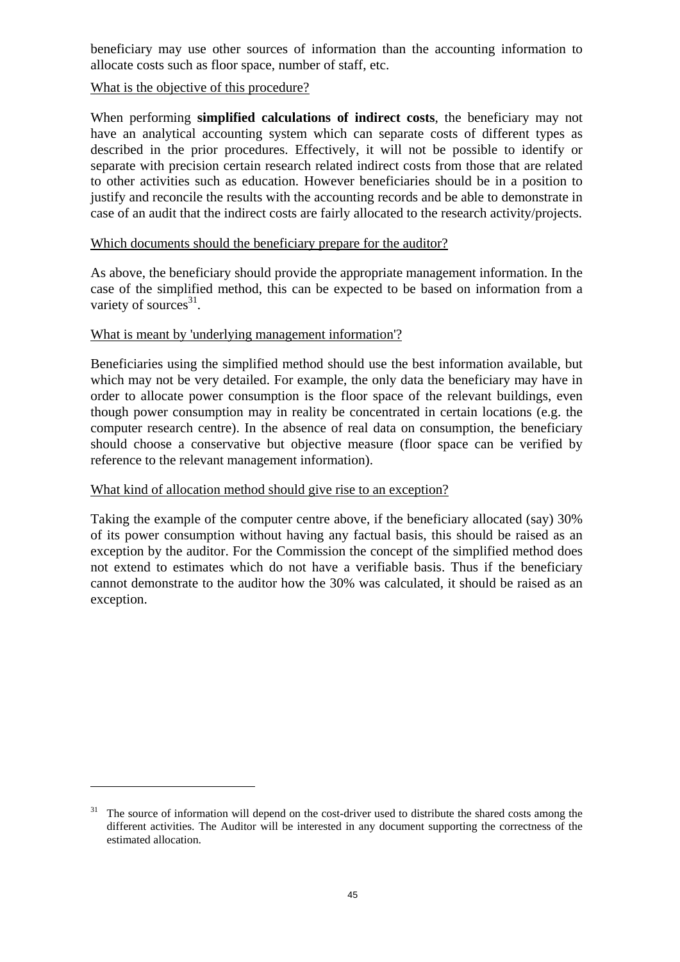beneficiary may use other sources of information than the accounting information to allocate costs such as floor space, number of staff, etc.

# What is the objective of this procedure?

When performing **simplified calculations of indirect costs**, the beneficiary may not have an analytical accounting system which can separate costs of different types as described in the prior procedures. Effectively, it will not be possible to identify or separate with precision certain research related indirect costs from those that are related to other activities such as education. However beneficiaries should be in a position to justify and reconcile the results with the accounting records and be able to demonstrate in case of an audit that the indirect costs are fairly allocated to the research activity/projects.

### Which documents should the beneficiary prepare for the auditor?

As above, the beneficiary should provide the appropriate management information. In the case of the simplified method, this can be expected to be based on information from a variety of sources $31$ .

# What is meant by 'underlying management information'?

Beneficiaries using the simplified method should use the best information available, but which may not be very detailed. For example, the only data the beneficiary may have in order to allocate power consumption is the floor space of the relevant buildings, even though power consumption may in reality be concentrated in certain locations (e.g. the computer research centre). In the absence of real data on consumption, the beneficiary should choose a conservative but objective measure (floor space can be verified by reference to the relevant management information).

# What kind of allocation method should give rise to an exception?

 $\overline{a}$ 

Taking the example of the computer centre above, if the beneficiary allocated (say) 30% of its power consumption without having any factual basis, this should be raised as an exception by the auditor. For the Commission the concept of the simplified method does not extend to estimates which do not have a verifiable basis. Thus if the beneficiary cannot demonstrate to the auditor how the 30% was calculated, it should be raised as an exception.

<sup>&</sup>lt;sup>31</sup> The source of information will depend on the cost-driver used to distribute the shared costs among the different activities. The Auditor will be interested in any document supporting the correctness of the estimated allocation.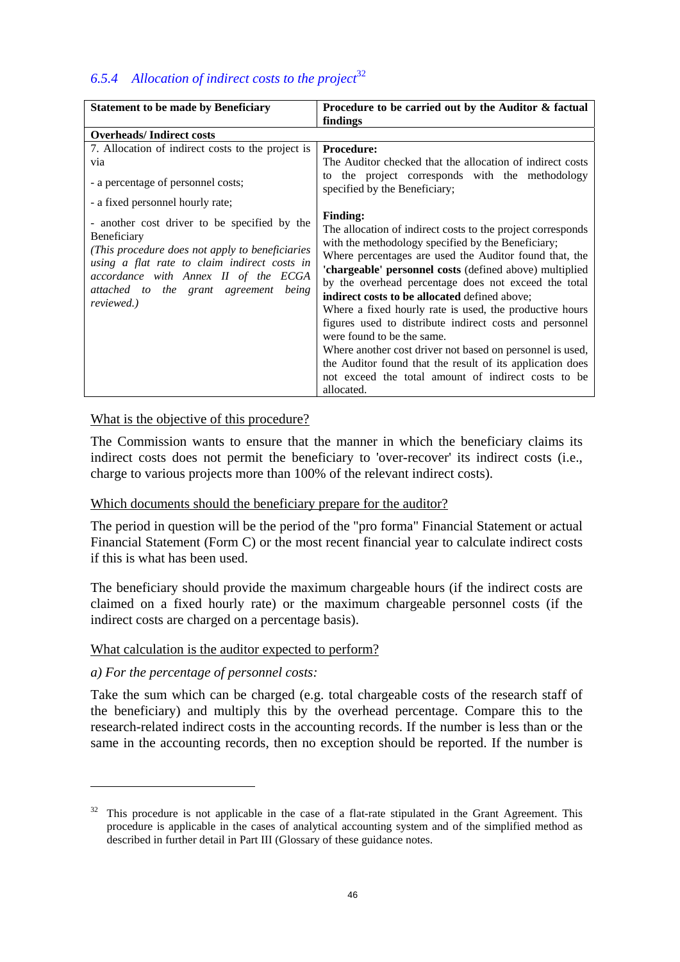# *6.5.4 Allocation of indirect costs to the project*<sup>32</sup>

| <b>Statement to be made by Beneficiary</b>                                                                                                                                                                                                                                                                                                                                                              | Procedure to be carried out by the Auditor & factual                                                                                                                                                                                                                                                                                                                                                                                                                                                                                                                                                                                                                                                                                                                                                                                                                                           |  |
|---------------------------------------------------------------------------------------------------------------------------------------------------------------------------------------------------------------------------------------------------------------------------------------------------------------------------------------------------------------------------------------------------------|------------------------------------------------------------------------------------------------------------------------------------------------------------------------------------------------------------------------------------------------------------------------------------------------------------------------------------------------------------------------------------------------------------------------------------------------------------------------------------------------------------------------------------------------------------------------------------------------------------------------------------------------------------------------------------------------------------------------------------------------------------------------------------------------------------------------------------------------------------------------------------------------|--|
|                                                                                                                                                                                                                                                                                                                                                                                                         | findings                                                                                                                                                                                                                                                                                                                                                                                                                                                                                                                                                                                                                                                                                                                                                                                                                                                                                       |  |
| <b>Overheads/Indirect costs</b>                                                                                                                                                                                                                                                                                                                                                                         |                                                                                                                                                                                                                                                                                                                                                                                                                                                                                                                                                                                                                                                                                                                                                                                                                                                                                                |  |
| 7. Allocation of indirect costs to the project is<br>via<br>- a percentage of personnel costs;<br>- a fixed personnel hourly rate;<br>- another cost driver to be specified by the<br>Beneficiary<br>(This procedure does not apply to beneficiaries)<br>using a flat rate to claim indirect costs in<br>accordance with Annex II of the ECGA<br>attached to the grant agreement<br>being<br>reviewed.) | <b>Procedure:</b><br>The Auditor checked that the allocation of indirect costs<br>the project corresponds with the methodology<br>to<br>specified by the Beneficiary;<br><b>Finding:</b><br>The allocation of indirect costs to the project corresponds<br>with the methodology specified by the Beneficiary;<br>Where percentages are used the Auditor found that, the<br>'chargeable' personnel costs (defined above) multiplied<br>by the overhead percentage does not exceed the total<br>indirect costs to be allocated defined above;<br>Where a fixed hourly rate is used, the productive hours<br>figures used to distribute indirect costs and personnel<br>were found to be the same.<br>Where another cost driver not based on personnel is used,<br>the Auditor found that the result of its application does<br>not exceed the total amount of indirect costs to be<br>allocated. |  |

# What is the objective of this procedure?

The Commission wants to ensure that the manner in which the beneficiary claims its indirect costs does not permit the beneficiary to 'over-recover' its indirect costs (i.e., charge to various projects more than 100% of the relevant indirect costs).

#### Which documents should the beneficiary prepare for the auditor?

The period in question will be the period of the "pro forma" Financial Statement or actual Financial Statement (Form C) or the most recent financial year to calculate indirect costs if this is what has been used.

The beneficiary should provide the maximum chargeable hours (if the indirect costs are claimed on a fixed hourly rate) or the maximum chargeable personnel costs (if the indirect costs are charged on a percentage basis).

#### What calculation is the auditor expected to perform?

#### *a) For the percentage of personnel costs:*

 $\overline{a}$ 

Take the sum which can be charged (e.g. total chargeable costs of the research staff of the beneficiary) and multiply this by the overhead percentage. Compare this to the research-related indirect costs in the accounting records. If the number is less than or the same in the accounting records, then no exception should be reported. If the number is

<sup>&</sup>lt;sup>32</sup> This procedure is not applicable in the case of a flat-rate stipulated in the Grant Agreement. This procedure is applicable in the cases of analytical accounting system and of the simplified method as described in further detail in Part III (Glossary of these guidance notes.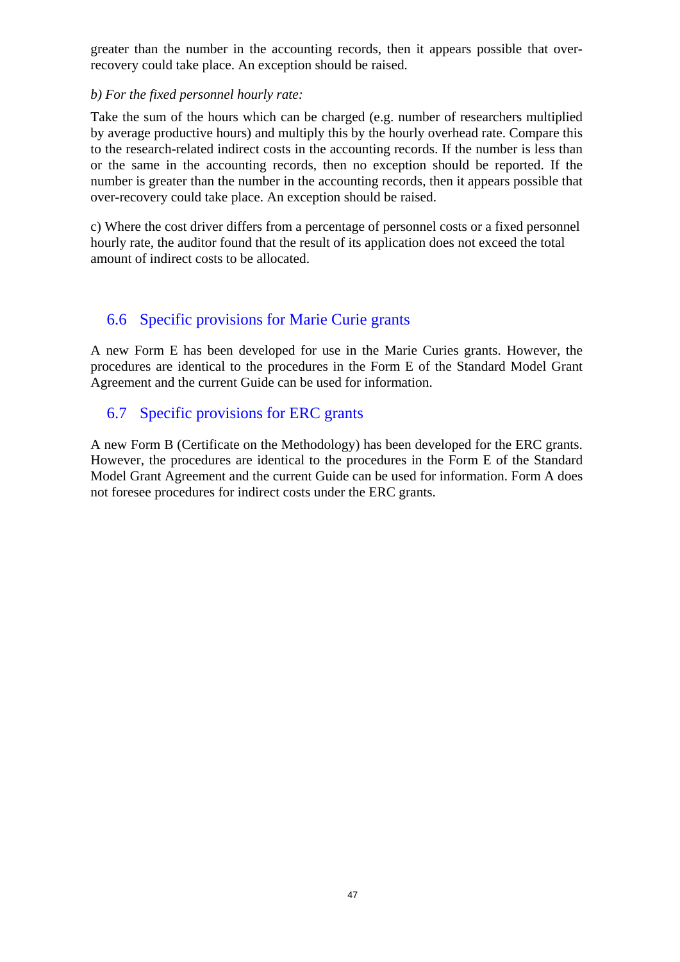greater than the number in the accounting records, then it appears possible that overrecovery could take place. An exception should be raised.

# *b) For the fixed personnel hourly rate:*

Take the sum of the hours which can be charged (e.g. number of researchers multiplied by average productive hours) and multiply this by the hourly overhead rate. Compare this to the research-related indirect costs in the accounting records. If the number is less than or the same in the accounting records, then no exception should be reported. If the number is greater than the number in the accounting records, then it appears possible that over-recovery could take place. An exception should be raised.

c) Where the cost driver differs from a percentage of personnel costs or a fixed personnel hourly rate, the auditor found that the result of its application does not exceed the total amount of indirect costs to be allocated.

# 6.6 Specific provisions for Marie Curie grants

A new Form E has been developed for use in the Marie Curies grants. However, the procedures are identical to the procedures in the Form E of the Standard Model Grant Agreement and the current Guide can be used for information.

# 6.7 Specific provisions for ERC grants

A new Form B (Certificate on the Methodology) has been developed for the ERC grants. However, the procedures are identical to the procedures in the Form E of the Standard Model Grant Agreement and the current Guide can be used for information. Form A does not foresee procedures for indirect costs under the ERC grants.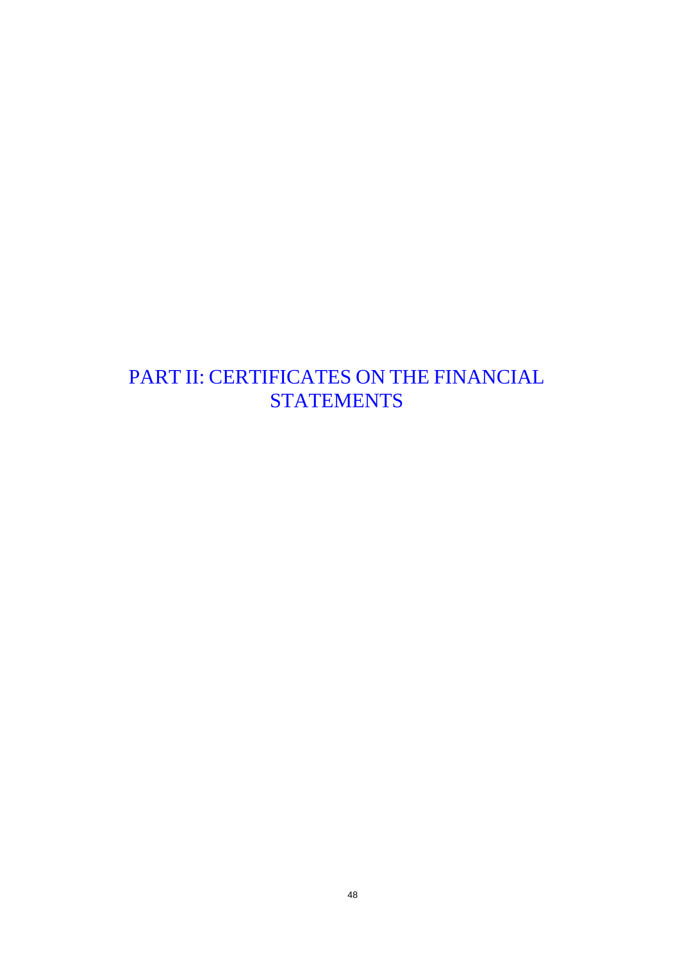# PART II: CERTIFICATES ON THE FINANCIAL **STATEMENTS**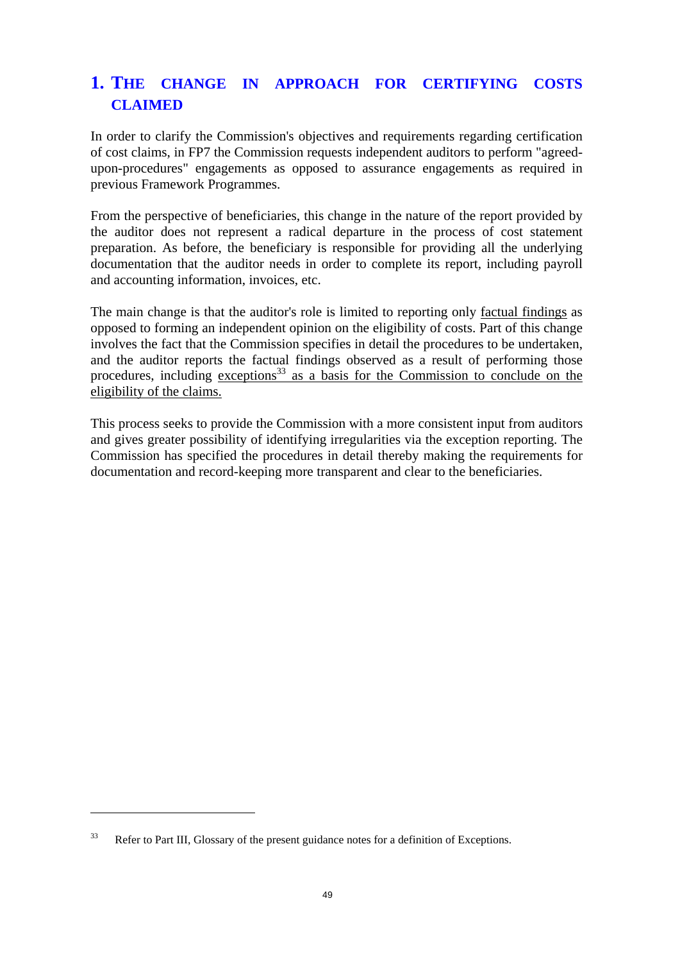# **1. THE CHANGE IN APPROACH FOR CERTIFYING COSTS CLAIMED**

In order to clarify the Commission's objectives and requirements regarding certification of cost claims, in FP7 the Commission requests independent auditors to perform "agreedupon-procedures" engagements as opposed to assurance engagements as required in previous Framework Programmes.

From the perspective of beneficiaries, this change in the nature of the report provided by the auditor does not represent a radical departure in the process of cost statement preparation. As before, the beneficiary is responsible for providing all the underlying documentation that the auditor needs in order to complete its report, including payroll and accounting information, invoices, etc.

The main change is that the auditor's role is limited to reporting only factual findings as opposed to forming an independent opinion on the eligibility of costs. Part of this change involves the fact that the Commission specifies in detail the procedures to be undertaken, and the auditor reports the factual findings observed as a result of performing those procedures, including exceptions<sup>33</sup> as a basis for the Commission to conclude on the eligibility of the claims.

This process seeks to provide the Commission with a more consistent input from auditors and gives greater possibility of identifying irregularities via the exception reporting. The Commission has specified the procedures in detail thereby making the requirements for documentation and record-keeping more transparent and clear to the beneficiaries.

<sup>&</sup>lt;sup>33</sup> Refer to Part III, Glossary of the present guidance notes for a definition of Exceptions.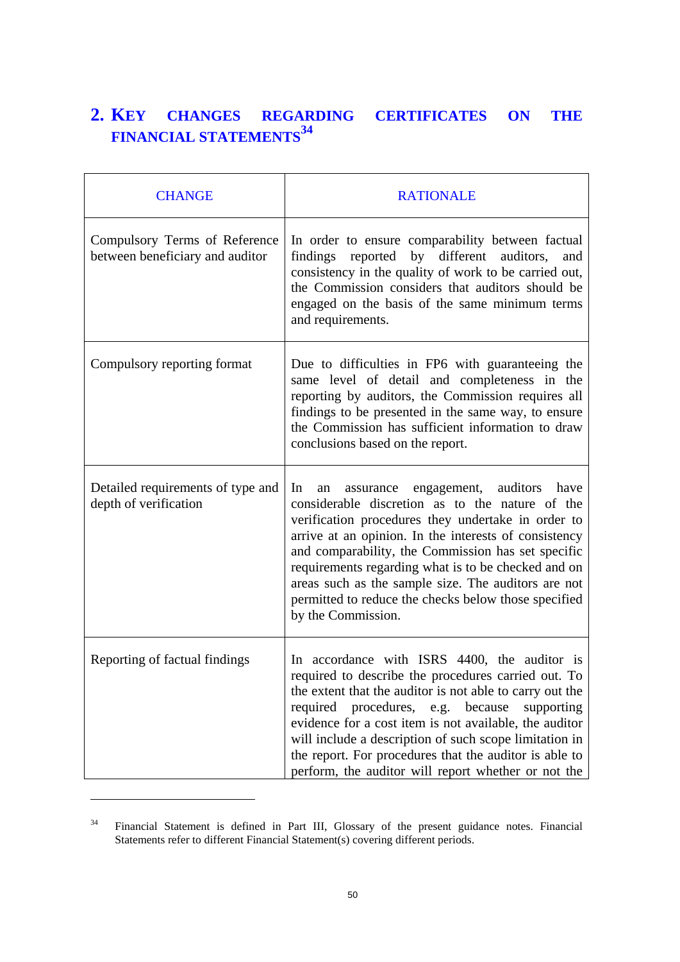# **2. KEY CHANGES REGARDING CERTIFICATES ON THE FINANCIAL STATEMENTS<sup>34</sup>**

| <b>CHANGE</b>                                                    | <b>RATIONALE</b>                                                                                                                                                                                                                                                                                                                                                                                                                                                       |
|------------------------------------------------------------------|------------------------------------------------------------------------------------------------------------------------------------------------------------------------------------------------------------------------------------------------------------------------------------------------------------------------------------------------------------------------------------------------------------------------------------------------------------------------|
| Compulsory Terms of Reference<br>between beneficiary and auditor | In order to ensure comparability between factual<br>reported by different auditors,<br>findings<br>and<br>consistency in the quality of work to be carried out,<br>the Commission considers that auditors should be<br>engaged on the basis of the same minimum terms<br>and requirements.                                                                                                                                                                             |
| Compulsory reporting format                                      | Due to difficulties in FP6 with guaranteeing the<br>same level of detail and completeness in the<br>reporting by auditors, the Commission requires all<br>findings to be presented in the same way, to ensure<br>the Commission has sufficient information to draw<br>conclusions based on the report.                                                                                                                                                                 |
| Detailed requirements of type and<br>depth of verification       | engagement, auditors have<br>In<br>an<br>assurance<br>considerable discretion as to the nature of the<br>verification procedures they undertake in order to<br>arrive at an opinion. In the interests of consistency<br>and comparability, the Commission has set specific<br>requirements regarding what is to be checked and on<br>areas such as the sample size. The auditors are not<br>permitted to reduce the checks below those specified<br>by the Commission. |
| Reporting of factual findings                                    | In accordance with ISRS 4400, the auditor is<br>required to describe the procedures carried out. To<br>the extent that the auditor is not able to carry out the<br>procedures, e.g. because<br>required<br>supporting<br>evidence for a cost item is not available, the auditor<br>will include a description of such scope limitation in<br>the report. For procedures that the auditor is able to<br>perform, the auditor will report whether or not the             |

<sup>&</sup>lt;sup>34</sup> Financial Statement is defined in Part III, Glossary of the present guidance notes. Financial Statements refer to different Financial Statement(s) covering different periods.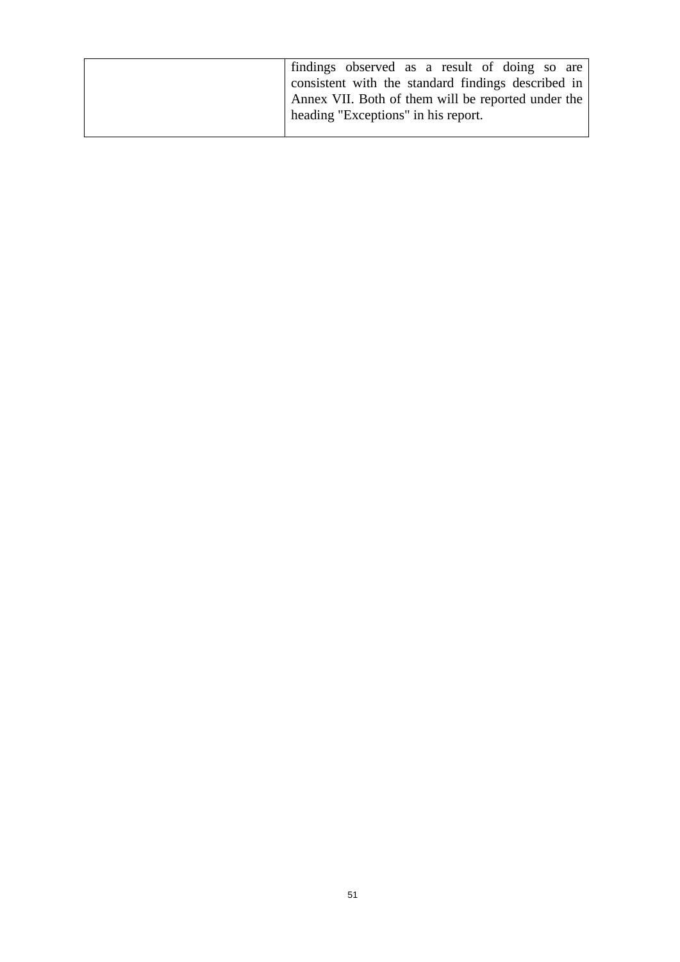| If indings observed as a result of doing so are    |
|----------------------------------------------------|
| consistent with the standard findings described in |
| Annex VII. Both of them will be reported under the |
| heading "Exceptions" in his report.                |
|                                                    |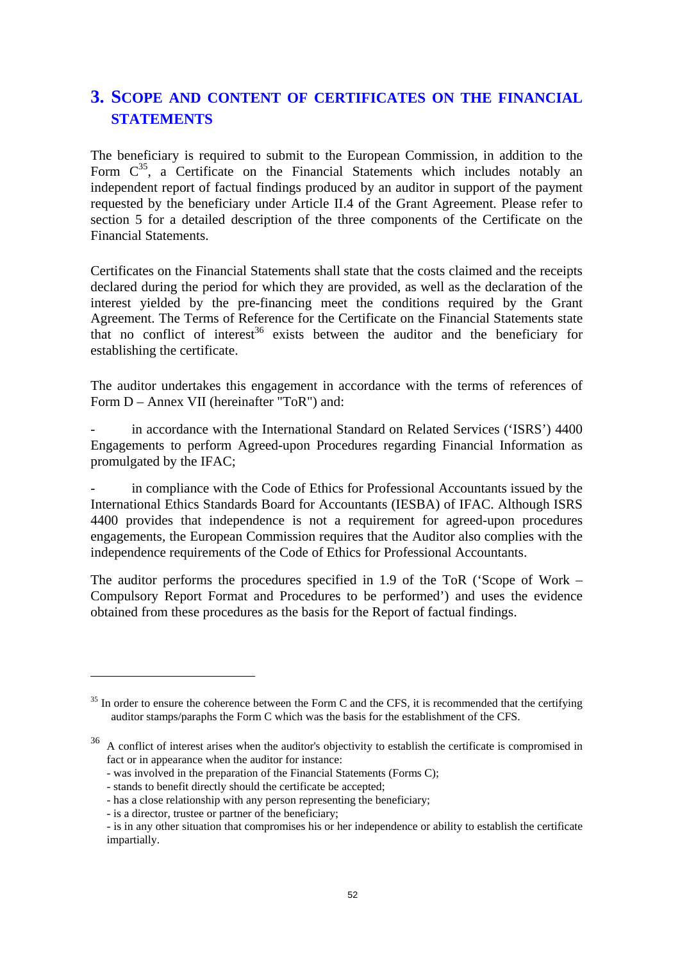# **3. SCOPE AND CONTENT OF CERTIFICATES ON THE FINANCIAL STATEMENTS**

The beneficiary is required to submit to the European Commission, in addition to the Form  $C^{35}$ , a Certificate on the Financial Statements which includes notably an independent report of factual findings produced by an auditor in support of the payment requested by the beneficiary under Article II.4 of the Grant Agreement. Please refer to section 5 for a detailed description of the three components of the Certificate on the Financial Statements.

Certificates on the Financial Statements shall state that the costs claimed and the receipts declared during the period for which they are provided, as well as the declaration of the interest yielded by the pre-financing meet the conditions required by the Grant Agreement. The Terms of Reference for the Certificate on the Financial Statements state that no conflict of interest<sup>36</sup> exists between the auditor and the beneficiary for establishing the certificate.

The auditor undertakes this engagement in accordance with the terms of references of Form D – Annex VII (hereinafter "ToR") and:

in accordance with the International Standard on Related Services ('ISRS') 4400 Engagements to perform Agreed-upon Procedures regarding Financial Information as promulgated by the IFAC;

in compliance with the Code of Ethics for Professional Accountants issued by the International Ethics Standards Board for Accountants (IESBA) of IFAC. Although ISRS 4400 provides that independence is not a requirement for agreed-upon procedures engagements, the European Commission requires that the Auditor also complies with the independence requirements of the Code of Ethics for Professional Accountants.

The auditor performs the procedures specified in 1.9 of the ToR ('Scope of Work – Compulsory Report Format and Procedures to be performed') and uses the evidence obtained from these procedures as the basis for the Report of factual findings.

 $35$  In order to ensure the coherence between the Form C and the CFS, it is recommended that the certifying auditor stamps/paraphs the Form C which was the basis for the establishment of the CFS.

<sup>&</sup>lt;sup>36</sup> A conflict of interest arises when the auditor's objectivity to establish the certificate is compromised in fact or in appearance when the auditor for instance:

 <sup>-</sup> was involved in the preparation of the Financial Statements (Forms C);

 <sup>-</sup> stands to benefit directly should the certificate be accepted;

 <sup>-</sup> has a close relationship with any person representing the beneficiary;

 <sup>-</sup> is a director, trustee or partner of the beneficiary;

 <sup>-</sup> is in any other situation that compromises his or her independence or ability to establish the certificate impartially.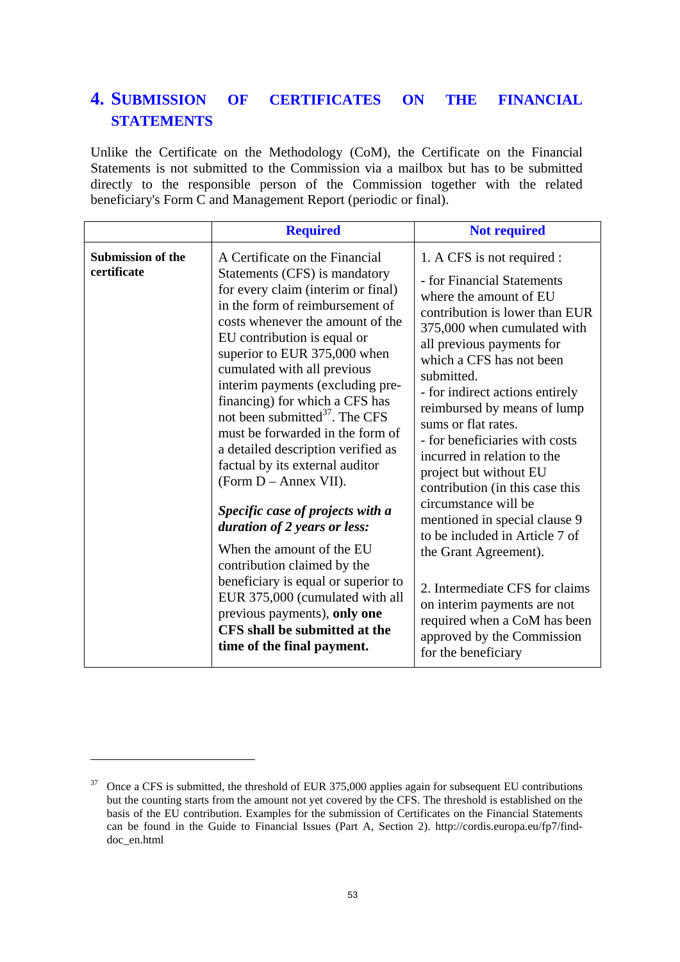# **4. SUBMISSION OF CERTIFICATES ON THE FINANCIAL STATEMENTS**

Unlike the Certificate on the Methodology (CoM), the Certificate on the Financial Statements is not submitted to the Commission via a mailbox but has to be submitted directly to the responsible person of the Commission together with the related beneficiary's Form C and Management Report (periodic or final).

|                                         | <b>Required</b>                                                                                                                                                                                                                                                                                                                                                                                                                                                                                                                                                                                                                                                                                                                                                                                                                               | <b>Not required</b>                                                                                                                                                                                                                                                                                                                                                                                                                                                                                                                                                                                                                                                                                                         |
|-----------------------------------------|-----------------------------------------------------------------------------------------------------------------------------------------------------------------------------------------------------------------------------------------------------------------------------------------------------------------------------------------------------------------------------------------------------------------------------------------------------------------------------------------------------------------------------------------------------------------------------------------------------------------------------------------------------------------------------------------------------------------------------------------------------------------------------------------------------------------------------------------------|-----------------------------------------------------------------------------------------------------------------------------------------------------------------------------------------------------------------------------------------------------------------------------------------------------------------------------------------------------------------------------------------------------------------------------------------------------------------------------------------------------------------------------------------------------------------------------------------------------------------------------------------------------------------------------------------------------------------------------|
| <b>Submission of the</b><br>certificate | A Certificate on the Financial<br>Statements (CFS) is mandatory<br>for every claim (interim or final)<br>in the form of reimbursement of<br>costs whenever the amount of the<br>EU contribution is equal or<br>superior to EUR 375,000 when<br>cumulated with all previous<br>interim payments (excluding pre-<br>financing) for which a CFS has<br>not been submitted <sup>37</sup> . The CFS<br>must be forwarded in the form of<br>a detailed description verified as<br>factual by its external auditor<br>(Form D – Annex VII).<br>Specific case of projects with a<br>duration of 2 years or less:<br>When the amount of the EU<br>contribution claimed by the<br>beneficiary is equal or superior to<br>EUR 375,000 (cumulated with all<br>previous payments), only one<br>CFS shall be submitted at the<br>time of the final payment. | 1. A CFS is not required :<br>- for Financial Statements<br>where the amount of EU<br>contribution is lower than EUR<br>375,000 when cumulated with<br>all previous payments for<br>which a CFS has not been<br>submitted.<br>- for indirect actions entirely<br>reimbursed by means of lump<br>sums or flat rates.<br>- for beneficiaries with costs<br>incurred in relation to the<br>project but without EU<br>contribution (in this case this<br>circumstance will be<br>mentioned in special clause 9<br>to be included in Article 7 of<br>the Grant Agreement).<br>2. Intermediate CFS for claims<br>on interim payments are not<br>required when a CoM has been<br>approved by the Commission<br>for the beneficiary |

<sup>&</sup>lt;sup>37</sup> Once a CFS is submitted, the threshold of EUR 375,000 applies again for subsequent EU contributions but the counting starts from the amount not yet covered by the CFS. The threshold is established on the basis of the EU contribution. Examples for the submission of Certificates on the Financial Statements can be found in the Guide to Financial Issues (Part A, Section 2). http://cordis.europa.eu/fp7/finddoc\_en.html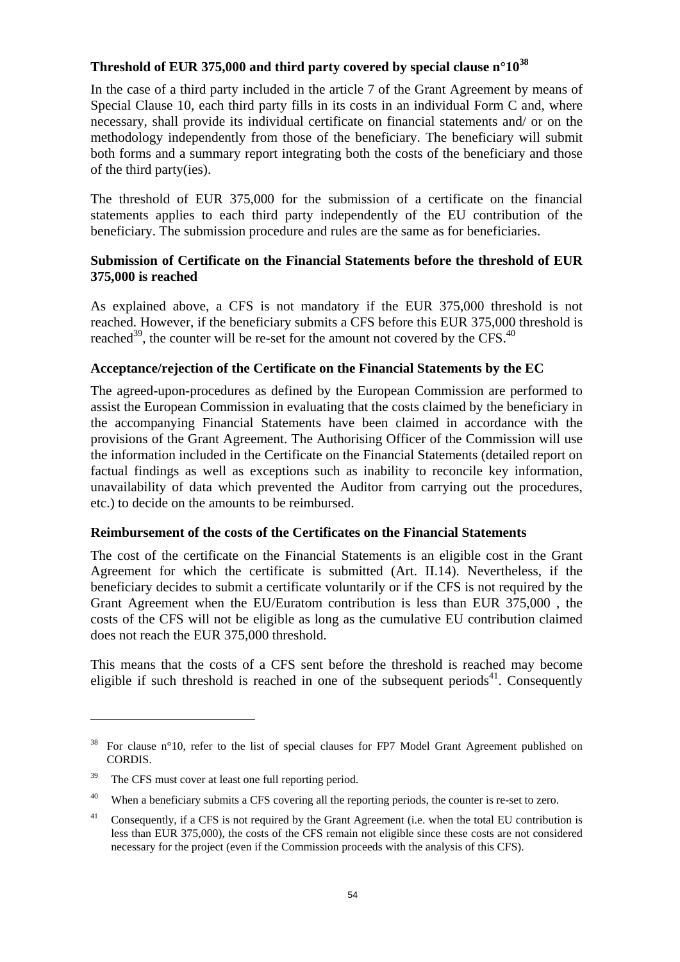# **Threshold of EUR 375,000 and third party covered by special clause n°1038**

In the case of a third party included in the article 7 of the Grant Agreement by means of Special Clause 10, each third party fills in its costs in an individual Form C and, where necessary, shall provide its individual certificate on financial statements and/ or on the methodology independently from those of the beneficiary. The beneficiary will submit both forms and a summary report integrating both the costs of the beneficiary and those of the third party(ies).

The threshold of EUR 375,000 for the submission of a certificate on the financial statements applies to each third party independently of the EU contribution of the beneficiary. The submission procedure and rules are the same as for beneficiaries.

# **Submission of Certificate on the Financial Statements before the threshold of EUR 375,000 is reached**

As explained above, a CFS is not mandatory if the EUR 375,000 threshold is not reached. However, if the beneficiary submits a CFS before this EUR 375,000 threshold is reached<sup>39</sup>, the counter will be re-set for the amount not covered by the CFS.<sup>40</sup>

# **Acceptance/rejection of the Certificate on the Financial Statements by the EC**

The agreed-upon-procedures as defined by the European Commission are performed to assist the European Commission in evaluating that the costs claimed by the beneficiary in the accompanying Financial Statements have been claimed in accordance with the provisions of the Grant Agreement. The Authorising Officer of the Commission will use the information included in the Certificate on the Financial Statements (detailed report on factual findings as well as exceptions such as inability to reconcile key information, unavailability of data which prevented the Auditor from carrying out the procedures, etc.) to decide on the amounts to be reimbursed.

# **Reimbursement of the costs of the Certificates on the Financial Statements**

The cost of the certificate on the Financial Statements is an eligible cost in the Grant Agreement for which the certificate is submitted (Art. II.14). Nevertheless, if the beneficiary decides to submit a certificate voluntarily or if the CFS is not required by the Grant Agreement when the EU/Euratom contribution is less than EUR 375,000 , the costs of the CFS will not be eligible as long as the cumulative EU contribution claimed does not reach the EUR 375,000 threshold.

This means that the costs of a CFS sent before the threshold is reached may become eligible if such threshold is reached in one of the subsequent periods<sup>41</sup>. Consequently

<sup>38</sup> For clause n°10, refer to the list of special clauses for FP7 Model Grant Agreement published on CORDIS.

<sup>&</sup>lt;sup>39</sup> The CFS must cover at least one full reporting period.

<sup>&</sup>lt;sup>40</sup> When a beneficiary submits a CFS covering all the reporting periods, the counter is re-set to zero.

<sup>&</sup>lt;sup>41</sup> Consequently, if a CFS is not required by the Grant Agreement (i.e. when the total EU contribution is less than EUR 375,000), the costs of the CFS remain not eligible since these costs are not considered necessary for the project (even if the Commission proceeds with the analysis of this CFS).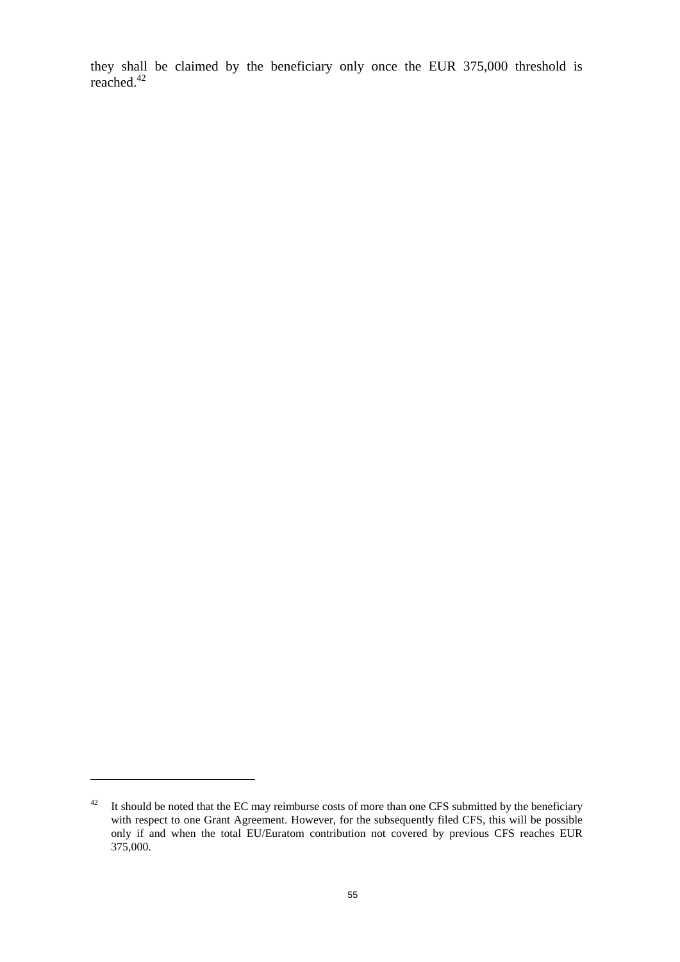they shall be claimed by the beneficiary only once the EUR 375,000 threshold is reached.<sup>42</sup>

 $42$  It should be noted that the EC may reimburse costs of more than one CFS submitted by the beneficiary with respect to one Grant Agreement. However, for the subsequently filed CFS, this will be possible only if and when the total EU/Euratom contribution not covered by previous CFS reaches EUR 375,000.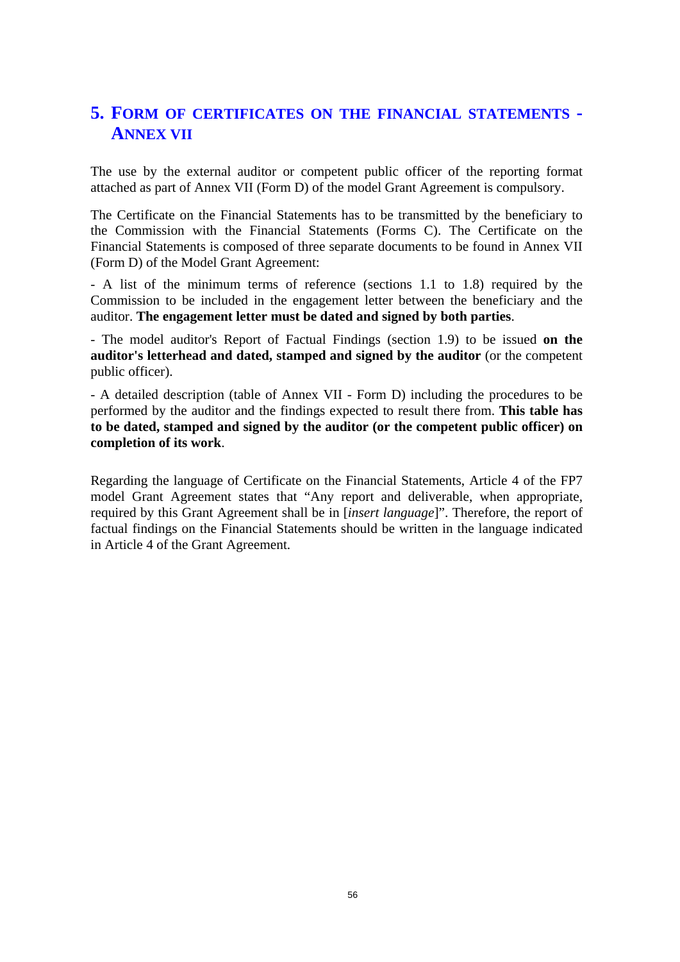# **5. FORM OF CERTIFICATES ON THE FINANCIAL STATEMENTS - ANNEX VII**

The use by the external auditor or competent public officer of the reporting format attached as part of Annex VII (Form D) of the model Grant Agreement is compulsory.

The Certificate on the Financial Statements has to be transmitted by the beneficiary to the Commission with the Financial Statements (Forms C). The Certificate on the Financial Statements is composed of three separate documents to be found in Annex VII (Form D) of the Model Grant Agreement:

- A list of the minimum terms of reference (sections 1.1 to 1.8) required by the Commission to be included in the engagement letter between the beneficiary and the auditor. **The engagement letter must be dated and signed by both parties**.

- The model auditor's Report of Factual Findings (section 1.9) to be issued **on the auditor's letterhead and dated, stamped and signed by the auditor** (or the competent public officer).

- A detailed description (table of Annex VII - Form D) including the procedures to be performed by the auditor and the findings expected to result there from. **This table has to be dated, stamped and signed by the auditor (or the competent public officer) on completion of its work**.

Regarding the language of Certificate on the Financial Statements, Article 4 of the FP7 model Grant Agreement states that "Any report and deliverable, when appropriate, required by this Grant Agreement shall be in [*insert language*]". Therefore, the report of factual findings on the Financial Statements should be written in the language indicated in Article 4 of the Grant Agreement.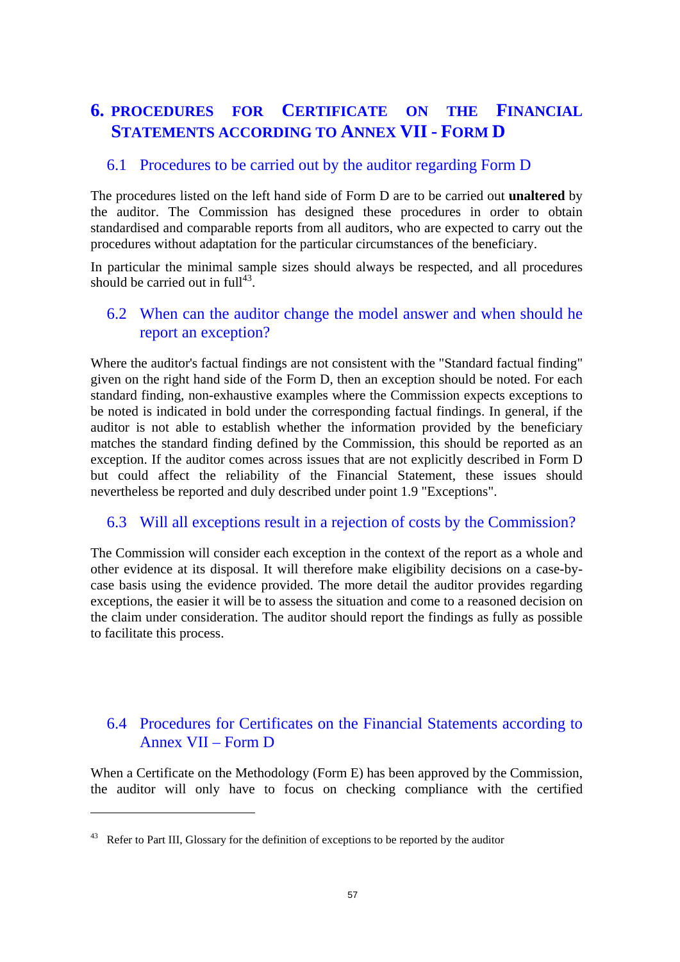# **6. PROCEDURES FOR CERTIFICATE ON THE FINANCIAL STATEMENTS ACCORDING TO ANNEX VII - FORM D**

# 6.1 Procedures to be carried out by the auditor regarding Form D

The procedures listed on the left hand side of Form D are to be carried out **unaltered** by the auditor. The Commission has designed these procedures in order to obtain standardised and comparable reports from all auditors, who are expected to carry out the procedures without adaptation for the particular circumstances of the beneficiary.

In particular the minimal sample sizes should always be respected, and all procedures should be carried out in  $\text{full}^{43}$ .

# 6.2 When can the auditor change the model answer and when should he report an exception?

Where the auditor's factual findings are not consistent with the "Standard factual finding" given on the right hand side of the Form D, then an exception should be noted. For each standard finding, non-exhaustive examples where the Commission expects exceptions to be noted is indicated in bold under the corresponding factual findings. In general, if the auditor is not able to establish whether the information provided by the beneficiary matches the standard finding defined by the Commission, this should be reported as an exception. If the auditor comes across issues that are not explicitly described in Form D but could affect the reliability of the Financial Statement, these issues should nevertheless be reported and duly described under point 1.9 "Exceptions".

# 6.3 Will all exceptions result in a rejection of costs by the Commission?

The Commission will consider each exception in the context of the report as a whole and other evidence at its disposal. It will therefore make eligibility decisions on a case-bycase basis using the evidence provided. The more detail the auditor provides regarding exceptions, the easier it will be to assess the situation and come to a reasoned decision on the claim under consideration. The auditor should report the findings as fully as possible to facilitate this process.

# 6.4 Procedures for Certificates on the Financial Statements according to Annex VII – Form D

When a Certificate on the Methodology (Form E) has been approved by the Commission, the auditor will only have to focus on checking compliance with the certified

<sup>&</sup>lt;sup>43</sup> Refer to Part III, Glossary for the definition of exceptions to be reported by the auditor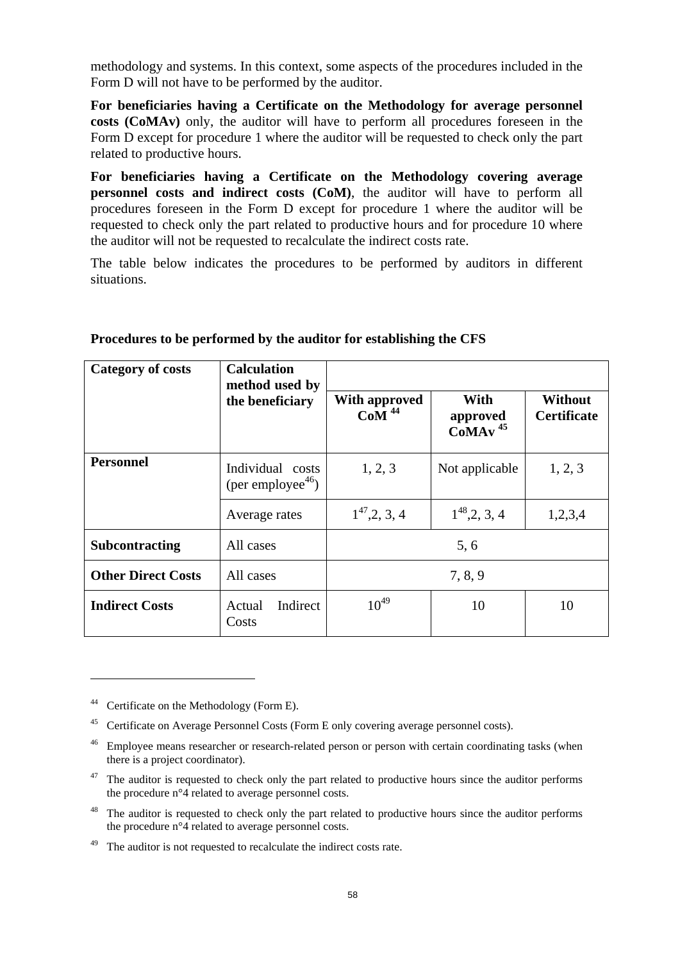methodology and systems. In this context, some aspects of the procedures included in the Form D will not have to be performed by the auditor.

**For beneficiaries having a Certificate on the Methodology for average personnel costs (CoMAv)** only, the auditor will have to perform all procedures foreseen in the Form D except for procedure 1 where the auditor will be requested to check only the part related to productive hours.

**For beneficiaries having a Certificate on the Methodology covering average personnel costs and indirect costs (CoM)**, the auditor will have to perform all procedures foreseen in the Form D except for procedure 1 where the auditor will be requested to check only the part related to productive hours and for procedure 10 where the auditor will not be requested to recalculate the indirect costs rate.

The table below indicates the procedures to be performed by auditors in different situations.

| <b>Category of costs</b>                                              | <b>Calculation</b><br>method used by<br>the beneficiary |                                                        |                                           |                                      |
|-----------------------------------------------------------------------|---------------------------------------------------------|--------------------------------------------------------|-------------------------------------------|--------------------------------------|
|                                                                       |                                                         | <b>With approved</b><br>$Co\overline{M}$ <sup>44</sup> | With<br>approved<br>$CoMAv$ <sup>45</sup> | <b>Without</b><br><b>Certificate</b> |
| <b>Personnel</b><br>Individual costs<br>(per employee <sup>46</sup> ) |                                                         | 1, 2, 3                                                | Not applicable                            | 1, 2, 3                              |
|                                                                       | Average rates                                           | $1^{47}$ , 2, 3, 4                                     | $1^{48}$ , 2, 3, 4                        | 1,2,3,4                              |
| <b>Subcontracting</b>                                                 | All cases                                               |                                                        | 5,6                                       |                                      |
| <b>Other Direct Costs</b>                                             | All cases                                               |                                                        | 7, 8, 9                                   |                                      |
| <b>Indirect Costs</b>                                                 | Indirect<br>Actual<br>Costs                             | $10^{49}$                                              | 10                                        | 10                                   |

#### **Procedures to be performed by the auditor for establishing the CFS**

<sup>&</sup>lt;sup>44</sup> Certificate on the Methodology (Form E).

<sup>45</sup> Certificate on Average Personnel Costs (Form E only covering average personnel costs).

<sup>&</sup>lt;sup>46</sup> Employee means researcher or research-related person or person with certain coordinating tasks (when there is a project coordinator).

<sup>&</sup>lt;sup>47</sup> The auditor is requested to check only the part related to productive hours since the auditor performs the procedure n°4 related to average personnel costs.

<sup>&</sup>lt;sup>48</sup> The auditor is requested to check only the part related to productive hours since the auditor performs the procedure n°4 related to average personnel costs.

The auditor is not requested to recalculate the indirect costs rate.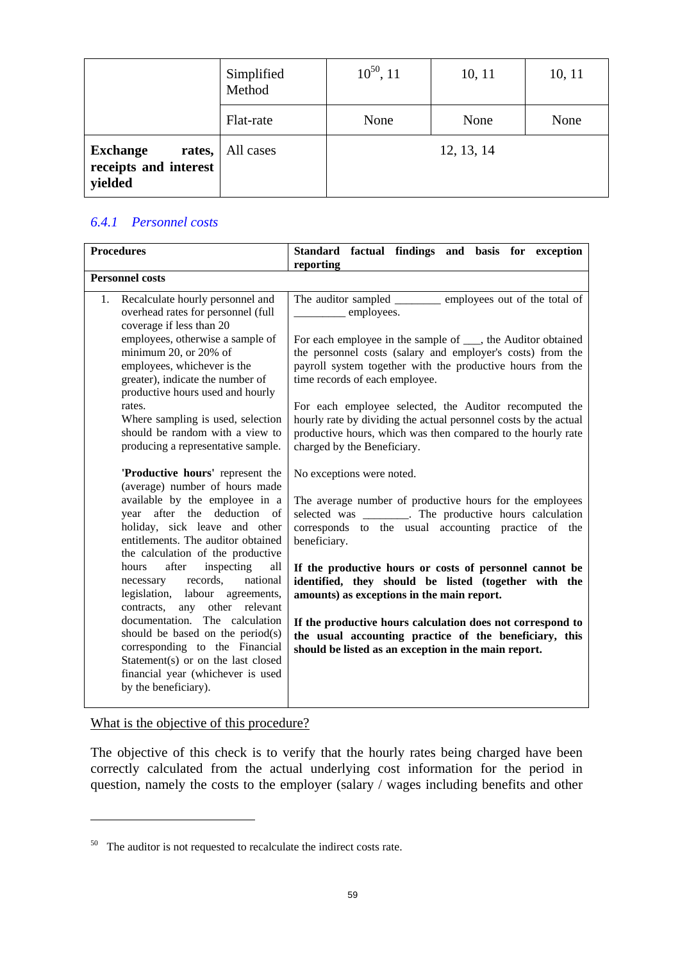|                                                               | Simplified<br>Method | $10^{50}$ , 11 | 10, 11     | 10, 11 |
|---------------------------------------------------------------|----------------------|----------------|------------|--------|
|                                                               | Flat-rate            | None           | None       | None   |
| <b>Exchange</b><br>rates,<br>receipts and interest<br>yielded | All cases            |                | 12, 13, 14 |        |

# *6.4.1 Personnel costs*

| <b>Procedures</b>                                                                                                                                                                                          | Standard factual findings and basis for exception<br>reporting                                                                                                                                                             |
|------------------------------------------------------------------------------------------------------------------------------------------------------------------------------------------------------------|----------------------------------------------------------------------------------------------------------------------------------------------------------------------------------------------------------------------------|
| <b>Personnel costs</b>                                                                                                                                                                                     |                                                                                                                                                                                                                            |
| Recalculate hourly personnel and<br>1.<br>overhead rates for personnel (full<br>coverage if less than 20                                                                                                   | The auditor sampled ___________ employees out of the total of<br>employees.                                                                                                                                                |
| employees, otherwise a sample of<br>minimum 20, or 20% of<br>employees, whichever is the<br>greater), indicate the number of<br>productive hours used and hourly                                           | For each employee in the sample of ___, the Auditor obtained<br>the personnel costs (salary and employer's costs) from the<br>payroll system together with the productive hours from the<br>time records of each employee. |
| rates.<br>Where sampling is used, selection<br>should be random with a view to<br>producing a representative sample.                                                                                       | For each employee selected, the Auditor recomputed the<br>hourly rate by dividing the actual personnel costs by the actual<br>productive hours, which was then compared to the hourly rate<br>charged by the Beneficiary.  |
| 'Productive hours' represent the<br>(average) number of hours made                                                                                                                                         | No exceptions were noted.                                                                                                                                                                                                  |
| available by the employee in a<br>year after the deduction of<br>holiday, sick leave and other<br>entitlements. The auditor obtained<br>the calculation of the productive                                  | The average number of productive hours for the employees<br>selected was ________. The productive hours calculation<br>corresponds to the usual accounting practice of the<br>beneficiary.                                 |
| after<br>inspecting<br>hours<br>all<br>records,<br>national<br>necessary<br>legislation, labour agreements,<br>any other relevant<br>contracts,                                                            | If the productive hours or costs of personnel cannot be<br>identified, they should be listed (together with the<br>amounts) as exceptions in the main report.                                                              |
| documentation. The calculation<br>should be based on the period $(s)$<br>corresponding to the Financial<br>Statement(s) or on the last closed<br>financial year (whichever is used<br>by the beneficiary). | If the productive hours calculation does not correspond to<br>the usual accounting practice of the beneficiary, this<br>should be listed as an exception in the main report.                                               |

What is the objective of this procedure?

 $\overline{a}$ 

The objective of this check is to verify that the hourly rates being charged have been correctly calculated from the actual underlying cost information for the period in question, namely the costs to the employer (salary / wages including benefits and other

<sup>50</sup> The auditor is not requested to recalculate the indirect costs rate.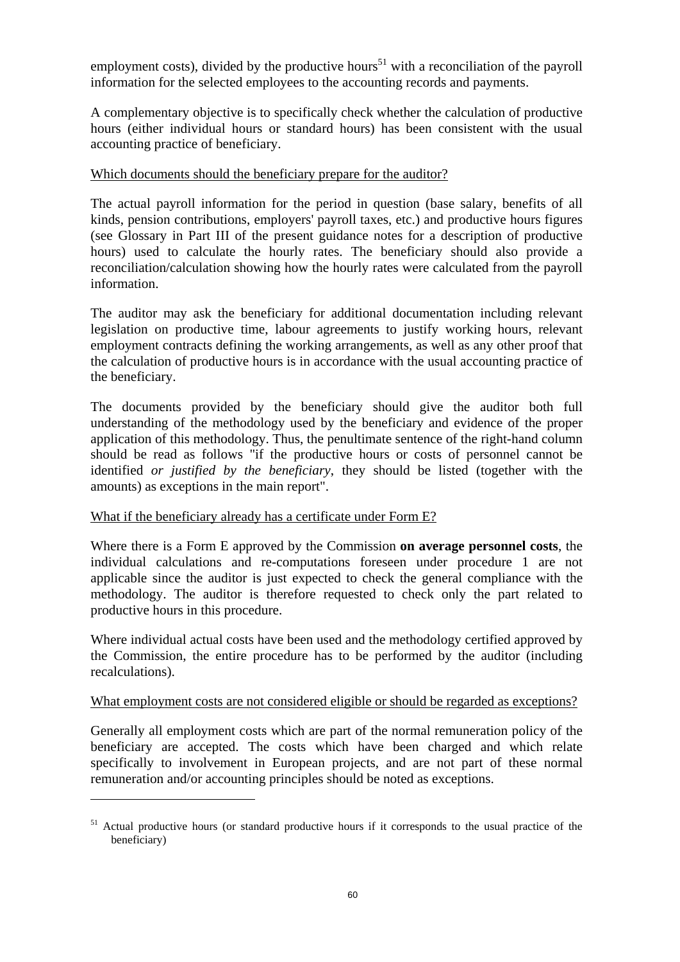employment costs), divided by the productive hours<sup>51</sup> with a reconciliation of the payroll information for the selected employees to the accounting records and payments.

A complementary objective is to specifically check whether the calculation of productive hours (either individual hours or standard hours) has been consistent with the usual accounting practice of beneficiary.

### Which documents should the beneficiary prepare for the auditor?

The actual payroll information for the period in question (base salary, benefits of all kinds, pension contributions, employers' payroll taxes, etc.) and productive hours figures (see Glossary in Part III of the present guidance notes for a description of productive hours) used to calculate the hourly rates. The beneficiary should also provide a reconciliation/calculation showing how the hourly rates were calculated from the payroll information.

The auditor may ask the beneficiary for additional documentation including relevant legislation on productive time, labour agreements to justify working hours, relevant employment contracts defining the working arrangements, as well as any other proof that the calculation of productive hours is in accordance with the usual accounting practice of the beneficiary.

The documents provided by the beneficiary should give the auditor both full understanding of the methodology used by the beneficiary and evidence of the proper application of this methodology. Thus, the penultimate sentence of the right-hand column should be read as follows "if the productive hours or costs of personnel cannot be identified *or justified by the beneficiary*, they should be listed (together with the amounts) as exceptions in the main report".

# What if the beneficiary already has a certificate under Form E?

 $\overline{a}$ 

Where there is a Form E approved by the Commission **on average personnel costs**, the individual calculations and re-computations foreseen under procedure 1 are not applicable since the auditor is just expected to check the general compliance with the methodology. The auditor is therefore requested to check only the part related to productive hours in this procedure.

Where individual actual costs have been used and the methodology certified approved by the Commission, the entire procedure has to be performed by the auditor (including recalculations).

#### What employment costs are not considered eligible or should be regarded as exceptions?

Generally all employment costs which are part of the normal remuneration policy of the beneficiary are accepted. The costs which have been charged and which relate specifically to involvement in European projects, and are not part of these normal remuneration and/or accounting principles should be noted as exceptions.

<sup>&</sup>lt;sup>51</sup> Actual productive hours (or standard productive hours if it corresponds to the usual practice of the beneficiary)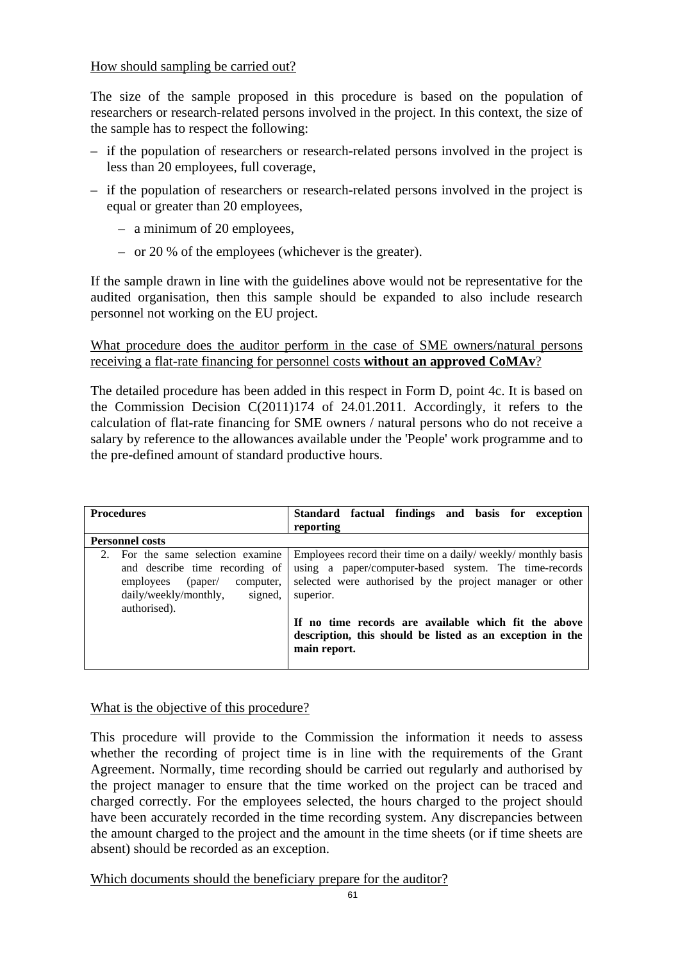# How should sampling be carried out?

The size of the sample proposed in this procedure is based on the population of researchers or research-related persons involved in the project. In this context, the size of the sample has to respect the following:

- if the population of researchers or research-related persons involved in the project is less than 20 employees, full coverage,
- if the population of researchers or research-related persons involved in the project is equal or greater than 20 employees,
	- a minimum of 20 employees,
	- or 20 % of the employees (whichever is the greater).

If the sample drawn in line with the guidelines above would not be representative for the audited organisation, then this sample should be expanded to also include research personnel not working on the EU project.

What procedure does the auditor perform in the case of SME owners/natural persons receiving a flat-rate financing for personnel costs **without an approved CoMAv**?

The detailed procedure has been added in this respect in Form D, point 4c. It is based on the Commission Decision C(2011)174 of 24.01.2011. Accordingly, it refers to the calculation of flat-rate financing for SME owners / natural persons who do not receive a salary by reference to the allowances available under the 'People' work programme and to the pre-defined amount of standard productive hours.

| <b>Procedures</b>                                                                                                                                          | Standard factual findings and basis for exception                                                                                                                                               |
|------------------------------------------------------------------------------------------------------------------------------------------------------------|-------------------------------------------------------------------------------------------------------------------------------------------------------------------------------------------------|
|                                                                                                                                                            | reporting                                                                                                                                                                                       |
| <b>Personnel costs</b>                                                                                                                                     |                                                                                                                                                                                                 |
| For the same selection examine<br>and describe time recording of<br>(paper /<br>employees<br>computer,<br>daily/weekly/monthly,<br>signed,<br>authorised). | Employees record their time on a daily/ weekly/ monthly basis<br>using a paper/computer-based system. The time-records<br>selected were authorised by the project manager or other<br>superior. |
|                                                                                                                                                            | If no time records are available which fit the above<br>description, this should be listed as an exception in the<br>main report.                                                               |

What is the objective of this procedure?

This procedure will provide to the Commission the information it needs to assess whether the recording of project time is in line with the requirements of the Grant Agreement. Normally, time recording should be carried out regularly and authorised by the project manager to ensure that the time worked on the project can be traced and charged correctly. For the employees selected, the hours charged to the project should have been accurately recorded in the time recording system. Any discrepancies between the amount charged to the project and the amount in the time sheets (or if time sheets are absent) should be recorded as an exception.

Which documents should the beneficiary prepare for the auditor?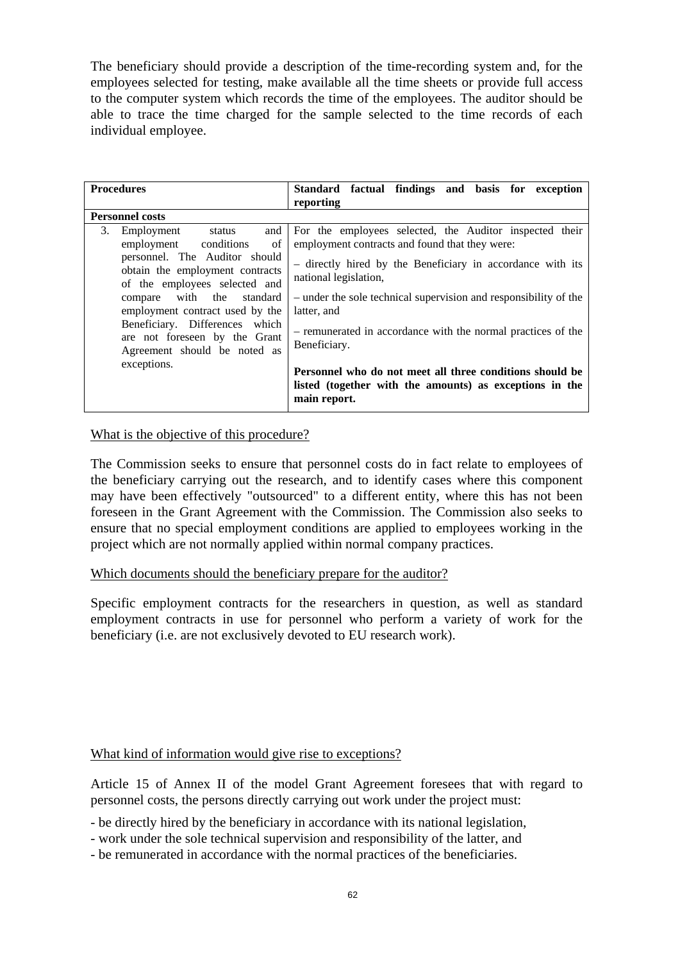The beneficiary should provide a description of the time-recording system and, for the employees selected for testing, make available all the time sheets or provide full access to the computer system which records the time of the employees. The auditor should be able to trace the time charged for the sample selected to the time records of each individual employee.

| <b>Procedures</b>                                                                                                                                                                                                                                                                                                                                               | Standard factual findings and basis for exception<br>reporting                                                                                                                                                                                                                                                                                                                                                                                                                                             |
|-----------------------------------------------------------------------------------------------------------------------------------------------------------------------------------------------------------------------------------------------------------------------------------------------------------------------------------------------------------------|------------------------------------------------------------------------------------------------------------------------------------------------------------------------------------------------------------------------------------------------------------------------------------------------------------------------------------------------------------------------------------------------------------------------------------------------------------------------------------------------------------|
| <b>Personnel costs</b>                                                                                                                                                                                                                                                                                                                                          |                                                                                                                                                                                                                                                                                                                                                                                                                                                                                                            |
| Employment status<br>and<br>3.<br>employment conditions<br><sub>of</sub><br>personnel. The Auditor should<br>obtain the employment contracts<br>of the employees selected and<br>compare with the standard<br>employment contract used by the<br>Beneficiary. Differences which<br>are not foreseen by the Grant<br>Agreement should be noted as<br>exceptions. | For the employees selected, the Auditor inspected their<br>employment contracts and found that they were:<br>- directly hired by the Beneficiary in accordance with its<br>national legislation,<br>- under the sole technical supervision and responsibility of the<br>latter, and<br>- remunerated in accordance with the normal practices of the<br>Beneficiary.<br>Personnel who do not meet all three conditions should be<br>listed (together with the amounts) as exceptions in the<br>main report. |

What is the objective of this procedure?

The Commission seeks to ensure that personnel costs do in fact relate to employees of the beneficiary carrying out the research, and to identify cases where this component may have been effectively "outsourced" to a different entity, where this has not been foreseen in the Grant Agreement with the Commission. The Commission also seeks to ensure that no special employment conditions are applied to employees working in the project which are not normally applied within normal company practices.

#### Which documents should the beneficiary prepare for the auditor?

Specific employment contracts for the researchers in question, as well as standard employment contracts in use for personnel who perform a variety of work for the beneficiary (i.e. are not exclusively devoted to EU research work).

# What kind of information would give rise to exceptions?

Article 15 of Annex II of the model Grant Agreement foresees that with regard to personnel costs, the persons directly carrying out work under the project must:

- be directly hired by the beneficiary in accordance with its national legislation,
- work under the sole technical supervision and responsibility of the latter, and
- be remunerated in accordance with the normal practices of the beneficiaries.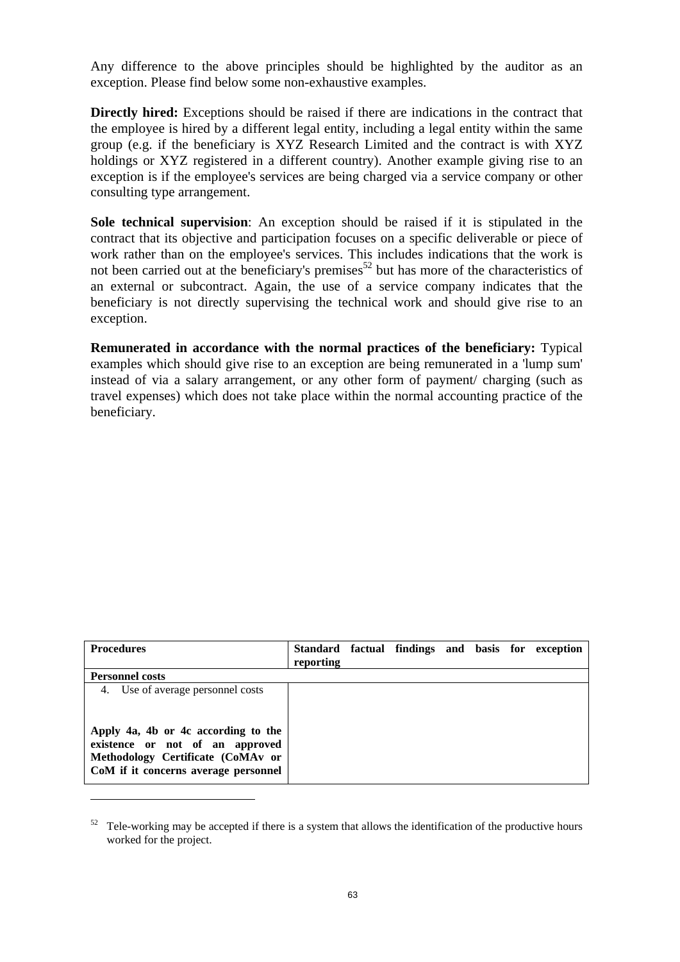Any difference to the above principles should be highlighted by the auditor as an exception. Please find below some non-exhaustive examples.

**Directly hired:** Exceptions should be raised if there are indications in the contract that the employee is hired by a different legal entity, including a legal entity within the same group (e.g. if the beneficiary is XYZ Research Limited and the contract is with XYZ holdings or XYZ registered in a different country). Another example giving rise to an exception is if the employee's services are being charged via a service company or other consulting type arrangement.

**Sole technical supervision**: An exception should be raised if it is stipulated in the contract that its objective and participation focuses on a specific deliverable or piece of work rather than on the employee's services. This includes indications that the work is not been carried out at the beneficiary's premises<sup>52</sup> but has more of the characteristics of an external or subcontract. Again, the use of a service company indicates that the beneficiary is not directly supervising the technical work and should give rise to an exception.

**Remunerated in accordance with the normal practices of the beneficiary:** Typical examples which should give rise to an exception are being remunerated in a 'lump sum' instead of via a salary arrangement, or any other form of payment/ charging (such as travel expenses) which does not take place within the normal accounting practice of the beneficiary.

| <b>Procedures</b>                                                                                                                                                                        | reporting |  |  | Standard factual findings and basis for exception |
|------------------------------------------------------------------------------------------------------------------------------------------------------------------------------------------|-----------|--|--|---------------------------------------------------|
| <b>Personnel costs</b>                                                                                                                                                                   |           |  |  |                                                   |
| 4. Use of average personnel costs<br>Apply 4a, 4b or 4c according to the<br>existence or not of an approved<br>Methodology Certificate (CoMAv or<br>CoM if it concerns average personnel |           |  |  |                                                   |

 $52$  Tele-working may be accepted if there is a system that allows the identification of the productive hours worked for the project.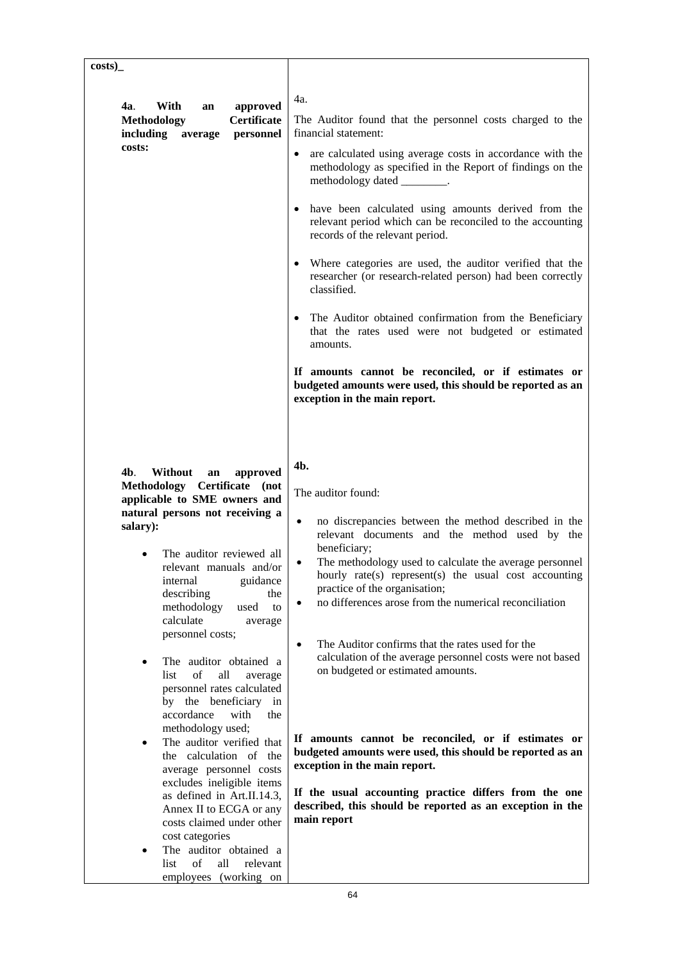| costs)                                                                                                                                                                                                                                                                                                                                                                                                                                                                                                                                                                                                                                                                                                                                                                                                                                                        |                                                                                                                                                                                                                                                                                                                                                                                                                                                                                                                                                                                                                                                                                                                                                                                                                                                                             |
|---------------------------------------------------------------------------------------------------------------------------------------------------------------------------------------------------------------------------------------------------------------------------------------------------------------------------------------------------------------------------------------------------------------------------------------------------------------------------------------------------------------------------------------------------------------------------------------------------------------------------------------------------------------------------------------------------------------------------------------------------------------------------------------------------------------------------------------------------------------|-----------------------------------------------------------------------------------------------------------------------------------------------------------------------------------------------------------------------------------------------------------------------------------------------------------------------------------------------------------------------------------------------------------------------------------------------------------------------------------------------------------------------------------------------------------------------------------------------------------------------------------------------------------------------------------------------------------------------------------------------------------------------------------------------------------------------------------------------------------------------------|
| With<br>approved<br>4a.<br>an<br><b>Certificate</b><br><b>Methodology</b><br>including<br>personnel<br>average<br>costs:                                                                                                                                                                                                                                                                                                                                                                                                                                                                                                                                                                                                                                                                                                                                      | 4a.<br>The Auditor found that the personnel costs charged to the<br>financial statement:<br>• are calculated using average costs in accordance with the<br>methodology as specified in the Report of findings on the<br>methodology dated _________.<br>• have been calculated using amounts derived from the<br>relevant period which can be reconciled to the accounting<br>records of the relevant period.<br>• Where categories are used, the auditor verified that the<br>researcher (or research-related person) had been correctly<br>classified.<br>• The Auditor obtained confirmation from the Beneficiary<br>that the rates used were not budgeted or estimated<br>amounts.<br>If amounts cannot be reconciled, or if estimates or<br>budgeted amounts were used, this should be reported as an<br>exception in the main report.                                 |
| 4b.<br>Without<br>approved<br>an<br>Methodology Certificate<br>(not<br>applicable to SME owners and<br>natural persons not receiving a<br>salary):<br>The auditor reviewed all<br>relevant manuals and/or<br>internal<br>guidance<br>describing<br>the<br>methodology<br>used<br>to<br>calculate<br>average<br>personnel costs;<br>The auditor obtained a<br>$\bullet$<br>of<br>list<br>all<br>average<br>personnel rates calculated<br>by the beneficiary in<br>accordance<br>with<br>the<br>methodology used;<br>The auditor verified that<br>$\bullet$<br>the calculation of the<br>average personnel costs<br>excludes ineligible items<br>as defined in Art.II.14.3,<br>Annex II to ECGA or any<br>costs claimed under other<br>cost categories<br>The auditor obtained a<br>$\bullet$<br>$\sigma$ f<br>list<br>all<br>relevant<br>employees (working on | 4b.<br>The auditor found:<br>no discrepancies between the method described in the<br>$\bullet$<br>relevant documents and the method used by the<br>beneficiary;<br>The methodology used to calculate the average personnel<br>$\bullet$<br>hourly rate(s) represent(s) the usual cost accounting<br>practice of the organisation;<br>no differences arose from the numerical reconciliation<br>$\bullet$<br>The Auditor confirms that the rates used for the<br>$\bullet$<br>calculation of the average personnel costs were not based<br>on budgeted or estimated amounts.<br>If amounts cannot be reconciled, or if estimates or<br>budgeted amounts were used, this should be reported as an<br>exception in the main report.<br>If the usual accounting practice differs from the one<br>described, this should be reported as an exception in the<br>main report<br>64 |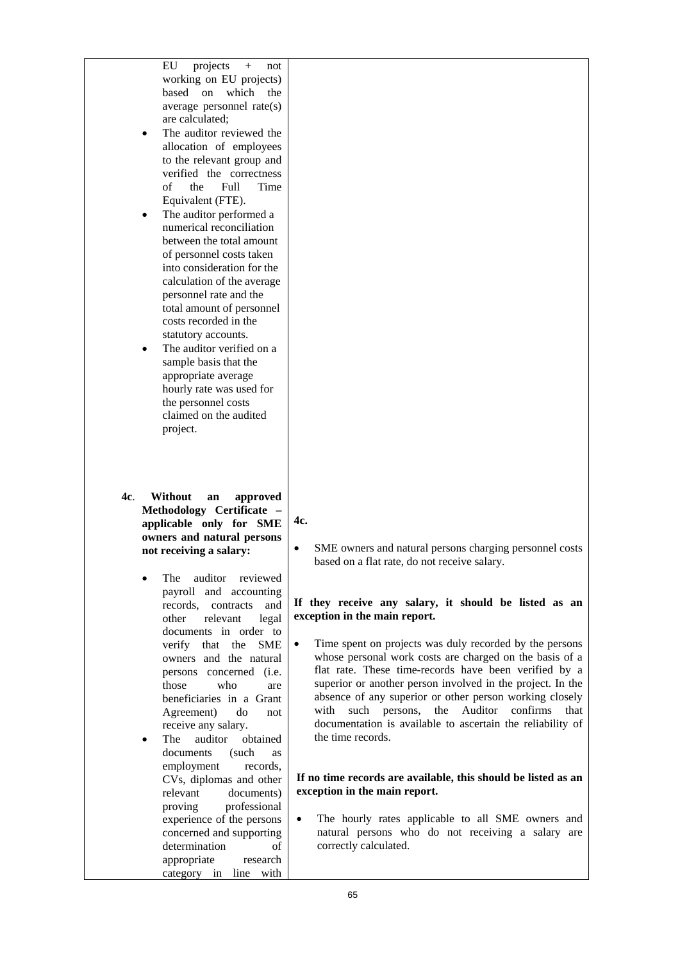| projects<br>EU<br>$\boldsymbol{+}$<br>not<br>working on EU projects)<br>based on<br>which the<br>average personnel rate(s)<br>are calculated;<br>The auditor reviewed the<br>$\bullet$<br>allocation of employees<br>to the relevant group and<br>verified the correctness<br>$\sigma$<br>Full<br>Time<br>the<br>Equivalent (FTE).<br>The auditor performed a<br>$\bullet$<br>numerical reconciliation<br>between the total amount<br>of personnel costs taken<br>into consideration for the<br>calculation of the average<br>personnel rate and the<br>total amount of personnel<br>costs recorded in the<br>statutory accounts.<br>The auditor verified on a<br>$\bullet$<br>sample basis that the<br>appropriate average<br>hourly rate was used for<br>the personnel costs<br>claimed on the audited<br>project. |                                                                                                                                                                                                                                                                                                                                                                                                                                                                                                                                                                                                                                               |
|----------------------------------------------------------------------------------------------------------------------------------------------------------------------------------------------------------------------------------------------------------------------------------------------------------------------------------------------------------------------------------------------------------------------------------------------------------------------------------------------------------------------------------------------------------------------------------------------------------------------------------------------------------------------------------------------------------------------------------------------------------------------------------------------------------------------|-----------------------------------------------------------------------------------------------------------------------------------------------------------------------------------------------------------------------------------------------------------------------------------------------------------------------------------------------------------------------------------------------------------------------------------------------------------------------------------------------------------------------------------------------------------------------------------------------------------------------------------------------|
| 4c.<br>Without<br>approved<br>an<br>Methodology Certificate -<br>applicable only for SME<br>owners and natural persons<br>not receiving a salary:<br>auditor reviewed<br>The<br>payroll and accounting<br>records, contracts<br>and<br>other<br>relevant<br>legal<br>documents in order to<br>verify that the<br><b>SME</b>                                                                                                                                                                                                                                                                                                                                                                                                                                                                                          | 4c.<br>SME owners and natural persons charging personnel costs<br>$\bullet$<br>based on a flat rate, do not receive salary.<br>If they receive any salary, it should be listed as an<br>exception in the main report.<br>Time spent on projects was duly recorded by the persons<br>$\bullet$                                                                                                                                                                                                                                                                                                                                                 |
| owners and the natural<br>persons concerned (i.e.<br>those<br>who<br>are<br>beneficiaries in a Grant<br>Agreement)<br>do<br>not<br>receive any salary.<br>The<br>auditor<br>obtained<br>$\bullet$<br>documents<br>(such<br>as<br>employment<br>records,<br>CVs, diplomas and other<br>relevant<br>documents)<br>professional<br>proving<br>experience of the persons<br>concerned and supporting<br>determination<br>οf                                                                                                                                                                                                                                                                                                                                                                                              | whose personal work costs are charged on the basis of a<br>flat rate. These time-records have been verified by a<br>superior or another person involved in the project. In the<br>absence of any superior or other person working closely<br>Auditor<br>the<br>with<br>such persons,<br>confirms<br>that<br>documentation is available to ascertain the reliability of<br>the time records.<br>If no time records are available, this should be listed as an<br>exception in the main report.<br>The hourly rates applicable to all SME owners and<br>$\bullet$<br>natural persons who do not receiving a salary are<br>correctly calculated. |

category in line with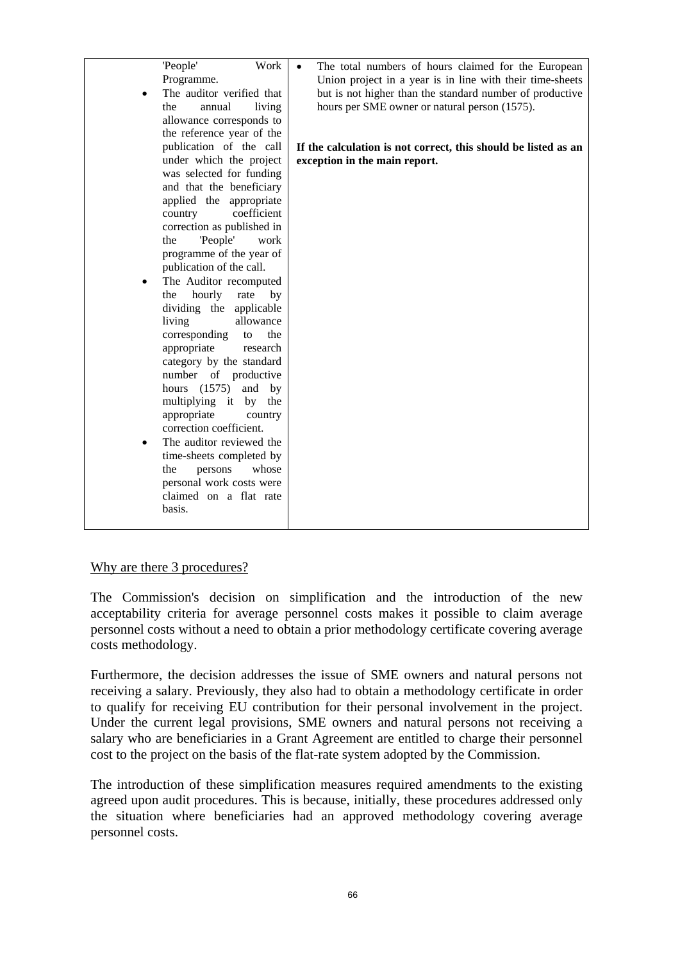#### Why are there 3 procedures?

The Commission's decision on simplification and the introduction of the new acceptability criteria for average personnel costs makes it possible to claim average personnel costs without a need to obtain a prior methodology certificate covering average costs methodology.

Furthermore, the decision addresses the issue of SME owners and natural persons not receiving a salary. Previously, they also had to obtain a methodology certificate in order to qualify for receiving EU contribution for their personal involvement in the project. Under the current legal provisions, SME owners and natural persons not receiving a salary who are beneficiaries in a Grant Agreement are entitled to charge their personnel cost to the project on the basis of the flat-rate system adopted by the Commission.

The introduction of these simplification measures required amendments to the existing agreed upon audit procedures. This is because, initially, these procedures addressed only the situation where beneficiaries had an approved methodology covering average personnel costs.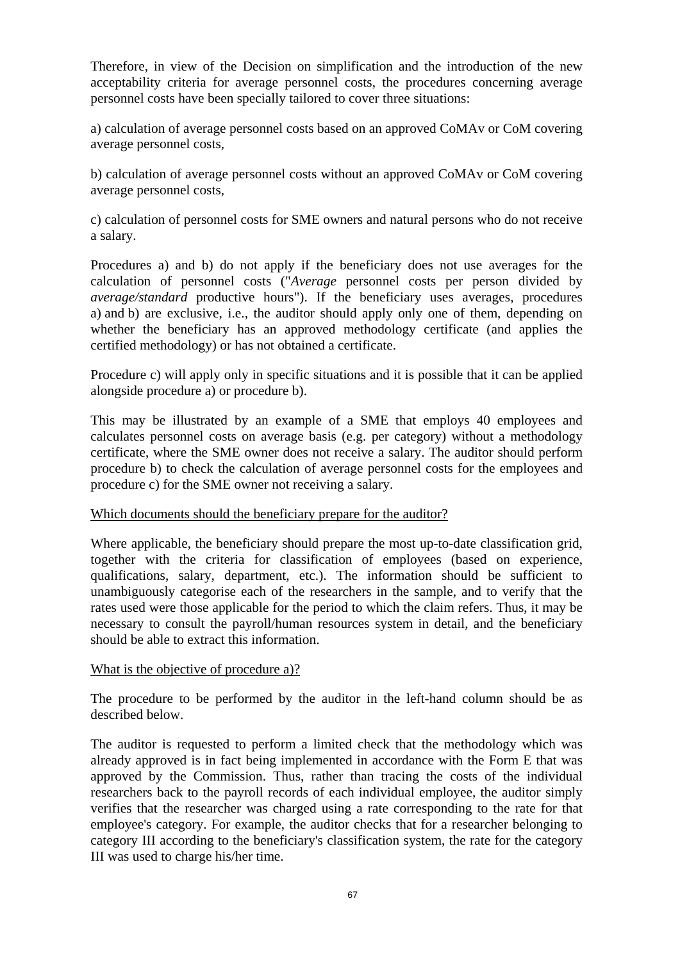Therefore, in view of the Decision on simplification and the introduction of the new acceptability criteria for average personnel costs, the procedures concerning average personnel costs have been specially tailored to cover three situations:

a) calculation of average personnel costs based on an approved CoMAv or CoM covering average personnel costs,

b) calculation of average personnel costs without an approved CoMAv or CoM covering average personnel costs,

c) calculation of personnel costs for SME owners and natural persons who do not receive a salary.

Procedures a) and b) do not apply if the beneficiary does not use averages for the calculation of personnel costs ("*Average* personnel costs per person divided by *average/standard* productive hours"). If the beneficiary uses averages, procedures a) and b) are exclusive, i.e., the auditor should apply only one of them, depending on whether the beneficiary has an approved methodology certificate (and applies the certified methodology) or has not obtained a certificate.

Procedure c) will apply only in specific situations and it is possible that it can be applied alongside procedure a) or procedure b).

This may be illustrated by an example of a SME that employs 40 employees and calculates personnel costs on average basis (e.g. per category) without a methodology certificate, where the SME owner does not receive a salary. The auditor should perform procedure b) to check the calculation of average personnel costs for the employees and procedure c) for the SME owner not receiving a salary.

#### Which documents should the beneficiary prepare for the auditor?

Where applicable, the beneficiary should prepare the most up-to-date classification grid, together with the criteria for classification of employees (based on experience, qualifications, salary, department, etc.). The information should be sufficient to unambiguously categorise each of the researchers in the sample, and to verify that the rates used were those applicable for the period to which the claim refers. Thus, it may be necessary to consult the payroll/human resources system in detail, and the beneficiary should be able to extract this information.

#### What is the objective of procedure a)?

The procedure to be performed by the auditor in the left-hand column should be as described below.

The auditor is requested to perform a limited check that the methodology which was already approved is in fact being implemented in accordance with the Form E that was approved by the Commission. Thus, rather than tracing the costs of the individual researchers back to the payroll records of each individual employee, the auditor simply verifies that the researcher was charged using a rate corresponding to the rate for that employee's category. For example, the auditor checks that for a researcher belonging to category III according to the beneficiary's classification system, the rate for the category III was used to charge his/her time.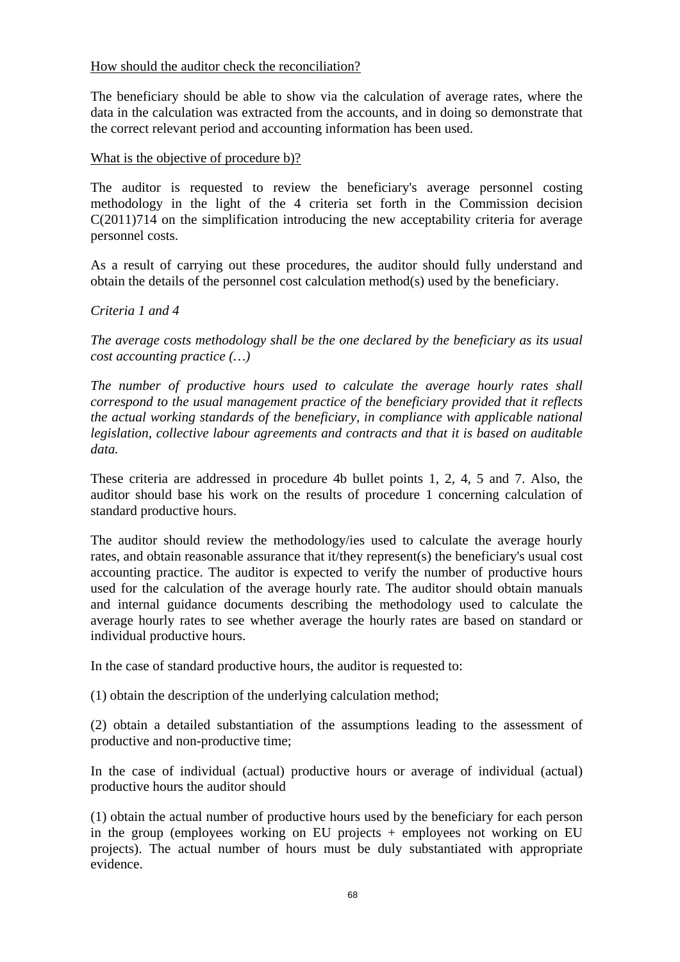# How should the auditor check the reconciliation?

The beneficiary should be able to show via the calculation of average rates, where the data in the calculation was extracted from the accounts, and in doing so demonstrate that the correct relevant period and accounting information has been used.

### What is the objective of procedure b)?

The auditor is requested to review the beneficiary's average personnel costing methodology in the light of the 4 criteria set forth in the Commission decision C(2011)714 on the simplification introducing the new acceptability criteria for average personnel costs.

As a result of carrying out these procedures, the auditor should fully understand and obtain the details of the personnel cost calculation method(s) used by the beneficiary.

# *Criteria 1 and 4*

*The average costs methodology shall be the one declared by the beneficiary as its usual cost accounting practice (…)* 

*The number of productive hours used to calculate the average hourly rates shall correspond to the usual management practice of the beneficiary provided that it reflects the actual working standards of the beneficiary, in compliance with applicable national legislation, collective labour agreements and contracts and that it is based on auditable data.* 

These criteria are addressed in procedure 4b bullet points 1, 2, 4, 5 and 7. Also, the auditor should base his work on the results of procedure 1 concerning calculation of standard productive hours.

The auditor should review the methodology/ies used to calculate the average hourly rates, and obtain reasonable assurance that it/they represent(s) the beneficiary's usual cost accounting practice. The auditor is expected to verify the number of productive hours used for the calculation of the average hourly rate. The auditor should obtain manuals and internal guidance documents describing the methodology used to calculate the average hourly rates to see whether average the hourly rates are based on standard or individual productive hours.

In the case of standard productive hours, the auditor is requested to:

(1) obtain the description of the underlying calculation method;

(2) obtain a detailed substantiation of the assumptions leading to the assessment of productive and non-productive time;

In the case of individual (actual) productive hours or average of individual (actual) productive hours the auditor should

(1) obtain the actual number of productive hours used by the beneficiary for each person in the group (employees working on EU projects + employees not working on EU projects). The actual number of hours must be duly substantiated with appropriate evidence.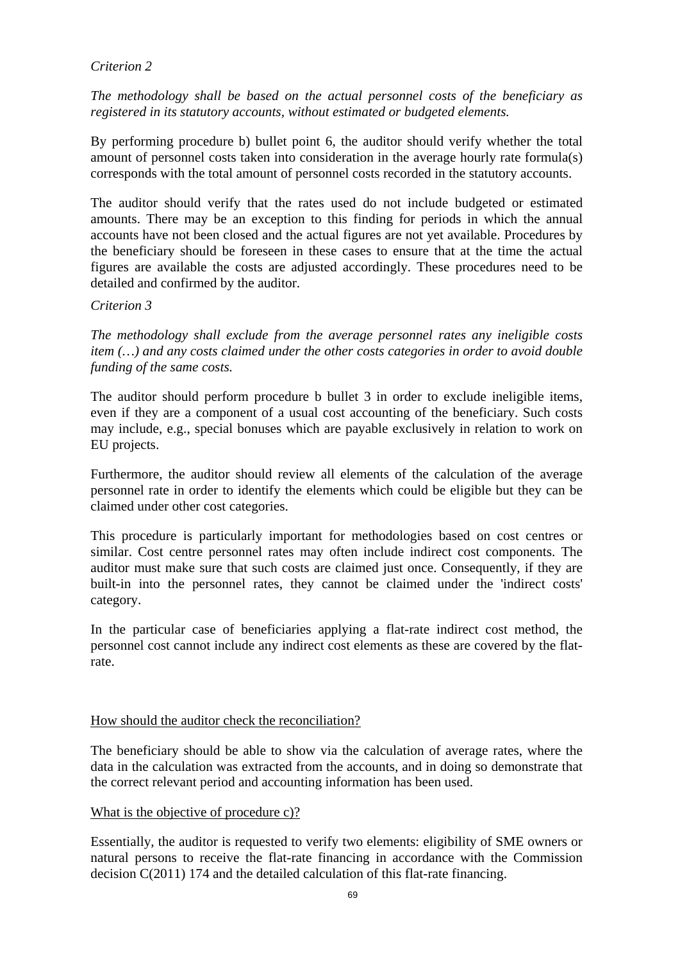# *Criterion 2*

*The methodology shall be based on the actual personnel costs of the beneficiary as registered in its statutory accounts, without estimated or budgeted elements.* 

By performing procedure b) bullet point 6, the auditor should verify whether the total amount of personnel costs taken into consideration in the average hourly rate formula(s) corresponds with the total amount of personnel costs recorded in the statutory accounts.

The auditor should verify that the rates used do not include budgeted or estimated amounts. There may be an exception to this finding for periods in which the annual accounts have not been closed and the actual figures are not yet available. Procedures by the beneficiary should be foreseen in these cases to ensure that at the time the actual figures are available the costs are adjusted accordingly. These procedures need to be detailed and confirmed by the auditor.

#### *Criterion 3*

*The methodology shall exclude from the average personnel rates any ineligible costs item (…) and any costs claimed under the other costs categories in order to avoid double funding of the same costs.* 

The auditor should perform procedure b bullet 3 in order to exclude ineligible items, even if they are a component of a usual cost accounting of the beneficiary. Such costs may include, e.g., special bonuses which are payable exclusively in relation to work on EU projects.

Furthermore, the auditor should review all elements of the calculation of the average personnel rate in order to identify the elements which could be eligible but they can be claimed under other cost categories.

This procedure is particularly important for methodologies based on cost centres or similar. Cost centre personnel rates may often include indirect cost components. The auditor must make sure that such costs are claimed just once. Consequently, if they are built-in into the personnel rates, they cannot be claimed under the 'indirect costs' category.

In the particular case of beneficiaries applying a flat-rate indirect cost method, the personnel cost cannot include any indirect cost elements as these are covered by the flatrate.

#### How should the auditor check the reconciliation?

The beneficiary should be able to show via the calculation of average rates, where the data in the calculation was extracted from the accounts, and in doing so demonstrate that the correct relevant period and accounting information has been used.

#### What is the objective of procedure c)?

Essentially, the auditor is requested to verify two elements: eligibility of SME owners or natural persons to receive the flat-rate financing in accordance with the Commission decision C(2011) 174 and the detailed calculation of this flat-rate financing.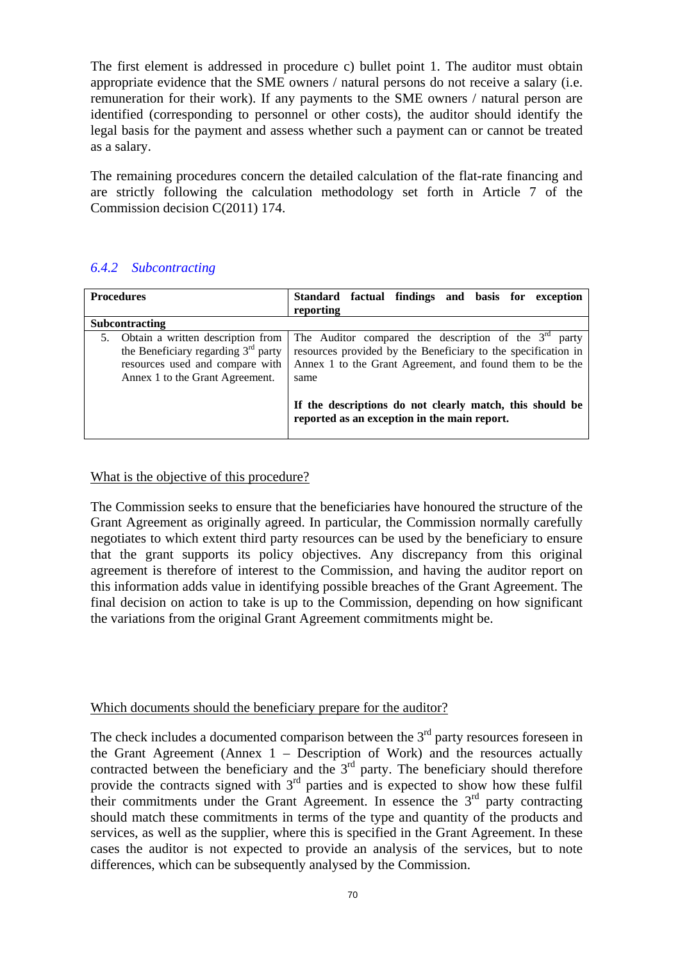The first element is addressed in procedure c) bullet point 1. The auditor must obtain appropriate evidence that the SME owners / natural persons do not receive a salary (i.e. remuneration for their work). If any payments to the SME owners / natural person are identified (corresponding to personnel or other costs), the auditor should identify the legal basis for the payment and assess whether such a payment can or cannot be treated as a salary.

The remaining procedures concern the detailed calculation of the flat-rate financing and are strictly following the calculation methodology set forth in Article 7 of the Commission decision C(2011) 174.

# *6.4.2 Subcontracting*

| <b>Procedures</b>                                                                                                                                      | factual findings and basis for exception<br><b>Standard</b>                                                                                                                                  |
|--------------------------------------------------------------------------------------------------------------------------------------------------------|----------------------------------------------------------------------------------------------------------------------------------------------------------------------------------------------|
|                                                                                                                                                        | reporting                                                                                                                                                                                    |
| <b>Subcontracting</b>                                                                                                                                  |                                                                                                                                                                                              |
| Obtain a written description from<br>5.<br>the Beneficiary regarding $3rd$ party<br>resources used and compare with<br>Annex 1 to the Grant Agreement. | The Auditor compared the description of the $3rd$ party<br>resources provided by the Beneficiary to the specification in<br>Annex 1 to the Grant Agreement, and found them to be the<br>same |
|                                                                                                                                                        | If the descriptions do not clearly match, this should be<br>reported as an exception in the main report.                                                                                     |

What is the objective of this procedure?

The Commission seeks to ensure that the beneficiaries have honoured the structure of the Grant Agreement as originally agreed. In particular, the Commission normally carefully negotiates to which extent third party resources can be used by the beneficiary to ensure that the grant supports its policy objectives. Any discrepancy from this original agreement is therefore of interest to the Commission, and having the auditor report on this information adds value in identifying possible breaches of the Grant Agreement. The final decision on action to take is up to the Commission, depending on how significant the variations from the original Grant Agreement commitments might be.

# Which documents should the beneficiary prepare for the auditor?

The check includes a documented comparison between the  $3<sup>rd</sup>$  party resources foreseen in the Grant Agreement (Annex  $1 -$  Description of Work) and the resources actually contracted between the beneficiary and the  $3<sup>rd</sup>$  party. The beneficiary should therefore provide the contracts signed with  $3<sup>rd</sup>$  parties and is expected to show how these fulfil their commitments under the Grant Agreement. In essence the  $3<sup>rd</sup>$  party contracting should match these commitments in terms of the type and quantity of the products and services, as well as the supplier, where this is specified in the Grant Agreement. In these cases the auditor is not expected to provide an analysis of the services, but to note differences, which can be subsequently analysed by the Commission.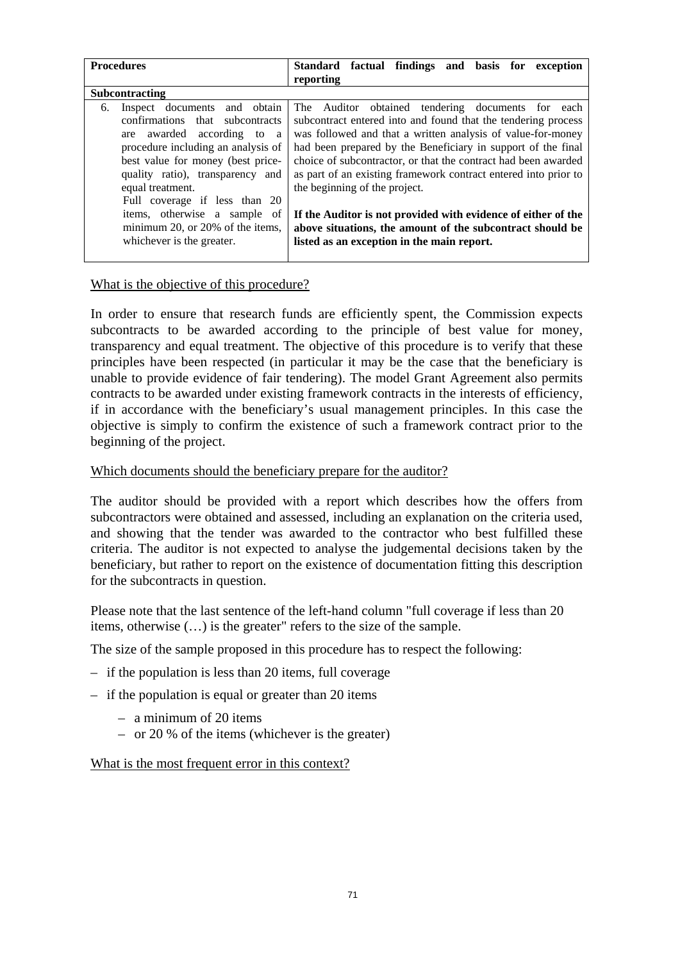| <b>Procedures</b>                     | Standard factual findings and basis for exception               |
|---------------------------------------|-----------------------------------------------------------------|
|                                       | reporting                                                       |
| Subcontracting                        |                                                                 |
| and obtain<br>Inspect documents<br>6. | The Auditor obtained tendering documents for each               |
| confirmations that subcontracts       | subcontract entered into and found that the tendering process   |
| awarded according<br>to a<br>are      | was followed and that a written analysis of value-for-money     |
| procedure including an analysis of    | had been prepared by the Beneficiary in support of the final    |
| best value for money (best price-     | choice of subcontractor, or that the contract had been awarded  |
| quality ratio), transparency<br>and   | as part of an existing framework contract entered into prior to |
| equal treatment.                      | the beginning of the project.                                   |
| Full coverage if less than 20         |                                                                 |
| items, otherwise a sample of          | If the Auditor is not provided with evidence of either of the   |
| minimum 20, or 20% of the items,      | above situations, the amount of the subcontract should be       |
| whichever is the greater.             | listed as an exception in the main report.                      |
|                                       |                                                                 |

# What is the objective of this procedure?

In order to ensure that research funds are efficiently spent, the Commission expects subcontracts to be awarded according to the principle of best value for money, transparency and equal treatment. The objective of this procedure is to verify that these principles have been respected (in particular it may be the case that the beneficiary is unable to provide evidence of fair tendering). The model Grant Agreement also permits contracts to be awarded under existing framework contracts in the interests of efficiency, if in accordance with the beneficiary's usual management principles. In this case the objective is simply to confirm the existence of such a framework contract prior to the beginning of the project.

#### Which documents should the beneficiary prepare for the auditor?

The auditor should be provided with a report which describes how the offers from subcontractors were obtained and assessed, including an explanation on the criteria used, and showing that the tender was awarded to the contractor who best fulfilled these criteria. The auditor is not expected to analyse the judgemental decisions taken by the beneficiary, but rather to report on the existence of documentation fitting this description for the subcontracts in question.

Please note that the last sentence of the left-hand column "full coverage if less than 20 items, otherwise (…) is the greater" refers to the size of the sample.

The size of the sample proposed in this procedure has to respect the following:

- if the population is less than 20 items, full coverage
- if the population is equal or greater than 20 items
	- a minimum of 20 items
	- or 20 % of the items (whichever is the greater)

What is the most frequent error in this context?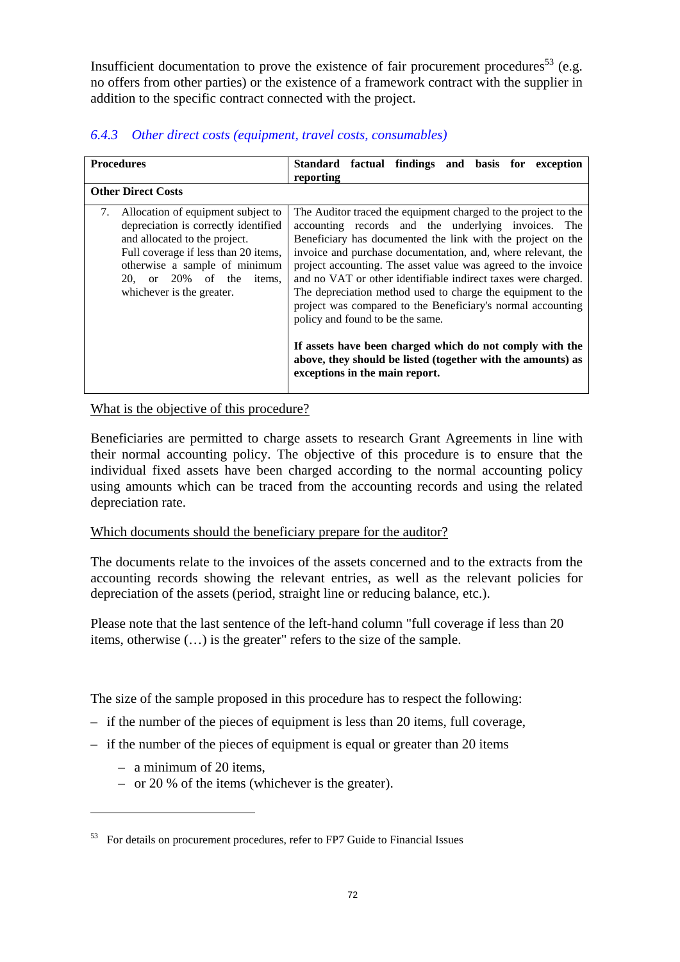Insufficient documentation to prove the existence of fair procurement procedures<sup>53</sup> (e.g. no offers from other parties) or the existence of a framework contract with the supplier in addition to the specific contract connected with the project.

| <b>Procedures</b>                                                                                                                                                                                                                                   | Standard factual findings and basis for exception<br>reporting                                                                                                                                                                                                                                                                                                                                                                                                                                                                                                                                                                                                                                                        |
|-----------------------------------------------------------------------------------------------------------------------------------------------------------------------------------------------------------------------------------------------------|-----------------------------------------------------------------------------------------------------------------------------------------------------------------------------------------------------------------------------------------------------------------------------------------------------------------------------------------------------------------------------------------------------------------------------------------------------------------------------------------------------------------------------------------------------------------------------------------------------------------------------------------------------------------------------------------------------------------------|
| <b>Other Direct Costs</b>                                                                                                                                                                                                                           |                                                                                                                                                                                                                                                                                                                                                                                                                                                                                                                                                                                                                                                                                                                       |
| 7. Allocation of equipment subject to<br>depreciation is correctly identified<br>and allocated to the project.<br>Full coverage if less than 20 items,<br>otherwise a sample of minimum<br>20, or 20% of the<br>items,<br>whichever is the greater. | The Auditor traced the equipment charged to the project to the<br>accounting records and the underlying invoices. The<br>Beneficiary has documented the link with the project on the<br>invoice and purchase documentation, and, where relevant, the<br>project accounting. The asset value was agreed to the invoice<br>and no VAT or other identifiable indirect taxes were charged.<br>The depreciation method used to charge the equipment to the<br>project was compared to the Beneficiary's normal accounting<br>policy and found to be the same.<br>If assets have been charged which do not comply with the<br>above, they should be listed (together with the amounts) as<br>exceptions in the main report. |

# *6.4.3 Other direct costs (equipment, travel costs, consumables)*

What is the objective of this procedure?

Beneficiaries are permitted to charge assets to research Grant Agreements in line with their normal accounting policy. The objective of this procedure is to ensure that the individual fixed assets have been charged according to the normal accounting policy using amounts which can be traced from the accounting records and using the related depreciation rate.

#### Which documents should the beneficiary prepare for the auditor?

The documents relate to the invoices of the assets concerned and to the extracts from the accounting records showing the relevant entries, as well as the relevant policies for depreciation of the assets (period, straight line or reducing balance, etc.).

Please note that the last sentence of the left-hand column "full coverage if less than 20 items, otherwise (…) is the greater" refers to the size of the sample.

The size of the sample proposed in this procedure has to respect the following:

- if the number of the pieces of equipment is less than 20 items, full coverage,
- $-$  if the number of the pieces of equipment is equal or greater than 20 items
	- a minimum of 20 items,

 $\overline{a}$ 

– or 20 % of the items (whichever is the greater).

<sup>&</sup>lt;sup>53</sup> For details on procurement procedures, refer to FP7 Guide to Financial Issues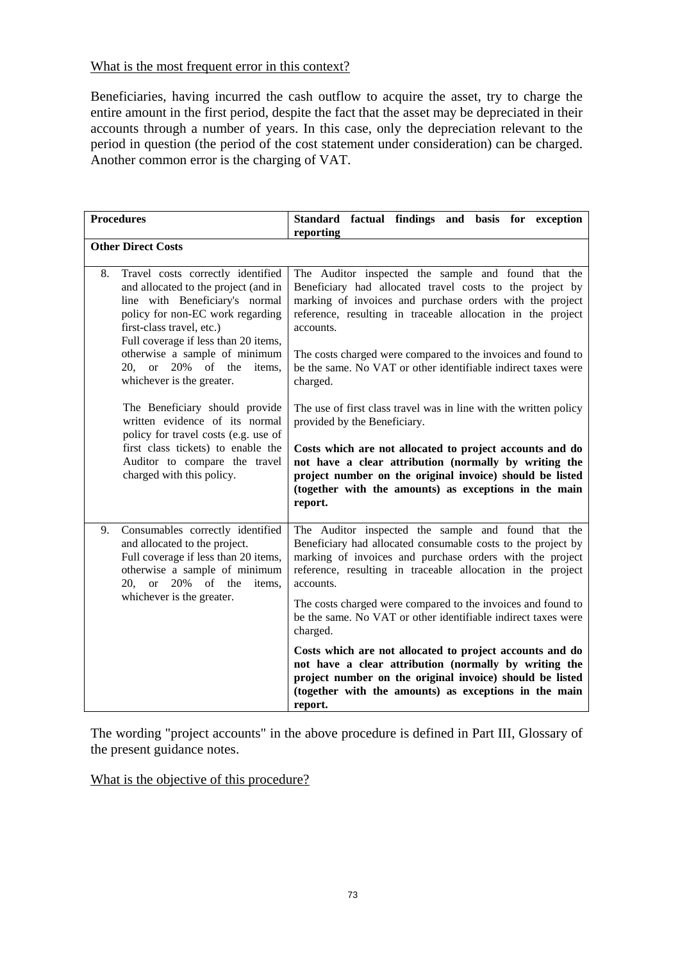### What is the most frequent error in this context?

Beneficiaries, having incurred the cash outflow to acquire the asset, try to charge the entire amount in the first period, despite the fact that the asset may be depreciated in their accounts through a number of years. In this case, only the depreciation relevant to the period in question (the period of the cost statement under consideration) can be charged. Another common error is the charging of VAT.

| <b>Procedures</b>                                                                                                                                                                                                                                                                                                                                                                                                                                                                                                                          | Standard factual findings and basis for exception<br>reporting                                                                                                                                                                                                                                                                                                                                                                                                                                                                                                                                                                                                                                                                                                 |  |  |  |  |  |  |  |  |
|--------------------------------------------------------------------------------------------------------------------------------------------------------------------------------------------------------------------------------------------------------------------------------------------------------------------------------------------------------------------------------------------------------------------------------------------------------------------------------------------------------------------------------------------|----------------------------------------------------------------------------------------------------------------------------------------------------------------------------------------------------------------------------------------------------------------------------------------------------------------------------------------------------------------------------------------------------------------------------------------------------------------------------------------------------------------------------------------------------------------------------------------------------------------------------------------------------------------------------------------------------------------------------------------------------------------|--|--|--|--|--|--|--|--|
| <b>Other Direct Costs</b>                                                                                                                                                                                                                                                                                                                                                                                                                                                                                                                  |                                                                                                                                                                                                                                                                                                                                                                                                                                                                                                                                                                                                                                                                                                                                                                |  |  |  |  |  |  |  |  |
| Travel costs correctly identified<br>8.<br>and allocated to the project (and in<br>line with Beneficiary's normal<br>policy for non-EC work regarding<br>first-class travel, etc.)<br>Full coverage if less than 20 items,<br>otherwise a sample of minimum<br>$20$ , or<br>20% of the items,<br>whichever is the greater.<br>The Beneficiary should provide<br>written evidence of its normal<br>policy for travel costs (e.g. use of<br>first class tickets) to enable the<br>Auditor to compare the travel<br>charged with this policy. | The Auditor inspected the sample and found that the<br>Beneficiary had allocated travel costs to the project by<br>marking of invoices and purchase orders with the project<br>reference, resulting in traceable allocation in the project<br>accounts.<br>The costs charged were compared to the invoices and found to<br>be the same. No VAT or other identifiable indirect taxes were<br>charged.<br>The use of first class travel was in line with the written policy<br>provided by the Beneficiary.<br>Costs which are not allocated to project accounts and do<br>not have a clear attribution (normally by writing the<br>project number on the original invoice) should be listed<br>(together with the amounts) as exceptions in the main<br>report. |  |  |  |  |  |  |  |  |
| Consumables correctly identified<br>9.<br>and allocated to the project.<br>Full coverage if less than 20 items,<br>otherwise a sample of minimum<br>of the<br><sub>or</sub><br>20%<br>items,<br>20,<br>whichever is the greater.                                                                                                                                                                                                                                                                                                           | The Auditor inspected the sample and found that the<br>Beneficiary had allocated consumable costs to the project by<br>marking of invoices and purchase orders with the project<br>reference, resulting in traceable allocation in the project<br>accounts.<br>The costs charged were compared to the invoices and found to<br>be the same. No VAT or other identifiable indirect taxes were<br>charged.<br>Costs which are not allocated to project accounts and do<br>not have a clear attribution (normally by writing the<br>project number on the original invoice) should be listed                                                                                                                                                                      |  |  |  |  |  |  |  |  |
|                                                                                                                                                                                                                                                                                                                                                                                                                                                                                                                                            | (together with the amounts) as exceptions in the main<br>report.                                                                                                                                                                                                                                                                                                                                                                                                                                                                                                                                                                                                                                                                                               |  |  |  |  |  |  |  |  |

The wording "project accounts" in the above procedure is defined in Part III, Glossary of the present guidance notes.

What is the objective of this procedure?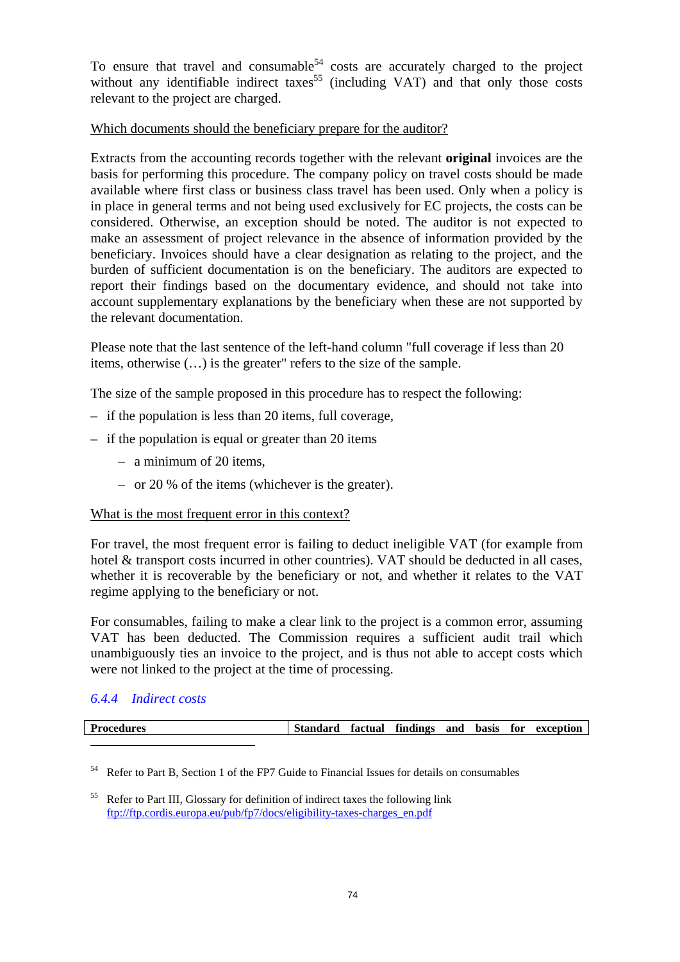To ensure that travel and consumable<sup>54</sup> costs are accurately charged to the project without any identifiable indirect taxes<sup>55</sup> (including VAT) and that only those costs relevant to the project are charged.

### Which documents should the beneficiary prepare for the auditor?

Extracts from the accounting records together with the relevant **original** invoices are the basis for performing this procedure. The company policy on travel costs should be made available where first class or business class travel has been used. Only when a policy is in place in general terms and not being used exclusively for EC projects, the costs can be considered. Otherwise, an exception should be noted. The auditor is not expected to make an assessment of project relevance in the absence of information provided by the beneficiary. Invoices should have a clear designation as relating to the project, and the burden of sufficient documentation is on the beneficiary. The auditors are expected to report their findings based on the documentary evidence, and should not take into account supplementary explanations by the beneficiary when these are not supported by the relevant documentation.

Please note that the last sentence of the left-hand column "full coverage if less than 20 items, otherwise (…) is the greater" refers to the size of the sample.

The size of the sample proposed in this procedure has to respect the following:

- if the population is less than 20 items, full coverage,
- if the population is equal or greater than 20 items
	- a minimum of 20 items,
	- or 20 % of the items (whichever is the greater).

### What is the most frequent error in this context?

For travel, the most frequent error is failing to deduct ineligible VAT (for example from hotel & transport costs incurred in other countries). VAT should be deducted in all cases, whether it is recoverable by the beneficiary or not, and whether it relates to the VAT regime applying to the beneficiary or not.

For consumables, failing to make a clear link to the project is a common error, assuming VAT has been deducted. The Commission requires a sufficient audit trail which unambiguously ties an invoice to the project, and is thus not able to accept costs which were not linked to the project at the time of processing.

## *6.4.4 Indirect costs*

| <b>Procedures</b> | Standard factual findings and basis for exception |  |  |  |  |  |
|-------------------|---------------------------------------------------|--|--|--|--|--|
|                   |                                                   |  |  |  |  |  |

<sup>54</sup> Refer to Part B, Section 1 of the FP7 Guide to Financial Issues for details on consumables

<sup>&</sup>lt;sup>55</sup> Refer to Part III, Glossary for definition of indirect taxes the following link [ftp://ftp.cordis.europa.eu/pub/fp7/docs/eligibility-taxes-charges\\_en.pdf](ftp://ftp.cordis.europa.eu/pub/fp7/docs/eligibility-taxes-charges_en.pdf)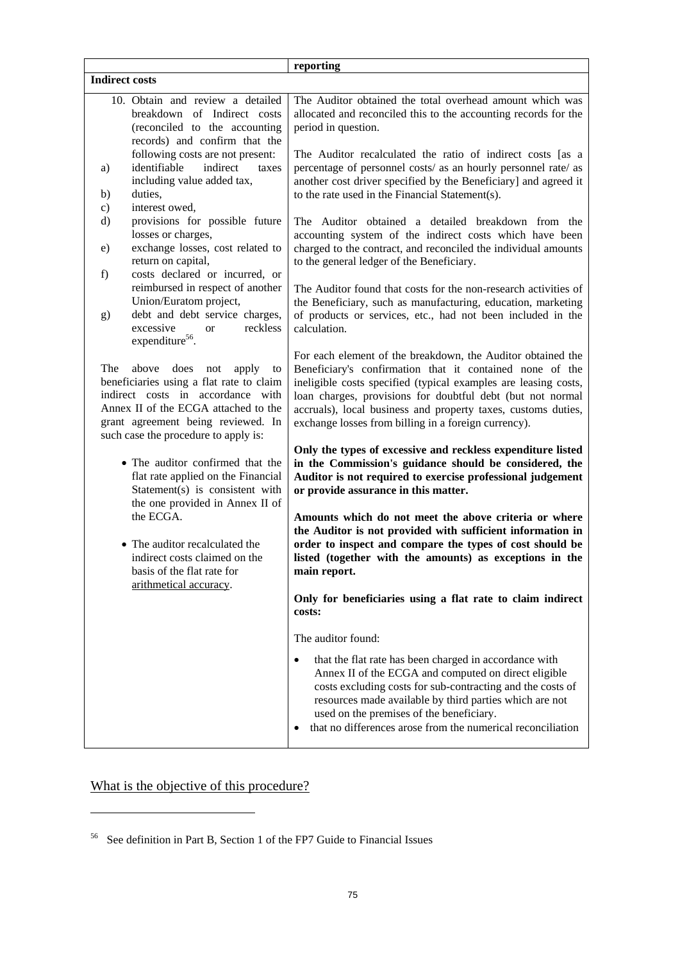|                                                                                                                                                                                                                                             | reporting                                                                                                                                                                                                                                                                                                                                                                               |
|---------------------------------------------------------------------------------------------------------------------------------------------------------------------------------------------------------------------------------------------|-----------------------------------------------------------------------------------------------------------------------------------------------------------------------------------------------------------------------------------------------------------------------------------------------------------------------------------------------------------------------------------------|
| <b>Indirect costs</b>                                                                                                                                                                                                                       |                                                                                                                                                                                                                                                                                                                                                                                         |
| 10. Obtain and review a detailed<br>breakdown of Indirect costs<br>(reconciled to the accounting<br>records) and confirm that the                                                                                                           | The Auditor obtained the total overhead amount which was<br>allocated and reconciled this to the accounting records for the<br>period in question.                                                                                                                                                                                                                                      |
| following costs are not present:<br>indirect<br>identifiable<br>a)<br>including value added tax,                                                                                                                                            | The Auditor recalculated the ratio of indirect costs [as a<br>percentage of personnel costs/ as an hourly personnel rate/ as<br>taxes<br>another cost driver specified by the Beneficiary] and agreed it                                                                                                                                                                                |
| duties,<br>b)<br>interest owed,                                                                                                                                                                                                             | to the rate used in the Financial Statement(s).                                                                                                                                                                                                                                                                                                                                         |
| C)<br>provisions for possible future<br>d)<br>losses or charges,                                                                                                                                                                            | The Auditor obtained a detailed breakdown from the<br>accounting system of the indirect costs which have been                                                                                                                                                                                                                                                                           |
| exchange losses, cost related to<br>e)<br>return on capital,                                                                                                                                                                                | charged to the contract, and reconciled the individual amounts<br>to the general ledger of the Beneficiary.                                                                                                                                                                                                                                                                             |
| costs declared or incurred, or<br>f)<br>reimbursed in respect of another<br>Union/Euratom project,                                                                                                                                          | The Auditor found that costs for the non-research activities of<br>the Beneficiary, such as manufacturing, education, marketing                                                                                                                                                                                                                                                         |
| debt and debt service charges,<br>g)<br>excessive<br>or<br>expenditure <sup>56</sup> .                                                                                                                                                      | of products or services, etc., had not been included in the<br>reckless<br>calculation.                                                                                                                                                                                                                                                                                                 |
| does<br>The<br>above<br>not<br>apply<br>beneficiaries using a flat rate to claim<br>indirect costs in accordance with<br>Annex II of the ECGA attached to the<br>grant agreement being reviewed. In<br>such case the procedure to apply is: | For each element of the breakdown, the Auditor obtained the<br>Beneficiary's confirmation that it contained none of the<br>to<br>ineligible costs specified (typical examples are leasing costs,<br>loan charges, provisions for doubtful debt (but not normal<br>accruals), local business and property taxes, customs duties,<br>exchange losses from billing in a foreign currency). |
| • The auditor confirmed that the<br>flat rate applied on the Financial<br>Statement(s) is consistent with<br>the one provided in Annex II of                                                                                                | Only the types of excessive and reckless expenditure listed<br>in the Commission's guidance should be considered, the<br>Auditor is not required to exercise professional judgement<br>or provide assurance in this matter.                                                                                                                                                             |
| the ECGA.<br>• The auditor recalculated the<br>indirect costs claimed on the<br>basis of the flat rate for<br>arithmetical accuracy.                                                                                                        | Amounts which do not meet the above criteria or where<br>the Auditor is not provided with sufficient information in<br>order to inspect and compare the types of cost should be<br>listed (together with the amounts) as exceptions in the<br>main report.                                                                                                                              |
|                                                                                                                                                                                                                                             | Only for beneficiaries using a flat rate to claim indirect<br>costs:                                                                                                                                                                                                                                                                                                                    |
|                                                                                                                                                                                                                                             | The auditor found:                                                                                                                                                                                                                                                                                                                                                                      |
|                                                                                                                                                                                                                                             | that the flat rate has been charged in accordance with<br>٠<br>Annex II of the ECGA and computed on direct eligible<br>costs excluding costs for sub-contracting and the costs of<br>resources made available by third parties which are not<br>used on the premises of the beneficiary.<br>that no differences arose from the numerical reconciliation<br>٠                            |

What is the objective of this procedure?

 $\overline{a}$ 

<sup>56</sup> See definition in Part B, Section 1 of the FP7 Guide to Financial Issues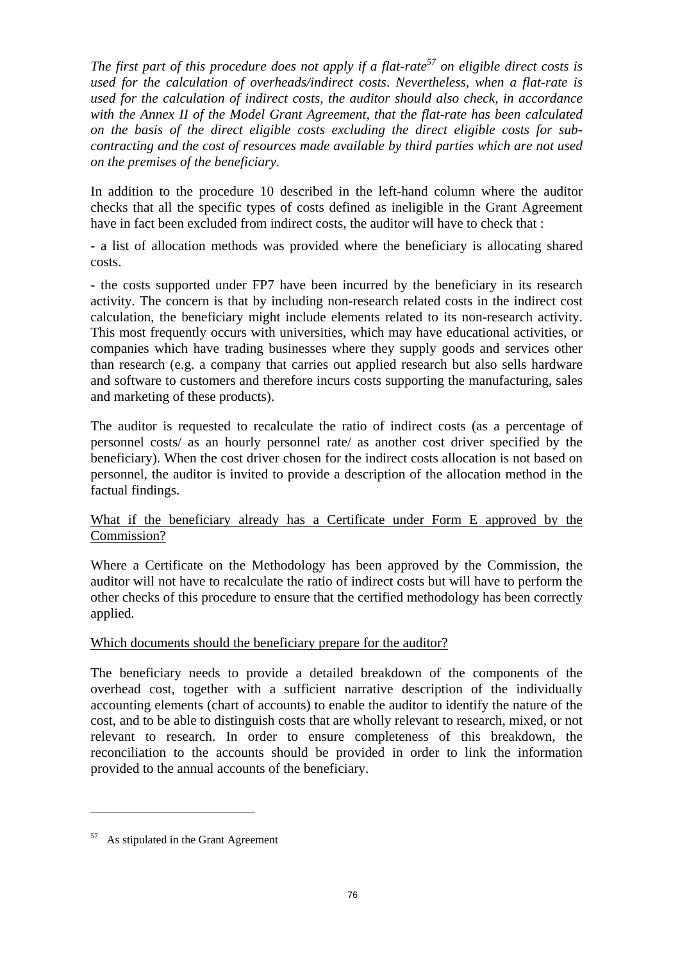*The first part of this procedure does not apply if a flat-rate*<sup>57</sup> on eligible direct costs is *used for the calculation of overheads/indirect costs*. *Nevertheless, when a flat-rate is used for the calculation of indirect costs, the auditor should also check, in accordance with the Annex II of the Model Grant Agreement, that the flat-rate has been calculated on the basis of the direct eligible costs excluding the direct eligible costs for subcontracting and the cost of resources made available by third parties which are not used on the premises of the beneficiary.* 

In addition to the procedure 10 described in the left-hand column where the auditor checks that all the specific types of costs defined as ineligible in the Grant Agreement have in fact been excluded from indirect costs, the auditor will have to check that :

- a list of allocation methods was provided where the beneficiary is allocating shared costs.

- the costs supported under FP7 have been incurred by the beneficiary in its research activity. The concern is that by including non-research related costs in the indirect cost calculation, the beneficiary might include elements related to its non-research activity. This most frequently occurs with universities, which may have educational activities, or companies which have trading businesses where they supply goods and services other than research (e.g. a company that carries out applied research but also sells hardware and software to customers and therefore incurs costs supporting the manufacturing, sales and marketing of these products).

The auditor is requested to recalculate the ratio of indirect costs (as a percentage of personnel costs/ as an hourly personnel rate/ as another cost driver specified by the beneficiary). When the cost driver chosen for the indirect costs allocation is not based on personnel, the auditor is invited to provide a description of the allocation method in the factual findings.

## What if the beneficiary already has a Certificate under Form E approved by the Commission?

Where a Certificate on the Methodology has been approved by the Commission, the auditor will not have to recalculate the ratio of indirect costs but will have to perform the other checks of this procedure to ensure that the certified methodology has been correctly applied.

### Which documents should the beneficiary prepare for the auditor?

The beneficiary needs to provide a detailed breakdown of the components of the overhead cost, together with a sufficient narrative description of the individually accounting elements (chart of accounts) to enable the auditor to identify the nature of the cost, and to be able to distinguish costs that are wholly relevant to research, mixed, or not relevant to research. In order to ensure completeness of this breakdown, the reconciliation to the accounts should be provided in order to link the information provided to the annual accounts of the beneficiary.

 $\overline{a}$ 

<sup>57</sup> As stipulated in the Grant Agreement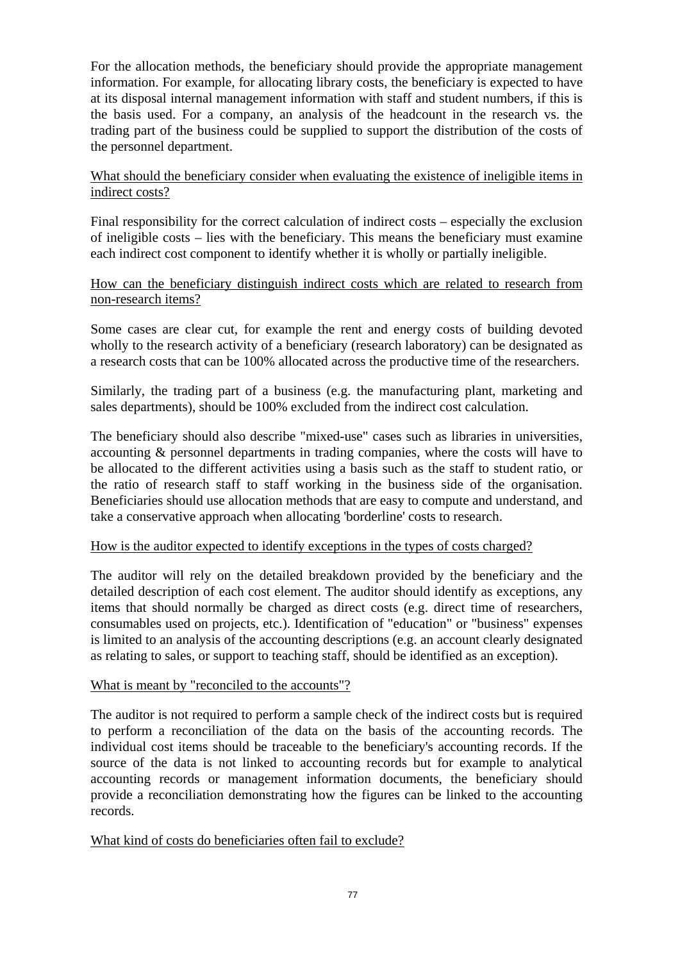For the allocation methods, the beneficiary should provide the appropriate management information. For example, for allocating library costs, the beneficiary is expected to have at its disposal internal management information with staff and student numbers, if this is the basis used. For a company, an analysis of the headcount in the research vs. the trading part of the business could be supplied to support the distribution of the costs of the personnel department.

## What should the beneficiary consider when evaluating the existence of ineligible items in indirect costs?

Final responsibility for the correct calculation of indirect costs – especially the exclusion of ineligible costs – lies with the beneficiary. This means the beneficiary must examine each indirect cost component to identify whether it is wholly or partially ineligible.

## How can the beneficiary distinguish indirect costs which are related to research from non-research items?

Some cases are clear cut, for example the rent and energy costs of building devoted wholly to the research activity of a beneficiary (research laboratory) can be designated as a research costs that can be 100% allocated across the productive time of the researchers.

Similarly, the trading part of a business (e.g. the manufacturing plant, marketing and sales departments), should be 100% excluded from the indirect cost calculation.

The beneficiary should also describe "mixed-use" cases such as libraries in universities, accounting & personnel departments in trading companies, where the costs will have to be allocated to the different activities using a basis such as the staff to student ratio, or the ratio of research staff to staff working in the business side of the organisation. Beneficiaries should use allocation methods that are easy to compute and understand, and take a conservative approach when allocating 'borderline' costs to research.

### How is the auditor expected to identify exceptions in the types of costs charged?

The auditor will rely on the detailed breakdown provided by the beneficiary and the detailed description of each cost element. The auditor should identify as exceptions, any items that should normally be charged as direct costs (e.g. direct time of researchers, consumables used on projects, etc.). Identification of "education" or "business" expenses is limited to an analysis of the accounting descriptions (e.g. an account clearly designated as relating to sales, or support to teaching staff, should be identified as an exception).

#### What is meant by "reconciled to the accounts"?

The auditor is not required to perform a sample check of the indirect costs but is required to perform a reconciliation of the data on the basis of the accounting records. The individual cost items should be traceable to the beneficiary's accounting records. If the source of the data is not linked to accounting records but for example to analytical accounting records or management information documents, the beneficiary should provide a reconciliation demonstrating how the figures can be linked to the accounting records.

### What kind of costs do beneficiaries often fail to exclude?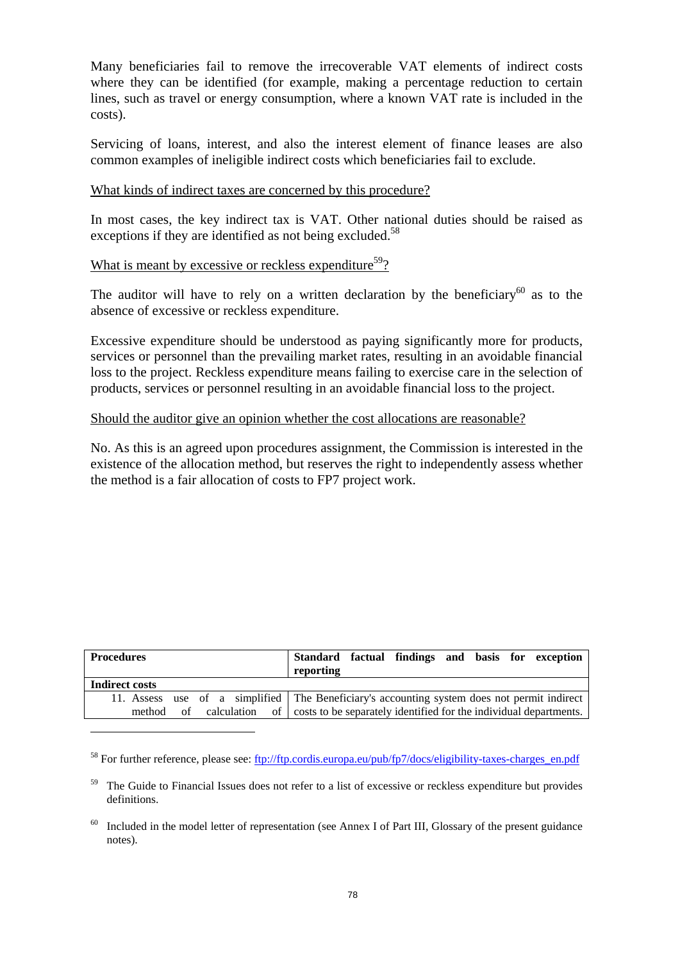Many beneficiaries fail to remove the irrecoverable VAT elements of indirect costs where they can be identified (for example, making a percentage reduction to certain lines, such as travel or energy consumption, where a known VAT rate is included in the costs).

Servicing of loans, interest, and also the interest element of finance leases are also common examples of ineligible indirect costs which beneficiaries fail to exclude.

#### What kinds of indirect taxes are concerned by this procedure?

In most cases, the key indirect tax is VAT. Other national duties should be raised as exceptions if they are identified as not being excluded.<sup>58</sup>

## What is meant by excessive or reckless expenditure<sup>59</sup>?

 $\overline{a}$ 

The auditor will have to rely on a written declaration by the beneficiary<sup>60</sup> as to the absence of excessive or reckless expenditure.

Excessive expenditure should be understood as paying significantly more for products, services or personnel than the prevailing market rates, resulting in an avoidable financial loss to the project. Reckless expenditure means failing to exercise care in the selection of products, services or personnel resulting in an avoidable financial loss to the project.

#### Should the auditor give an opinion whether the cost allocations are reasonable?

No. As this is an agreed upon procedures assignment, the Commission is interested in the existence of the allocation method, but reserves the right to independently assess whether the method is a fair allocation of costs to FP7 project work.

| <b>Procedures</b> | Standard factual findings and basis for exception<br>reporting                                |
|-------------------|-----------------------------------------------------------------------------------------------|
| Indirect costs    |                                                                                               |
|                   | 11. Assess use of a simplified   The Beneficiary's accounting system does not permit indirect |
|                   | method of calculation of costs to be separately identified for the individual departments.    |

<sup>&</sup>lt;sup>58</sup> For further reference, please see[: ftp://ftp.cordis.europa.eu/pub/f](ftp://ftp.cordis.europa.eu/pub/fp7/docs/eligibility-taxes-charges_en.pdf)p7/docs/eligibility-taxes-charges\_en.pdf

<sup>59</sup> The Guide to Financial Issues does not refer to a list of excessive or reckless expenditure but provides definitions.

Included in the model letter of representation (see Annex I of Part III, Glossary of the present guidance notes).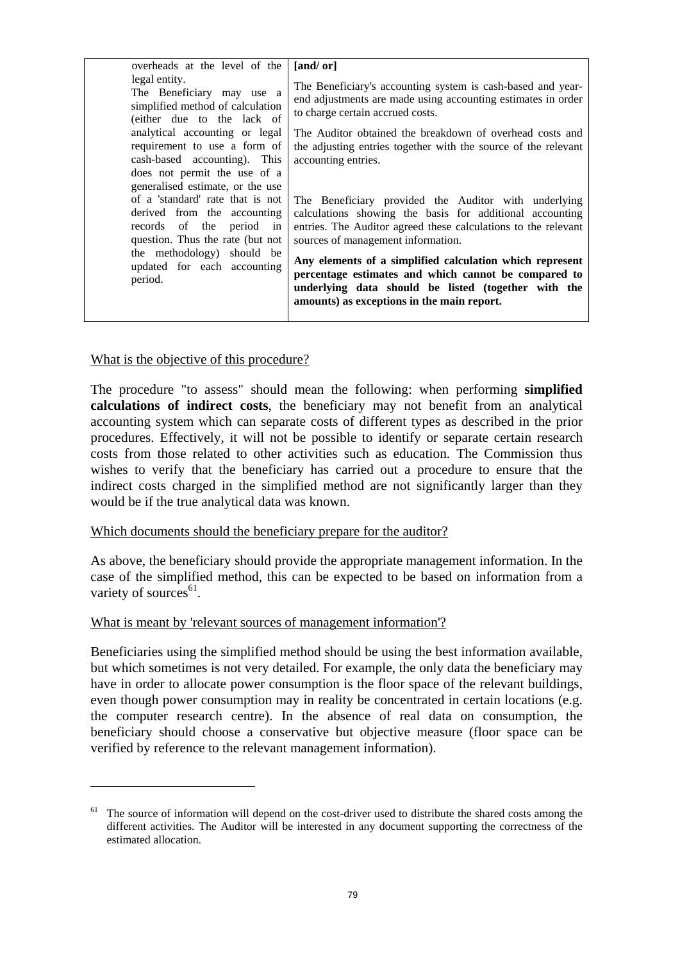| overheads at the level of the                                                                                                                                                                                                                  | [and/or]                                                                                                                                                                                                                                                                                                                                                                                                                                          |
|------------------------------------------------------------------------------------------------------------------------------------------------------------------------------------------------------------------------------------------------|---------------------------------------------------------------------------------------------------------------------------------------------------------------------------------------------------------------------------------------------------------------------------------------------------------------------------------------------------------------------------------------------------------------------------------------------------|
| legal entity.<br>The Beneficiary may use a<br>simplified method of calculation<br>(either due to the lack of<br>analytical accounting or legal<br>requirement to use a form of<br>cash-based accounting). This<br>does not permit the use of a | The Beneficiary's accounting system is cash-based and year-<br>end adjustments are made using accounting estimates in order<br>to charge certain accrued costs.<br>The Auditor obtained the breakdown of overhead costs and<br>the adjusting entries together with the source of the relevant<br>accounting entries.                                                                                                                              |
| generalised estimate, or the use<br>of a 'standard' rate that is not<br>derived from the accounting<br>records of the period in<br>question. Thus the rate (but not<br>the methodology) should be<br>updated for each accounting<br>period.    | The Beneficiary provided the Auditor with underlying<br>calculations showing the basis for additional accounting<br>entries. The Auditor agreed these calculations to the relevant<br>sources of management information.<br>Any elements of a simplified calculation which represent<br>percentage estimates and which cannot be compared to<br>underlying data should be listed (together with the<br>amounts) as exceptions in the main report. |

### What is the objective of this procedure?

 $\overline{a}$ 

The procedure "to assess" should mean the following: when performing **simplified calculations of indirect costs**, the beneficiary may not benefit from an analytical accounting system which can separate costs of different types as described in the prior procedures. Effectively, it will not be possible to identify or separate certain research costs from those related to other activities such as education. The Commission thus wishes to verify that the beneficiary has carried out a procedure to ensure that the indirect costs charged in the simplified method are not significantly larger than they would be if the true analytical data was known.

### Which documents should the beneficiary prepare for the auditor?

As above, the beneficiary should provide the appropriate management information. In the case of the simplified method, this can be expected to be based on information from a variety of sources $^{61}$ .

### What is meant by 'relevant sources of management information'?

Beneficiaries using the simplified method should be using the best information available, but which sometimes is not very detailed. For example, the only data the beneficiary may have in order to allocate power consumption is the floor space of the relevant buildings, even though power consumption may in reality be concentrated in certain locations (e.g. the computer research centre). In the absence of real data on consumption, the beneficiary should choose a conservative but objective measure (floor space can be verified by reference to the relevant management information).

 $61$  The source of information will depend on the cost-driver used to distribute the shared costs among the different activities. The Auditor will be interested in any document supporting the correctness of the estimated allocation.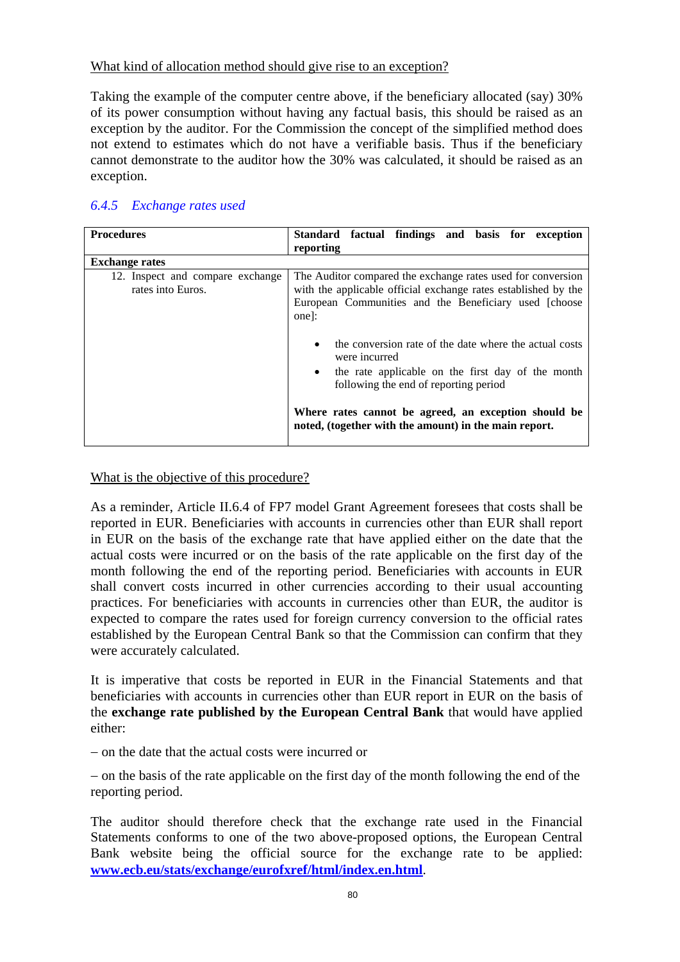## What kind of allocation method should give rise to an exception?

Taking the example of the computer centre above, if the beneficiary allocated (say) 30% of its power consumption without having any factual basis, this should be raised as an exception by the auditor. For the Commission the concept of the simplified method does not extend to estimates which do not have a verifiable basis. Thus if the beneficiary cannot demonstrate to the auditor how the 30% was calculated, it should be raised as an exception.

# *6.4.5 Exchange rates used*

| <b>Procedures</b>                                     | Standard factual findings and basis for exception                                                                                                                                                                                                                                       |
|-------------------------------------------------------|-----------------------------------------------------------------------------------------------------------------------------------------------------------------------------------------------------------------------------------------------------------------------------------------|
|                                                       | reporting                                                                                                                                                                                                                                                                               |
| <b>Exchange rates</b>                                 |                                                                                                                                                                                                                                                                                         |
| 12. Inspect and compare exchange<br>rates into Euros. | The Auditor compared the exchange rates used for conversion<br>with the applicable official exchange rates established by the<br>European Communities and the Beneficiary used [choose<br>one]:<br>the conversion rate of the date where the actual costs<br>$\bullet$<br>were incurred |
|                                                       | the rate applicable on the first day of the month<br>$\bullet$<br>following the end of reporting period<br>Where rates cannot be agreed, an exception should be<br>noted, (together with the amount) in the main report.                                                                |

## What is the objective of this procedure?

As a reminder, Article II.6.4 of FP7 model Grant Agreement foresees that costs shall be reported in EUR. Beneficiaries with accounts in currencies other than EUR shall report in EUR on the basis of the exchange rate that have applied either on the date that the actual costs were incurred or on the basis of the rate applicable on the first day of the month following the end of the reporting period. Beneficiaries with accounts in EUR shall convert costs incurred in other currencies according to their usual accounting practices. For beneficiaries with accounts in currencies other than EUR, the auditor is expected to compare the rates used for foreign currency conversion to the official rates established by the European Central Bank so that the Commission can confirm that they were accurately calculated.

It is imperative that costs be reported in EUR in the Financial Statements and that beneficiaries with accounts in currencies other than EUR report in EUR on the basis of the **exchange rate published by the European Central Bank** that would have applied either:

− on the date that the actual costs were incurred or

− on the basis of the rate applicable on the first day of the month following the end of the reporting period.

The auditor should therefore check that the exchange rate used in the Financial Statements conforms to one of the two above-proposed options, the European Central Bank website being the official source for the exchange rate to be applied: **[www.ecb.eu/stats/exchange/eurofxref/html/index.en.html](http://www.ecb.eu/stats/exchange/eurofxref/html/index.en.html)**.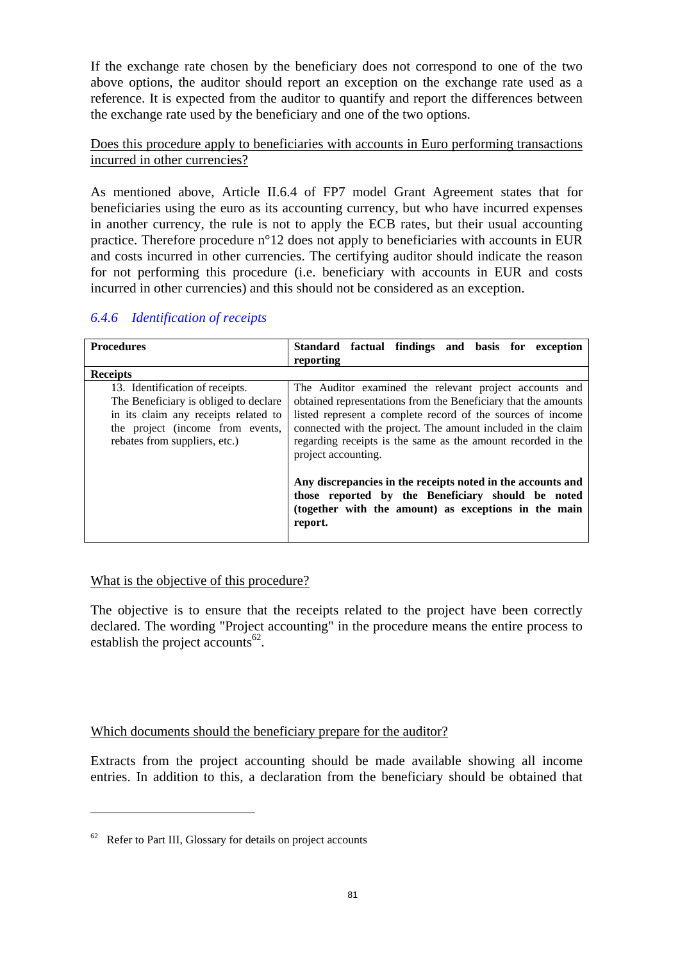If the exchange rate chosen by the beneficiary does not correspond to one of the two above options, the auditor should report an exception on the exchange rate used as a reference. It is expected from the auditor to quantify and report the differences between the exchange rate used by the beneficiary and one of the two options.

## Does this procedure apply to beneficiaries with accounts in Euro performing transactions incurred in other currencies?

As mentioned above, Article II.6.4 of FP7 model Grant Agreement states that for beneficiaries using the euro as its accounting currency, but who have incurred expenses in another currency, the rule is not to apply the ECB rates, but their usual accounting practice. Therefore procedure n°12 does not apply to beneficiaries with accounts in EUR and costs incurred in other currencies. The certifying auditor should indicate the reason for not performing this procedure (i.e. beneficiary with accounts in EUR and costs incurred in other currencies) and this should not be considered as an exception.

| <b>Procedures</b>                                                                                                                                                                     | Standard factual findings and basis for exception<br>reporting                                                                                                                                                                                                                                                                                 |  |  |  |  |  |  |  |  |  |  |
|---------------------------------------------------------------------------------------------------------------------------------------------------------------------------------------|------------------------------------------------------------------------------------------------------------------------------------------------------------------------------------------------------------------------------------------------------------------------------------------------------------------------------------------------|--|--|--|--|--|--|--|--|--|--|
| <b>Receipts</b>                                                                                                                                                                       |                                                                                                                                                                                                                                                                                                                                                |  |  |  |  |  |  |  |  |  |  |
| 13. Identification of receipts.<br>The Beneficiary is obliged to declare<br>in its claim any receipts related to<br>the project (income from events,<br>rebates from suppliers, etc.) | The Auditor examined the relevant project accounts and<br>obtained representations from the Beneficiary that the amounts<br>listed represent a complete record of the sources of income<br>connected with the project. The amount included in the claim<br>regarding receipts is the same as the amount recorded in the<br>project accounting. |  |  |  |  |  |  |  |  |  |  |
|                                                                                                                                                                                       | Any discrepancies in the receipts noted in the accounts and<br>those reported by the Beneficiary should be noted<br>(together with the amount) as exceptions in the main<br>report.                                                                                                                                                            |  |  |  |  |  |  |  |  |  |  |

## *6.4.6 Identification of receipts*

## What is the objective of this procedure?

The objective is to ensure that the receipts related to the project have been correctly declared. The wording "Project accounting" in the procedure means the entire process to establish the project accounts $62$ .

## Which documents should the beneficiary prepare for the auditor?

Extracts from the project accounting should be made available showing all income entries. In addition to this, a declaration from the beneficiary should be obtained that

 $\overline{a}$ 

 $62$  Refer to Part III, Glossary for details on project accounts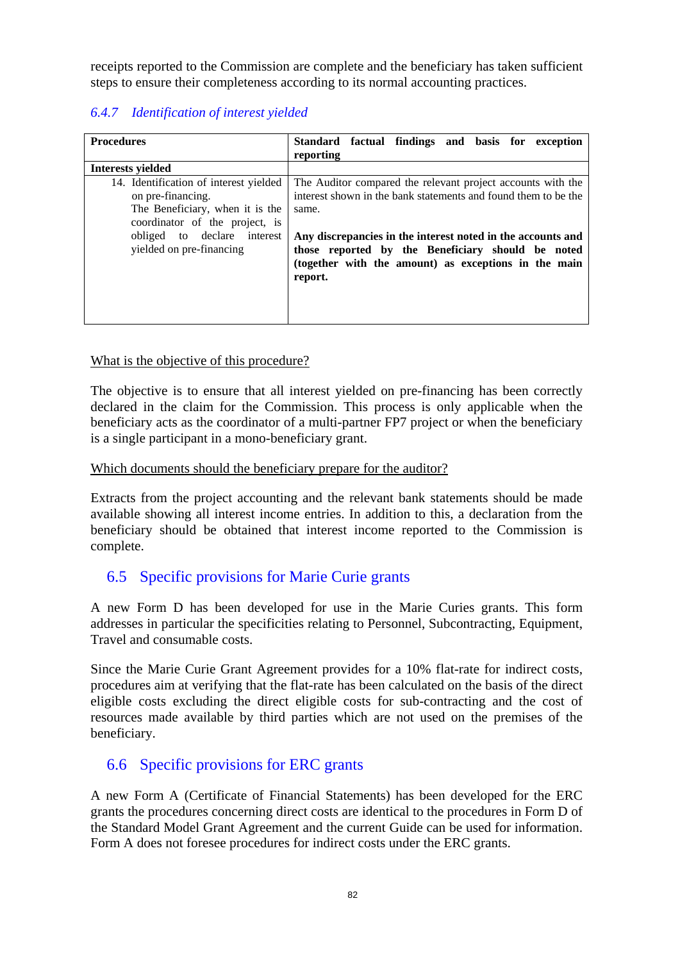receipts reported to the Commission are complete and the beneficiary has taken sufficient steps to ensure their completeness according to its normal accounting practices.

# *6.4.7 Identification of interest yielded*

| <b>Procedures</b>                                                                                                                | Standard factual findings and basis for exception<br>reporting                                                                                                                      |
|----------------------------------------------------------------------------------------------------------------------------------|-------------------------------------------------------------------------------------------------------------------------------------------------------------------------------------|
| <b>Interests yielded</b>                                                                                                         |                                                                                                                                                                                     |
| 14. Identification of interest yielded<br>on pre-financing.<br>The Beneficiary, when it is the<br>coordinator of the project, is | The Auditor compared the relevant project accounts with the<br>interest shown in the bank statements and found them to be the<br>same.                                              |
| obliged to declare interest<br>yielded on pre-financing                                                                          | Any discrepancies in the interest noted in the accounts and<br>those reported by the Beneficiary should be noted<br>(together with the amount) as exceptions in the main<br>report. |

## What is the objective of this procedure?

The objective is to ensure that all interest yielded on pre-financing has been correctly declared in the claim for the Commission. This process is only applicable when the beneficiary acts as the coordinator of a multi-partner FP7 project or when the beneficiary is a single participant in a mono-beneficiary grant.

## Which documents should the beneficiary prepare for the auditor?

Extracts from the project accounting and the relevant bank statements should be made available showing all interest income entries. In addition to this, a declaration from the beneficiary should be obtained that interest income reported to the Commission is complete.

# 6.5 Specific provisions for Marie Curie grants

A new Form D has been developed for use in the Marie Curies grants. This form addresses in particular the specificities relating to Personnel, Subcontracting, Equipment, Travel and consumable costs.

Since the Marie Curie Grant Agreement provides for a 10% flat-rate for indirect costs, procedures aim at verifying that the flat-rate has been calculated on the basis of the direct eligible costs excluding the direct eligible costs for sub-contracting and the cost of resources made available by third parties which are not used on the premises of the beneficiary.

## 6.6 Specific provisions for ERC grants

A new Form A (Certificate of Financial Statements) has been developed for the ERC grants the procedures concerning direct costs are identical to the procedures in Form D of the Standard Model Grant Agreement and the current Guide can be used for information. Form A does not foresee procedures for indirect costs under the ERC grants.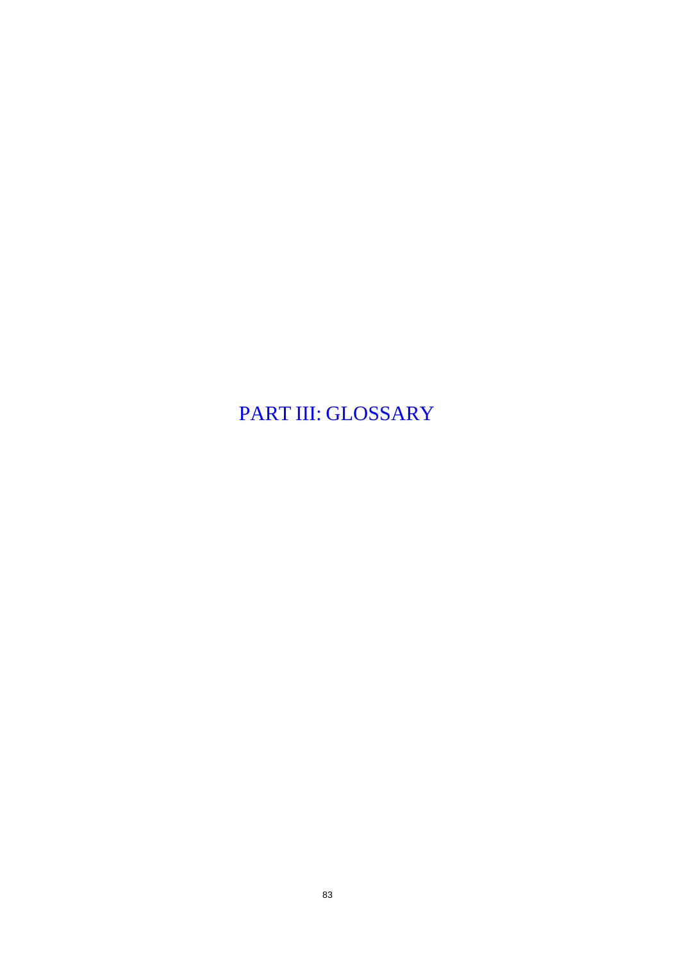PART III: GLOSSARY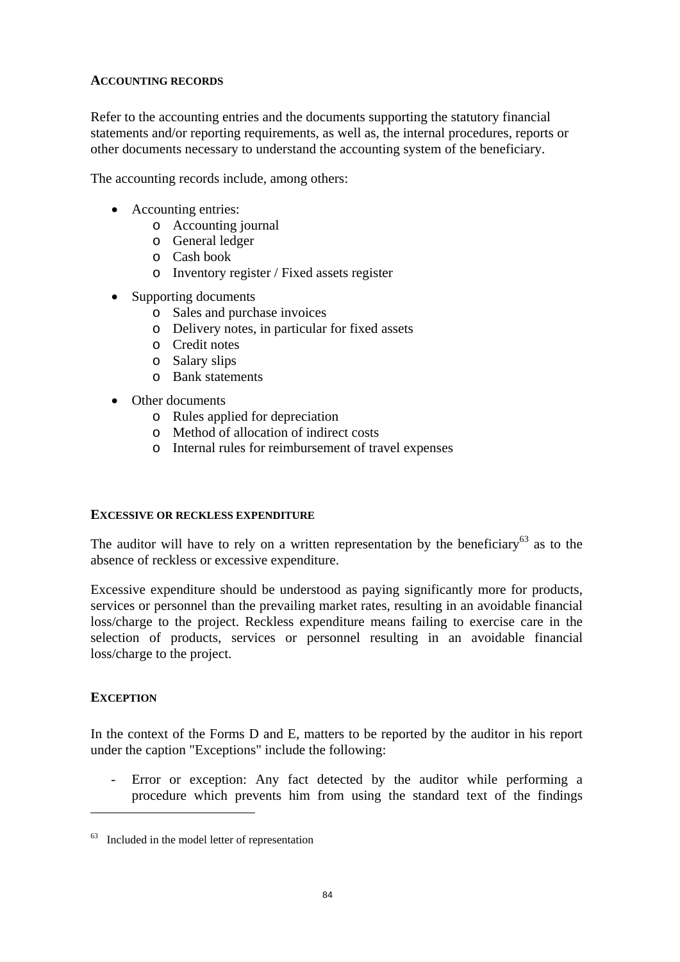## **ACCOUNTING RECORDS**

Refer to the accounting entries and the documents supporting the statutory financial statements and/or reporting requirements, as well as, the internal procedures, reports or other documents necessary to understand the accounting system of the beneficiary.

The accounting records include, among others:

- Accounting entries:
	- o Accounting journal
	- o General ledger
	- o Cash book
	- o Inventory register / Fixed assets register
- Supporting documents
	- o Sales and purchase invoices
	- o Delivery notes, in particular for fixed assets
	- o Credit notes
	- o Salary slips
	- o Bank statements
- Other documents
	- o Rules applied for depreciation
	- o Method of allocation of indirect costs
	- o Internal rules for reimbursement of travel expenses

### **EXCESSIVE OR RECKLESS EXPENDITURE**

The auditor will have to rely on a written representation by the beneficiary<sup>63</sup> as to the absence of reckless or excessive expenditure.

Excessive expenditure should be understood as paying significantly more for products, services or personnel than the prevailing market rates, resulting in an avoidable financial loss/charge to the project. Reckless expenditure means failing to exercise care in the selection of products, services or personnel resulting in an avoidable financial loss/charge to the project.

### **EXCEPTION**

 $\overline{a}$ 

In the context of the Forms D and E, matters to be reported by the auditor in his report under the caption "Exceptions" include the following:

- Error or exception: Any fact detected by the auditor while performing a procedure which prevents him from using the standard text of the findings

 $63$  Included in the model letter of representation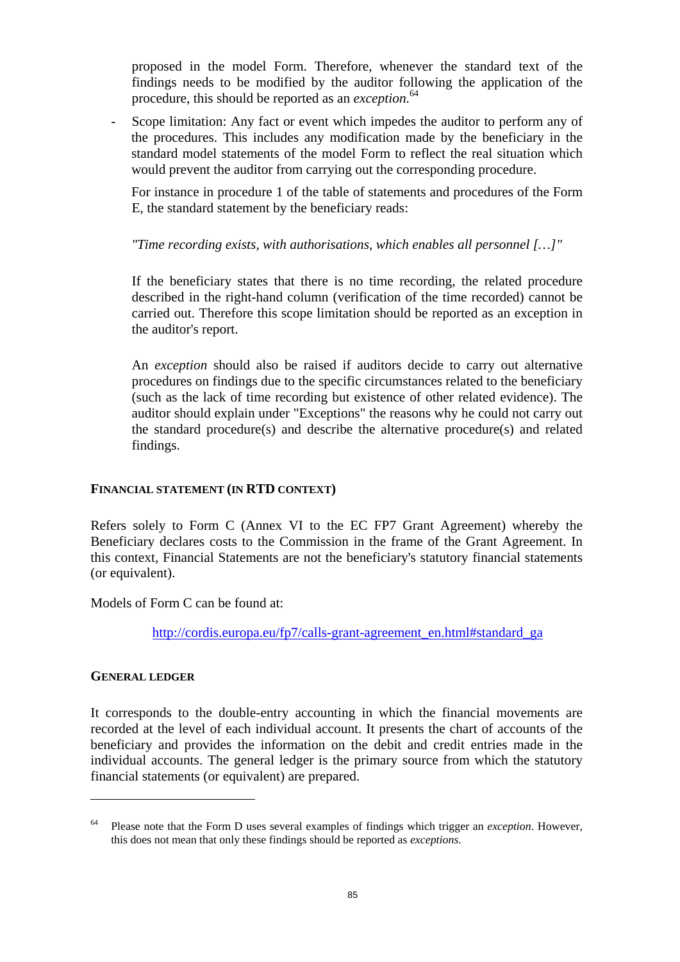proposed in the model Form. Therefore, whenever the standard text of the findings needs to be modified by the auditor following the application of the procedure, this should be reported as an *exception*. 64

Scope limitation: Any fact or event which impedes the auditor to perform any of the procedures. This includes any modification made by the beneficiary in the standard model statements of the model Form to reflect the real situation which would prevent the auditor from carrying out the corresponding procedure.

For instance in procedure 1 of the table of statements and procedures of the Form E, the standard statement by the beneficiary reads:

## *"Time recording exists, with authorisations, which enables all personnel […]"*

If the beneficiary states that there is no time recording, the related procedure described in the right-hand column (verification of the time recorded) cannot be carried out. Therefore this scope limitation should be reported as an exception in the auditor's report.

An *exception* should also be raised if auditors decide to carry out alternative procedures on findings due to the specific circumstances related to the beneficiary (such as the lack of time recording but existence of other related evidence). The auditor should explain under "Exceptions" the reasons why he could not carry out the standard procedure(s) and describe the alternative procedure(s) and related findings.

## **FINANCIAL STATEMENT (IN RTD CONTEXT)**

Refers solely to Form C (Annex VI to the EC FP7 Grant Agreement) whereby the Beneficiary declares costs to the Commission in the frame of the Grant Agreement. In this context, Financial Statements are not the beneficiary's statutory financial statements (or equivalent).

Models of Form C can be found at:

[http://cordis.europa.eu/fp7/calls-grant-agreement\\_en.html#standard\\_ga](http://cordis.europa.eu/fp7/calls-grant-agreement_en.html#standard_ga) 

### **GENERAL LEDGER**

 $\overline{a}$ 

It corresponds to the double-entry accounting in which the financial movements are recorded at the level of each individual account. It presents the chart of accounts of the beneficiary and provides the information on the debit and credit entries made in the individual accounts. The general ledger is the primary source from which the statutory financial statements (or equivalent) are prepared.

<sup>64</sup> Please note that the Form D uses several examples of findings which trigger an *exception*. However, this does not mean that only these findings should be reported as *exceptions*.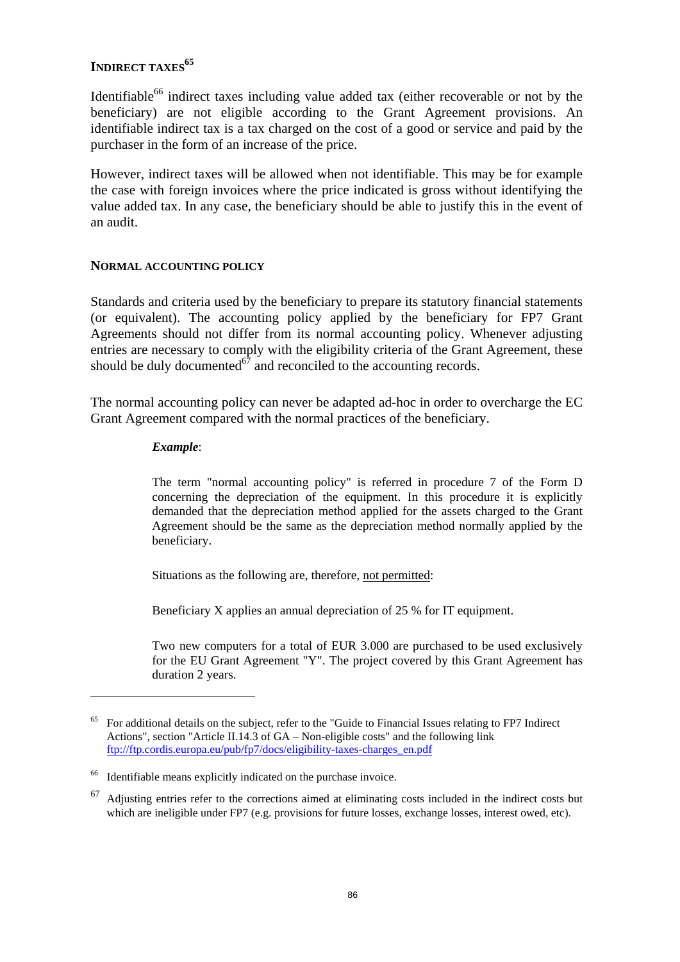## **INDIRECT TAXES**<sup>65</sup>

Identifiable<sup>66</sup> indirect taxes including value added tax (either recoverable or not by the beneficiary) are not eligible according to the Grant Agreement provisions. An identifiable indirect tax is a tax charged on the cost of a good or service and paid by the purchaser in the form of an increase of the price.

However, indirect taxes will be allowed when not identifiable. This may be for example the case with foreign invoices where the price indicated is gross without identifying the value added tax. In any case, the beneficiary should be able to justify this in the event of an audit.

#### **NORMAL ACCOUNTING POLICY**

Standards and criteria used by the beneficiary to prepare its statutory financial statements (or equivalent). The accounting policy applied by the beneficiary for FP7 Grant Agreements should not differ from its normal accounting policy. Whenever adjusting entries are necessary to comply with the eligibility criteria of the Grant Agreement, these should be duly documented $\overrightarrow{67}$  and reconciled to the accounting records.

The normal accounting policy can never be adapted ad-hoc in order to overcharge the EC Grant Agreement compared with the normal practices of the beneficiary.

#### *Example*:

 $\overline{a}$ 

The term "normal accounting policy" is referred in procedure 7 of the Form D concerning the depreciation of the equipment. In this procedure it is explicitly demanded that the depreciation method applied for the assets charged to the Grant Agreement should be the same as the depreciation method normally applied by the beneficiary.

Situations as the following are, therefore, not permitted:

Beneficiary X applies an annual depreciation of 25 % for IT equipment.

Two new computers for a total of EUR 3.000 are purchased to be used exclusively for the EU Grant Agreement "Y". The project covered by this Grant Agreement has duration 2 years.

<sup>65</sup> For additional details on the subject, refer to the "Guide to Financial Issues relating to FP7 Indirect Actions", section "Article II.14.3 of GA – Non-eligible costs" and the following link [ftp://ftp.cordis.europa.eu/pub/fp7/docs/eligibility-taxes-charges\\_en.pdf](ftp://ftp.cordis.europa.eu/pub/fp7/docs/eligibility-taxes-charges_en.pdf)

<sup>66</sup> Identifiable means explicitly indicated on the purchase invoice.

<sup>67</sup> Adjusting entries refer to the corrections aimed at eliminating costs included in the indirect costs but which are ineligible under FP7 (e.g. provisions for future losses, exchange losses, interest owed, etc).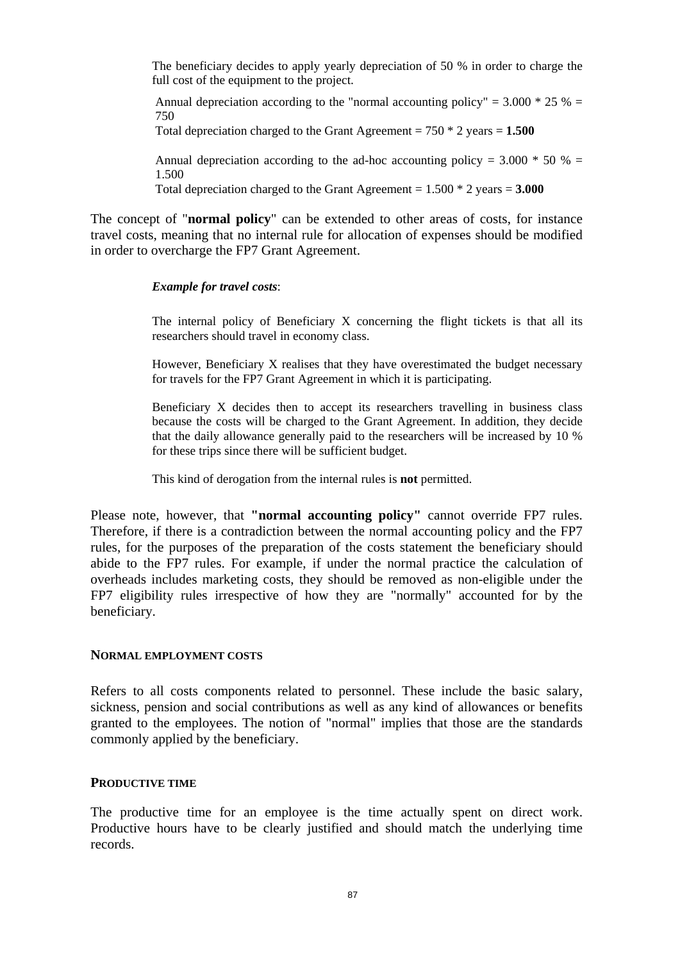The beneficiary decides to apply yearly depreciation of 50 % in order to charge the full cost of the equipment to the project.

Annual depreciation according to the "normal accounting policy" =  $3.000 * 25 % =$ 750 Total depreciation charged to the Grant Agreement = 750 \* 2 years = **1.500**

Annual depreciation according to the ad-hoc accounting policy =  $3.000 * 50 %$  =

1.500

Total depreciation charged to the Grant Agreement = 1.500 \* 2 years = **3.000**

The concept of "**normal policy**" can be extended to other areas of costs, for instance travel costs, meaning that no internal rule for allocation of expenses should be modified in order to overcharge the FP7 Grant Agreement.

### *Example for travel costs*:

The internal policy of Beneficiary X concerning the flight tickets is that all its researchers should travel in economy class.

However, Beneficiary X realises that they have overestimated the budget necessary for travels for the FP7 Grant Agreement in which it is participating.

Beneficiary X decides then to accept its researchers travelling in business class because the costs will be charged to the Grant Agreement. In addition, they decide that the daily allowance generally paid to the researchers will be increased by 10 % for these trips since there will be sufficient budget.

This kind of derogation from the internal rules is **not** permitted.

Please note, however, that **"normal accounting policy"** cannot override FP7 rules. Therefore, if there is a contradiction between the normal accounting policy and the FP7 rules, for the purposes of the preparation of the costs statement the beneficiary should abide to the FP7 rules. For example, if under the normal practice the calculation of overheads includes marketing costs, they should be removed as non-eligible under the FP7 eligibility rules irrespective of how they are "normally" accounted for by the beneficiary.

### **NORMAL EMPLOYMENT COSTS**

Refers to all costs components related to personnel. These include the basic salary, sickness, pension and social contributions as well as any kind of allowances or benefits granted to the employees. The notion of "normal" implies that those are the standards commonly applied by the beneficiary.

### **PRODUCTIVE TIME**

The productive time for an employee is the time actually spent on direct work. Productive hours have to be clearly justified and should match the underlying time records.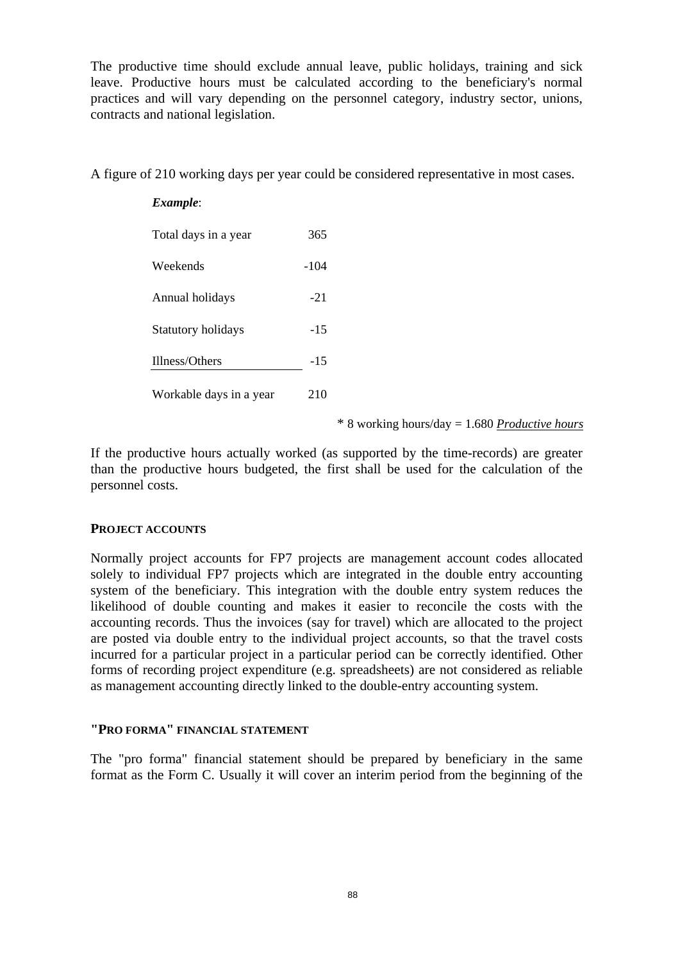The productive time should exclude annual leave, public holidays, training and sick leave. Productive hours must be calculated according to the beneficiary's normal practices and will vary depending on the personnel category, industry sector, unions, contracts and national legislation.

A figure of 210 working days per year could be considered representative in most cases.

| Example:                  |        |
|---------------------------|--------|
| Total days in a year      | 365    |
| Weekends                  | $-104$ |
| Annual holidays           | $-21$  |
| <b>Statutory holidays</b> | $-15$  |
| Illness/Others            | $-15$  |
| Workable days in a year   | 210    |

\* 8 working hours/day = 1.680 *Productive hours*

If the productive hours actually worked (as supported by the time-records) are greater than the productive hours budgeted, the first shall be used for the calculation of the personnel costs.

### **PROJECT ACCOUNTS**

Normally project accounts for FP7 projects are management account codes allocated solely to individual FP7 projects which are integrated in the double entry accounting system of the beneficiary. This integration with the double entry system reduces the likelihood of double counting and makes it easier to reconcile the costs with the accounting records. Thus the invoices (say for travel) which are allocated to the project are posted via double entry to the individual project accounts, so that the travel costs incurred for a particular project in a particular period can be correctly identified. Other forms of recording project expenditure (e.g. spreadsheets) are not considered as reliable as management accounting directly linked to the double-entry accounting system.

#### **"PRO FORMA" FINANCIAL STATEMENT**

The "pro forma" financial statement should be prepared by beneficiary in the same format as the Form C. Usually it will cover an interim period from the beginning of the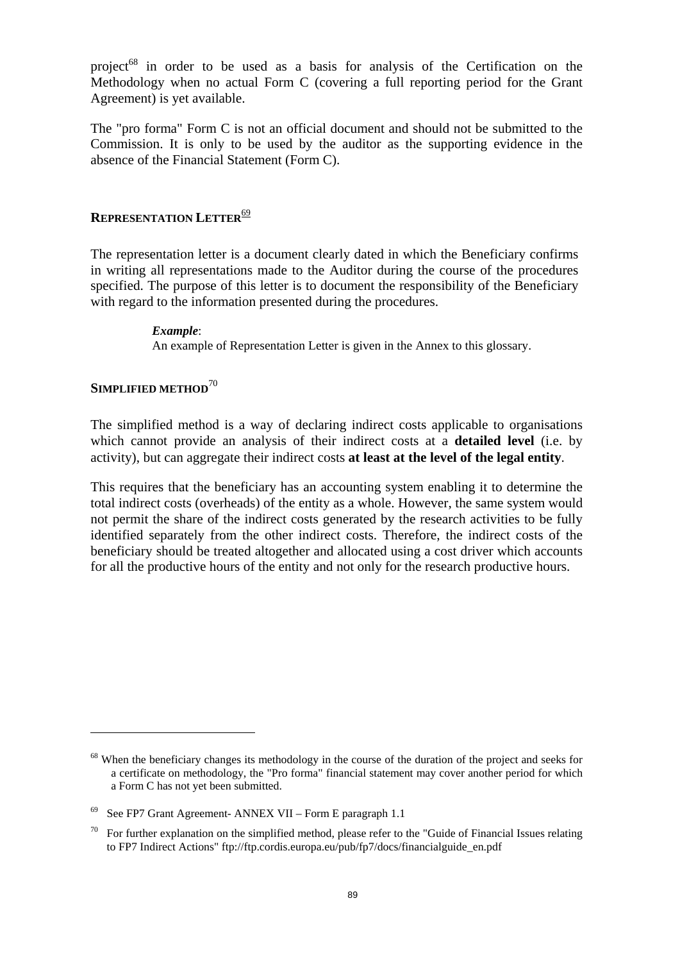project<sup>68</sup> in order to be used as a basis for analysis of the Certification on the Methodology when no actual Form C (covering a full reporting period for the Grant Agreement) is yet available.

The "pro forma" Form C is not an official document and should not be submitted to the Commission. It is only to be used by the auditor as the supporting evidence in the absence of the Financial Statement (Form C).

### **REPRESENTATION LETTER**<sup>69</sup>

The representation letter is a document clearly dated in which the Beneficiary confirms in writing all representations made to the Auditor during the course of the procedures specified. The purpose of this letter is to document the responsibility of the Beneficiary with regard to the information presented during the procedures.

> *Example*: An example of Representation Letter is given in the Annex to this glossary.

## **SIMPLIFIED METHOD**<sup>70</sup>

 $\overline{a}$ 

The simplified method is a way of declaring indirect costs applicable to organisations which cannot provide an analysis of their indirect costs at a **detailed level** (i.e. by activity), but can aggregate their indirect costs **at least at the level of the legal entity**.

This requires that the beneficiary has an accounting system enabling it to determine the total indirect costs (overheads) of the entity as a whole. However, the same system would not permit the share of the indirect costs generated by the research activities to be fully identified separately from the other indirect costs. Therefore, the indirect costs of the beneficiary should be treated altogether and allocated using a cost driver which accounts for all the productive hours of the entity and not only for the research productive hours.

<sup>&</sup>lt;sup>68</sup> When the beneficiary changes its methodology in the course of the duration of the project and seeks for a certificate on methodology, the "Pro forma" financial statement may cover another period for which a Form C has not yet been submitted.

<sup>69</sup> See FP7 Grant Agreement- ANNEX VII – Form E paragraph 1.1

<sup>70</sup> For further explanation on the simplified method, please refer to the "Guide of Financial Issues relating to FP7 Indirect Actions" ftp://ftp.cordis.europa.eu/pub/fp7/docs/financialguide\_en.pdf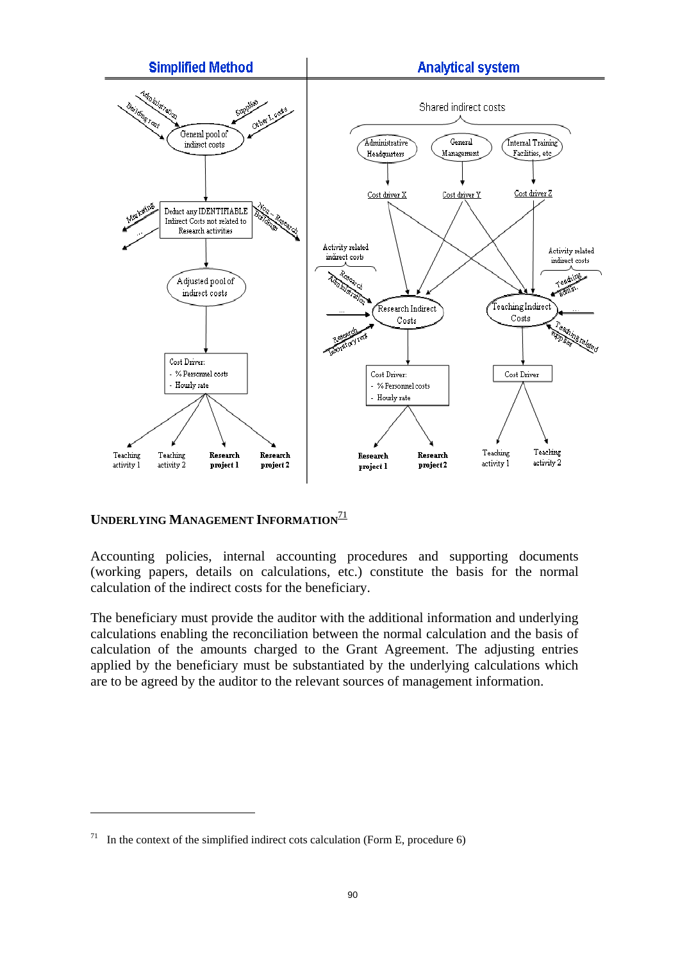

## **UNDERLYING MANAGEMENT INFORMATION**<sup>71</sup>

 $\overline{a}$ 

Accounting policies, internal accounting procedures and supporting documents (working papers, details on calculations, etc.) constitute the basis for the normal calculation of the indirect costs for the beneficiary.

The beneficiary must provide the auditor with the additional information and underlying calculations enabling the reconciliation between the normal calculation and the basis of calculation of the amounts charged to the Grant Agreement. The adjusting entries applied by the beneficiary must be substantiated by the underlying calculations which are to be agreed by the auditor to the relevant sources of management information.

<sup>&</sup>lt;sup>71</sup> In the context of the simplified indirect cots calculation (Form E, procedure 6)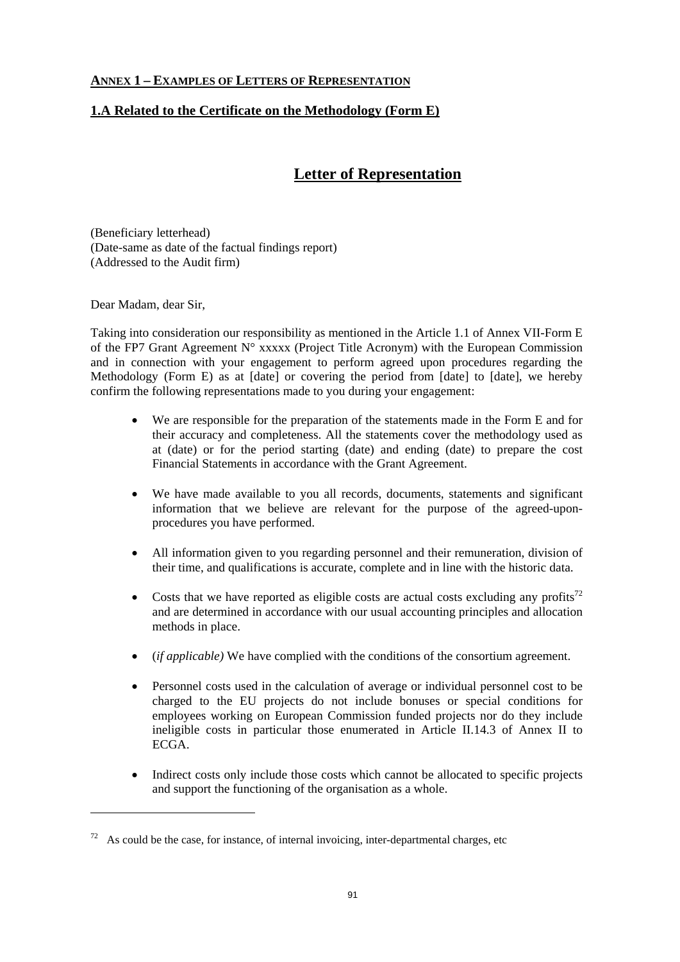### **ANNEX 1 – EXAMPLES OF LETTERS OF REPRESENTATION**

## **1.A Related to the Certificate on the Methodology (Form E)**

# **Letter of Representation**

(Beneficiary letterhead) (Date-same as date of the factual findings report) (Addressed to the Audit firm)

Dear Madam, dear Sir,

 $\overline{a}$ 

Taking into consideration our responsibility as mentioned in the Article 1.1 of Annex VII-Form E of the FP7 Grant Agreement N° xxxxx (Project Title Acronym) with the European Commission and in connection with your engagement to perform agreed upon procedures regarding the Methodology (Form E) as at [date] or covering the period from [date] to [date], we hereby confirm the following representations made to you during your engagement:

- We are responsible for the preparation of the statements made in the Form E and for their accuracy and completeness. All the statements cover the methodology used as at (date) or for the period starting (date) and ending (date) to prepare the cost Financial Statements in accordance with the Grant Agreement.
- We have made available to you all records, documents, statements and significant information that we believe are relevant for the purpose of the agreed-uponprocedures you have performed.
- All information given to you regarding personnel and their remuneration, division of their time, and qualifications is accurate, complete and in line with the historic data.
- Costs that we have reported as eligible costs are actual costs excluding any profits $^{72}$ and are determined in accordance with our usual accounting principles and allocation methods in place.
- (*if applicable)* We have complied with the conditions of the consortium agreement.
- Personnel costs used in the calculation of average or individual personnel cost to be charged to the EU projects do not include bonuses or special conditions for employees working on European Commission funded projects nor do they include ineligible costs in particular those enumerated in Article II.14.3 of Annex II to ECGA.
- Indirect costs only include those costs which cannot be allocated to specific projects and support the functioning of the organisation as a whole.

 $72$  As could be the case, for instance, of internal invoicing, inter-departmental charges, etc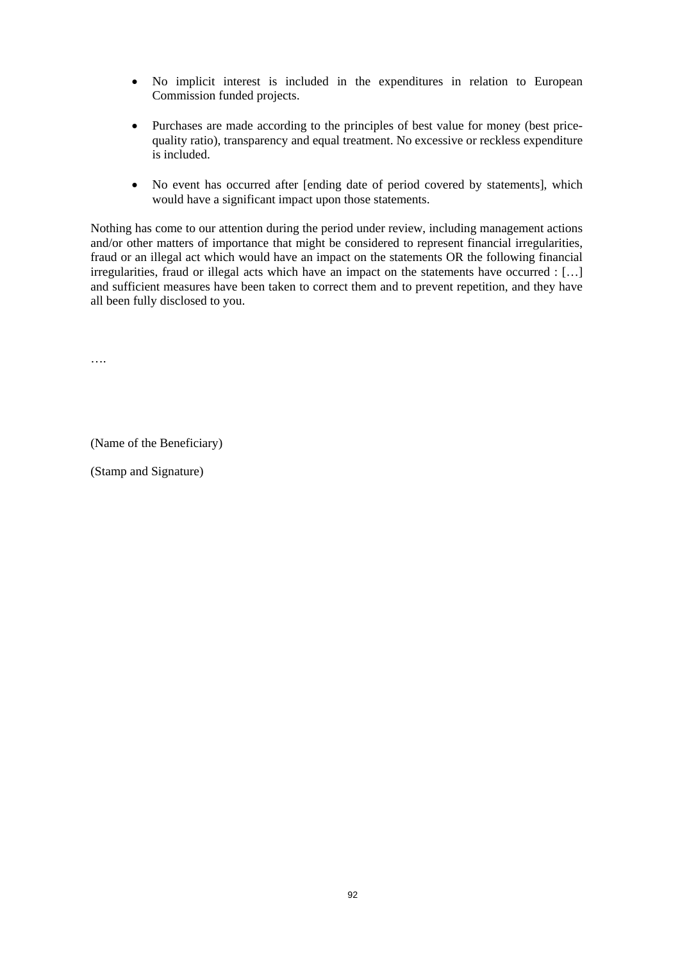- No implicit interest is included in the expenditures in relation to European Commission funded projects.
- Purchases are made according to the principles of best value for money (best pricequality ratio), transparency and equal treatment. No excessive or reckless expenditure is included.
- No event has occurred after [ending date of period covered by statements], which would have a significant impact upon those statements.

Nothing has come to our attention during the period under review, including management actions and/or other matters of importance that might be considered to represent financial irregularities, fraud or an illegal act which would have an impact on the statements OR the following financial irregularities, fraud or illegal acts which have an impact on the statements have occurred : […] and sufficient measures have been taken to correct them and to prevent repetition, and they have all been fully disclosed to you.

….

(Name of the Beneficiary)

(Stamp and Signature)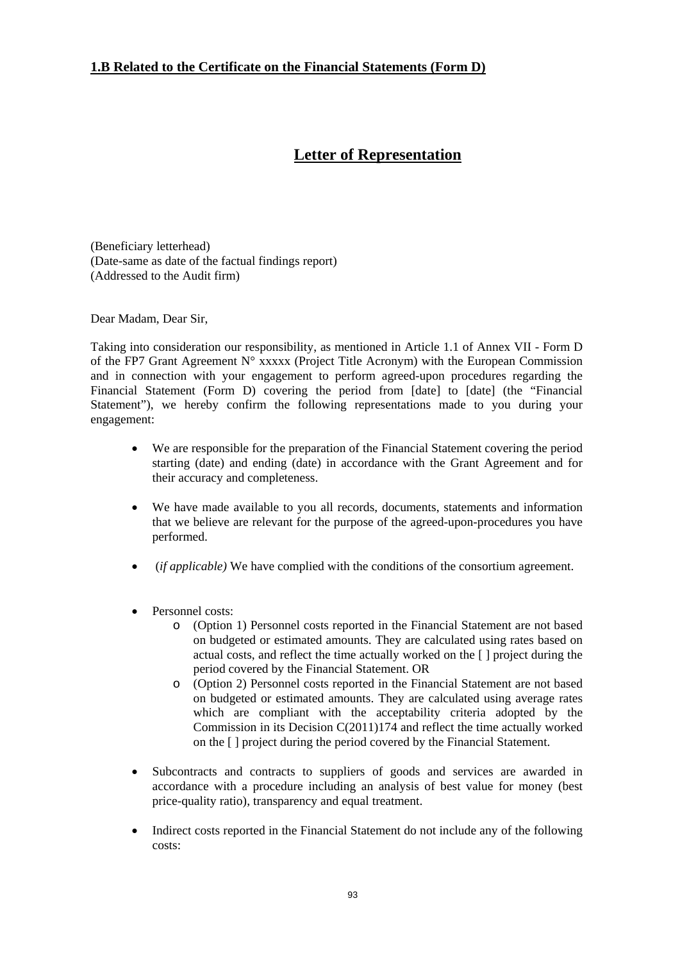## **1.B Related to the Certificate on the Financial Statements (Form D)**

# **Letter of Representation**

(Beneficiary letterhead) (Date-same as date of the factual findings report) (Addressed to the Audit firm)

Dear Madam, Dear Sir,

Taking into consideration our responsibility, as mentioned in Article 1.1 of Annex VII - Form D of the FP7 Grant Agreement  $N^{\circ}$  xxxxx (Project Title Acronym) with the European Commission and in connection with your engagement to perform agreed-upon procedures regarding the Financial Statement (Form D) covering the period from [date] to [date] (the "Financial Statement"), we hereby confirm the following representations made to you during your engagement:

- We are responsible for the preparation of the Financial Statement covering the period starting (date) and ending (date) in accordance with the Grant Agreement and for their accuracy and completeness.
- We have made available to you all records, documents, statements and information that we believe are relevant for the purpose of the agreed-upon-procedures you have performed.
- (*if applicable)* We have complied with the conditions of the consortium agreement.
- Personnel costs:
	- o (Option 1) Personnel costs reported in the Financial Statement are not based on budgeted or estimated amounts. They are calculated using rates based on actual costs, and reflect the time actually worked on the [ ] project during the period covered by the Financial Statement. OR
	- o (Option 2) Personnel costs reported in the Financial Statement are not based on budgeted or estimated amounts. They are calculated using average rates which are compliant with the acceptability criteria adopted by the Commission in its Decision C(2011)174 and reflect the time actually worked on the [ ] project during the period covered by the Financial Statement.
- Subcontracts and contracts to suppliers of goods and services are awarded in accordance with a procedure including an analysis of best value for money (best price-quality ratio), transparency and equal treatment.
- Indirect costs reported in the Financial Statement do not include any of the following costs: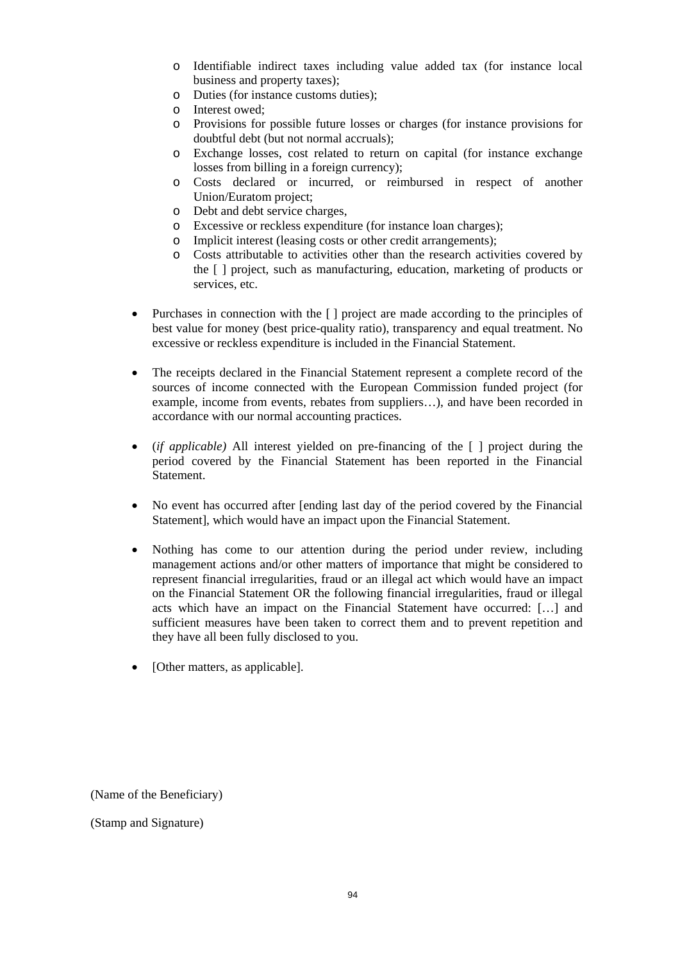- o Identifiable indirect taxes including value added tax (for instance local business and property taxes);
- o Duties (for instance customs duties);
- o Interest owed;
- o Provisions for possible future losses or charges (for instance provisions for doubtful debt (but not normal accruals);
- o Exchange losses, cost related to return on capital (for instance exchange losses from billing in a foreign currency);
- o Costs declared or incurred, or reimbursed in respect of another Union/Euratom project;
- o Debt and debt service charges,
- o Excessive or reckless expenditure (for instance loan charges);
- o Implicit interest (leasing costs or other credit arrangements);
- o Costs attributable to activities other than the research activities covered by the [ ] project, such as manufacturing, education, marketing of products or services, etc.
- Purchases in connection with the [] project are made according to the principles of best value for money (best price-quality ratio), transparency and equal treatment. No excessive or reckless expenditure is included in the Financial Statement.
- The receipts declared in the Financial Statement represent a complete record of the sources of income connected with the European Commission funded project (for example, income from events, rebates from suppliers…), and have been recorded in accordance with our normal accounting practices.
- (*if applicable)* All interest yielded on pre-financing of the [ ] project during the period covered by the Financial Statement has been reported in the Financial Statement.
- No event has occurred after [ending last day of the period covered by the Financial Statement], which would have an impact upon the Financial Statement.
- Nothing has come to our attention during the period under review, including management actions and/or other matters of importance that might be considered to represent financial irregularities, fraud or an illegal act which would have an impact on the Financial Statement OR the following financial irregularities, fraud or illegal acts which have an impact on the Financial Statement have occurred: […] and sufficient measures have been taken to correct them and to prevent repetition and they have all been fully disclosed to you.
- [Other matters, as applicable].

(Name of the Beneficiary)

(Stamp and Signature)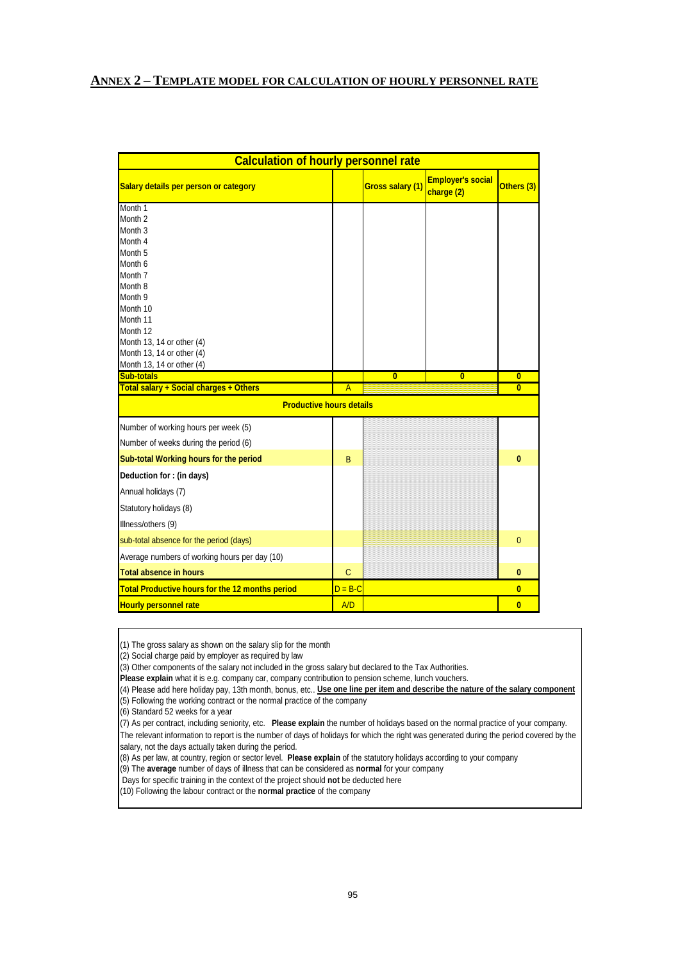#### **ANNEX 2 – TEMPLATE MODEL FOR CALCULATION OF HOURLY PERSONNEL RATE**

| <b>Calculation of hourly personnel rate</b>            |                |                         |                                        |                         |  |  |  |  |  |  |  |
|--------------------------------------------------------|----------------|-------------------------|----------------------------------------|-------------------------|--|--|--|--|--|--|--|
| Salary details per person or category                  |                | Gross salary (1)        | <b>Employer's social</b><br>charge (2) | Others (3)              |  |  |  |  |  |  |  |
| Month 1                                                |                |                         |                                        |                         |  |  |  |  |  |  |  |
| Month <sub>2</sub>                                     |                |                         |                                        |                         |  |  |  |  |  |  |  |
| Month <sub>3</sub>                                     |                |                         |                                        |                         |  |  |  |  |  |  |  |
| Month 4                                                |                |                         |                                        |                         |  |  |  |  |  |  |  |
| Month <sub>5</sub>                                     |                |                         |                                        |                         |  |  |  |  |  |  |  |
| Month <sub>6</sub><br>Month <sub>7</sub>               |                |                         |                                        |                         |  |  |  |  |  |  |  |
| Month 8                                                |                |                         |                                        |                         |  |  |  |  |  |  |  |
| Month 9                                                |                |                         |                                        |                         |  |  |  |  |  |  |  |
| Month 10                                               |                |                         |                                        |                         |  |  |  |  |  |  |  |
| Month 11                                               |                |                         |                                        |                         |  |  |  |  |  |  |  |
| Month 12                                               |                |                         |                                        |                         |  |  |  |  |  |  |  |
| Month 13, 14 or other (4)                              |                |                         |                                        |                         |  |  |  |  |  |  |  |
| Month 13, 14 or other (4)                              |                |                         |                                        |                         |  |  |  |  |  |  |  |
| Month 13, 14 or other (4)                              |                |                         |                                        |                         |  |  |  |  |  |  |  |
| <b>Sub-totals</b>                                      |                | $\overline{\mathbf{0}}$ | $\overline{\mathbf{0}}$                | $\overline{\mathbf{0}}$ |  |  |  |  |  |  |  |
| Total salary + Social charges + Others                 | $\overline{A}$ |                         |                                        | $\overline{\mathbf{0}}$ |  |  |  |  |  |  |  |
| <b>Productive hours details</b>                        |                |                         |                                        |                         |  |  |  |  |  |  |  |
| Number of working hours per week (5)                   |                |                         |                                        |                         |  |  |  |  |  |  |  |
| Number of weeks during the period (6)                  |                |                         |                                        |                         |  |  |  |  |  |  |  |
| Sub-total Working hours for the period                 | B              |                         |                                        | 0                       |  |  |  |  |  |  |  |
| Deduction for: (in days)                               |                |                         |                                        |                         |  |  |  |  |  |  |  |
| Annual holidays (7)                                    |                |                         |                                        |                         |  |  |  |  |  |  |  |
| Statutory holidays (8)                                 |                |                         |                                        |                         |  |  |  |  |  |  |  |
| Illness/others (9)                                     |                |                         |                                        |                         |  |  |  |  |  |  |  |
| sub-total absence for the period (days)                |                |                         |                                        | $\overline{0}$          |  |  |  |  |  |  |  |
| Average numbers of working hours per day (10)          |                |                         |                                        |                         |  |  |  |  |  |  |  |
| Total absence in hours                                 | $\mathsf{C}$   |                         |                                        | 0                       |  |  |  |  |  |  |  |
| <b>Total Productive hours for the 12 months period</b> | $D = B - C$    |                         |                                        | $\overline{\mathbf{0}}$ |  |  |  |  |  |  |  |
| <b>Hourly personnel rate</b>                           | A/D            |                         |                                        | $\overline{0}$          |  |  |  |  |  |  |  |

 $(1)$  The gross salary as shown on the salary slip for the month

(2) Social charge paid by employer as required by law

(3) Other components of the salary not included in the gross salary but declared to the Tax Authorities.

**Please explain** what it is e.g. company car, company contribution to pension scheme, lunch vouchers.

(4) Please add here holiday pay, 13th month, bonus, etc.. **Use one line per item and describe the nature of the salary component** (5) Following the working contract or the normal practice of the company

(6) Standard 52 weeks for a year

The relevant information to report is the number of days of holidays for which the right was generated during the period covered by the salary, not the days actually taken during the period. (7) As per contract, including seniority, etc. **Please explain** the number of holidays based on the normal practice of your company.

(8) As per law, at country, region or sector level. **Please explain** of the statutory holidays according to your company

(9) The **average** number of days of illness that can be considered as **normal** for your company

Days for specific training in the context of the project should **not** be deducted here

(10) Following the labour contract or the **normal practice** of the company